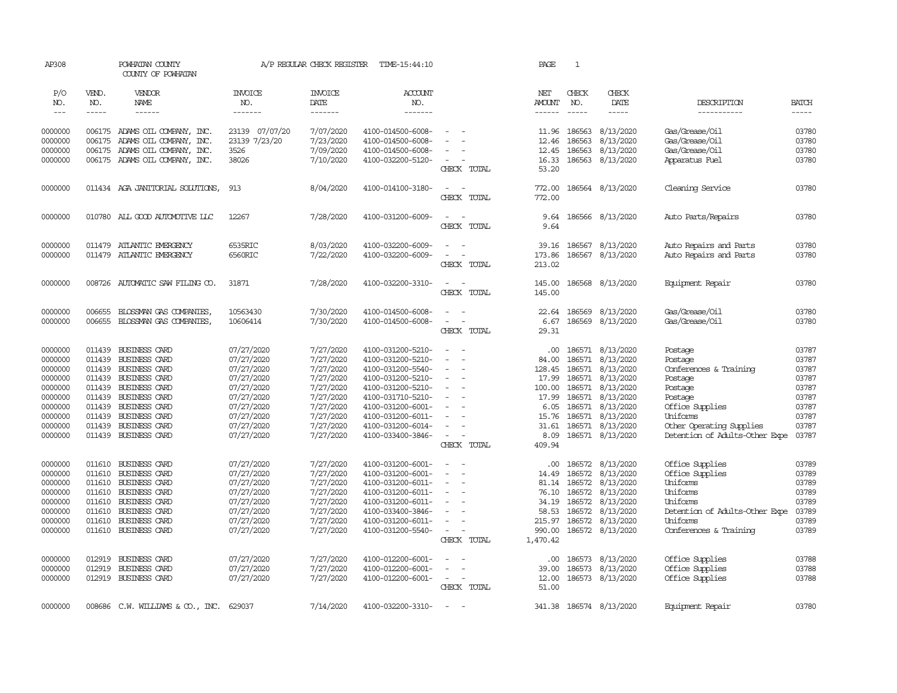| AP308              |                             | POWHATAN COUNTY<br>COUNTY OF POWHATAN              |                          | A/P REGULAR CHECK REGISTER        | TIME-15:44:10                          |                                                      | PAGE                  | $\mathbf{1}$                                                                                                                                                                                                                                                                                                                                                                                 |                               |                                            |                |
|--------------------|-----------------------------|----------------------------------------------------|--------------------------|-----------------------------------|----------------------------------------|------------------------------------------------------|-----------------------|----------------------------------------------------------------------------------------------------------------------------------------------------------------------------------------------------------------------------------------------------------------------------------------------------------------------------------------------------------------------------------------------|-------------------------------|--------------------------------------------|----------------|
| P/O<br>NO.         | VEND.<br>NO.<br>$- - - - -$ | VENDOR<br>NAME                                     | <b>INVOICE</b><br>NO.    | <b>INVOICE</b><br>DATE<br>------- | <b>ACCOUNT</b><br>NO.                  |                                                      | NET<br>AMOUNT         | CHECK<br>NO.                                                                                                                                                                                                                                                                                                                                                                                 | CHECK<br>DATE                 | DESCRIPTION<br>-----------                 | <b>BATCH</b>   |
| $\frac{1}{2}$      |                             | ------                                             | -------                  |                                   | -------                                |                                                      | ------                | $\frac{1}{2} \frac{1}{2} \frac{1}{2} \frac{1}{2} \frac{1}{2} \frac{1}{2} \frac{1}{2} \frac{1}{2} \frac{1}{2} \frac{1}{2} \frac{1}{2} \frac{1}{2} \frac{1}{2} \frac{1}{2} \frac{1}{2} \frac{1}{2} \frac{1}{2} \frac{1}{2} \frac{1}{2} \frac{1}{2} \frac{1}{2} \frac{1}{2} \frac{1}{2} \frac{1}{2} \frac{1}{2} \frac{1}{2} \frac{1}{2} \frac{1}{2} \frac{1}{2} \frac{1}{2} \frac{1}{2} \frac{$ | $- - - - -$                   |                                            | -----          |
| 0000000            |                             | 006175 ADAMS OIL COMPANY, INC.                     | 23139 07/07/20           | 7/07/2020                         | 4100-014500-6008-                      |                                                      | 11.96                 | 186563                                                                                                                                                                                                                                                                                                                                                                                       | 8/13/2020                     | Gas/Grease/Oil                             | 03780          |
| 0000000            |                             | 006175 ADAMS OIL COMPANY, INC.                     | 23139 7/23/20            | 7/23/2020                         | 4100-014500-6008-                      |                                                      | 12.46                 | 186563                                                                                                                                                                                                                                                                                                                                                                                       | 8/13/2020                     | Gas/Grease/Oil                             | 03780          |
| 0000000            | 006175                      | ADAMS OIL COMPANY, INC.                            | 3526                     | 7/09/2020                         | 4100-014500-6008-                      | $\sim$                                               | 12.45                 | 186563                                                                                                                                                                                                                                                                                                                                                                                       | 8/13/2020                     | Gas/Grease/Oil                             | 03780          |
| 0000000            |                             | 006175 ADAMS OIL COMPANY, INC.                     | 38026                    | 7/10/2020                         | 4100-032200-5120-                      | $\overline{\phantom{a}}$                             | 16.33                 | 186563                                                                                                                                                                                                                                                                                                                                                                                       | 8/13/2020                     | Apparatus Fuel                             | 03780          |
|                    |                             |                                                    |                          |                                   |                                        | CHECK TOTAL                                          | 53.20                 |                                                                                                                                                                                                                                                                                                                                                                                              |                               |                                            |                |
| 0000000            |                             | 011434 AGA JANITORIAL SOLUTIONS,                   | 913                      | 8/04/2020                         | 4100-014100-3180-                      | $\sim$<br>$\sim$                                     | 772.00                |                                                                                                                                                                                                                                                                                                                                                                                              | 186564 8/13/2020              | Cleaning Service                           | 03780          |
|                    |                             |                                                    |                          |                                   |                                        | CHECK TOTAL                                          | 772.00                |                                                                                                                                                                                                                                                                                                                                                                                              |                               |                                            |                |
| 0000000            |                             | 010780 ALL GOOD AUTOMOTTVE LLC                     | 12267                    | 7/28/2020                         | 4100-031200-6009-                      | $\sim$<br>$\sim$                                     | 9.64                  |                                                                                                                                                                                                                                                                                                                                                                                              | 186566 8/13/2020              | Auto Parts/Repairs                         | 03780          |
|                    |                             |                                                    |                          |                                   |                                        | CHECK TOTAL                                          | 9.64                  |                                                                                                                                                                                                                                                                                                                                                                                              |                               |                                            |                |
| 0000000            |                             | 011479 ATLANTIC EMERGENCY                          | 6535RIC                  | 8/03/2020                         | 4100-032200-6009-                      | $\sim$                                               | 39.16                 | 186567                                                                                                                                                                                                                                                                                                                                                                                       | 8/13/2020                     | Auto Repairs and Parts                     | 03780          |
| 0000000            |                             | 011479 ATLANTIC EMERGENCY                          | 6560RIC                  | 7/22/2020                         | 4100-032200-6009-                      | $\sim$<br>$\overline{\phantom{a}}$                   | 173.86                |                                                                                                                                                                                                                                                                                                                                                                                              | 186567 8/13/2020              | Auto Repairs and Parts                     | 03780          |
|                    |                             |                                                    |                          |                                   |                                        | CHECK TOTAL                                          | 213.02                |                                                                                                                                                                                                                                                                                                                                                                                              |                               |                                            |                |
| 0000000            |                             | 008726 AUTOMATIC SAW FILING CO.                    | 31871                    | 7/28/2020                         | 4100-032200-3310-                      | $\sim$<br>$\sim$                                     | 145.00                |                                                                                                                                                                                                                                                                                                                                                                                              | 186568 8/13/2020              | Equipment Repair                           | 03780          |
|                    |                             |                                                    |                          |                                   |                                        | CHECK TOTAL                                          | 145.00                |                                                                                                                                                                                                                                                                                                                                                                                              |                               |                                            |                |
|                    |                             |                                                    |                          |                                   |                                        | $\sim$                                               |                       |                                                                                                                                                                                                                                                                                                                                                                                              |                               |                                            |                |
| 0000000<br>0000000 | 006655<br>006655            | BLOSSMAN GAS COMPANIES,<br>BLOSSMAN GAS COMPANIES, | 10563430<br>10606414     | 7/30/2020<br>7/30/2020            | 4100-014500-6008-<br>4100-014500-6008- | $\sim$<br>$\sim$                                     | 22.64<br>6.67         | 186569                                                                                                                                                                                                                                                                                                                                                                                       | 8/13/2020<br>186569 8/13/2020 | Gas/Grease/Oil<br>Gas/Grease/Oil           | 03780<br>03780 |
|                    |                             |                                                    |                          |                                   |                                        | CHECK TOTAL                                          | 29.31                 |                                                                                                                                                                                                                                                                                                                                                                                              |                               |                                            |                |
| 0000000            | 011439                      | BUSINESS CARD                                      | 07/27/2020               | 7/27/2020                         | 4100-031200-5210-                      | $\sim$<br>$\sim$                                     | $.00 \cdot$           |                                                                                                                                                                                                                                                                                                                                                                                              | 186571 8/13/2020              | Postage                                    | 03787          |
| 0000000            | 011439                      | BUSINESS CARD                                      | 07/27/2020               | 7/27/2020                         | 4100-031200-5210-                      |                                                      | 84.00                 | 186571                                                                                                                                                                                                                                                                                                                                                                                       | 8/13/2020                     | Postage                                    | 03787          |
| 0000000            | 011439                      | BUSINESS CARD                                      | 07/27/2020               | 7/27/2020                         | 4100-031200-5540-                      | $\sim$                                               | 128.45                | 186571                                                                                                                                                                                                                                                                                                                                                                                       | 8/13/2020                     | Conferences & Training                     | 03787          |
| 0000000            | 011439                      | BUSINESS CARD                                      | 07/27/2020               | 7/27/2020                         | 4100-031200-5210-                      |                                                      | 17.99                 | 186571                                                                                                                                                                                                                                                                                                                                                                                       | 8/13/2020                     | Postage                                    | 03787          |
| 0000000            | 011439                      | BUSINESS CARD                                      | 07/27/2020               | 7/27/2020                         | 4100-031200-5210-                      | $\sim$<br>$\overline{\phantom{a}}$                   | 100.00                | 186571                                                                                                                                                                                                                                                                                                                                                                                       | 8/13/2020                     | Postage                                    | 03787          |
| 0000000            | 011439                      | BUSINESS CARD                                      | 07/27/2020               | 7/27/2020                         | 4100-031710-5210-                      | $\sim$                                               | 17.99                 | 186571                                                                                                                                                                                                                                                                                                                                                                                       | 8/13/2020                     | Postage                                    | 03787          |
| 0000000            | 011439                      | BUSINESS CARD                                      | 07/27/2020               | 7/27/2020                         | 4100-031200-6001-                      |                                                      | 6.05                  | 186571                                                                                                                                                                                                                                                                                                                                                                                       | 8/13/2020                     | Office Supplies                            | 03787          |
| 0000000            | 011439                      | BUSINESS CARD                                      | 07/27/2020               | 7/27/2020                         | 4100-031200-6011-                      |                                                      | 15.76                 | 186571                                                                                                                                                                                                                                                                                                                                                                                       | 8/13/2020                     | Uniforms                                   | 03787          |
| 0000000            | 011439                      | <b>BUSINESS CARD</b>                               | 07/27/2020               | 7/27/2020                         | 4100-031200-6014-                      | $\sim$                                               | 31.61                 | 186571                                                                                                                                                                                                                                                                                                                                                                                       | 8/13/2020                     | Other Operating Supplies                   | 03787          |
| 0000000            |                             | 011439 BUSINESS CARD                               | 07/27/2020               | 7/27/2020                         | 4100-033400-3846-                      | $\sim$<br>$\overline{\phantom{a}}$<br>CHECK TOTAL    | 8.09<br>409.94        |                                                                                                                                                                                                                                                                                                                                                                                              | 186571 8/13/2020              | Detention of Adults-Other Expe             | 03787          |
|                    |                             |                                                    |                          |                                   |                                        |                                                      |                       |                                                                                                                                                                                                                                                                                                                                                                                              |                               |                                            |                |
| 0000000            | 011610                      | BUSINESS CARD                                      | 07/27/2020               | 7/27/2020                         | 4100-031200-6001-                      | $\overline{\phantom{a}}$                             | .00                   | 186572                                                                                                                                                                                                                                                                                                                                                                                       | 8/13/2020                     | Office Supplies                            | 03789          |
| 0000000            | 011610                      | BUSINESS CARD                                      | 07/27/2020               | 7/27/2020                         | 4100-031200-6001-                      |                                                      | 14.49                 | 186572                                                                                                                                                                                                                                                                                                                                                                                       | 8/13/2020                     | Office Supplies                            | 03789          |
| 0000000            | 011610                      | <b>BUSINESS CARD</b>                               | 07/27/2020               | 7/27/2020                         | 4100-031200-6011-                      | $\blacksquare$<br>$\overline{\phantom{a}}$           |                       | 81.14 186572                                                                                                                                                                                                                                                                                                                                                                                 | 8/13/2020                     | Uniforms                                   | 03789          |
| 0000000            | 011610                      | BUSINESS CARD                                      | 07/27/2020               | 7/27/2020                         | 4100-031200-6011-                      |                                                      | 76.10                 | 186572                                                                                                                                                                                                                                                                                                                                                                                       | 8/13/2020                     | Uniforms                                   | 03789          |
| 0000000            | 011610                      | BUSINESS CARD                                      | 07/27/2020               | 7/27/2020                         | 4100-031200-6011-                      | $\overline{\phantom{a}}$                             | 34.19                 | 186572                                                                                                                                                                                                                                                                                                                                                                                       | 8/13/2020                     | Uniforms                                   | 03789          |
| 0000000<br>0000000 | 011610<br>011610            | BUSINESS CARD<br>BUSINESS CARD                     | 07/27/2020<br>07/27/2020 | 7/27/2020<br>7/27/2020            | 4100-033400-3846-<br>4100-031200-6011- | $\sim$                                               | 58.53<br>215.97       | 186572<br>186572                                                                                                                                                                                                                                                                                                                                                                             | 8/13/2020<br>8/13/2020        | Detention of Adults-Other Expe<br>Uniforms | 03789<br>03789 |
| 0000000            | 011610                      | BUSINESS CARD                                      | 07/27/2020               | 7/27/2020                         | 4100-031200-5540-                      | $\blacksquare$                                       | 990.00                |                                                                                                                                                                                                                                                                                                                                                                                              | 186572 8/13/2020              | Conferences & Training                     | 03789          |
|                    |                             |                                                    |                          |                                   |                                        | CHECK TOTAL                                          | 1,470.42              |                                                                                                                                                                                                                                                                                                                                                                                              |                               |                                            |                |
| 0000000            | 012919                      | <b>BUSINESS CARD</b>                               | 07/27/2020               | 7/27/2020                         | 4100-012200-6001-                      |                                                      |                       | 186573                                                                                                                                                                                                                                                                                                                                                                                       | 8/13/2020                     |                                            | 03788          |
| 0000000            | 012919                      | BUSINESS CARD                                      | 07/27/2020               | 7/27/2020                         | 4100-012200-6001-                      |                                                      | $.00 \times$<br>39.00 | 186573                                                                                                                                                                                                                                                                                                                                                                                       | 8/13/2020                     | Office Supplies<br>Office Supplies         | 03788          |
| 0000000            |                             | 012919 BUSINESS CARD                               | 07/27/2020               | 7/27/2020                         | 4100-012200-6001-                      | $\overline{\phantom{a}}$<br>$\overline{\phantom{a}}$ | 12.00                 |                                                                                                                                                                                                                                                                                                                                                                                              | 186573 8/13/2020              | Office Supplies                            | 03788          |
|                    |                             |                                                    |                          |                                   |                                        | CHECK TOTAL                                          | 51.00                 |                                                                                                                                                                                                                                                                                                                                                                                              |                               |                                            |                |
|                    |                             |                                                    |                          |                                   |                                        |                                                      |                       |                                                                                                                                                                                                                                                                                                                                                                                              |                               |                                            |                |
| 0000000            |                             | 008686 C.W. WILLIAMS & CO., INC.                   | 629037                   | 7/14/2020                         | 4100-032200-3310-                      | $\sim$                                               |                       |                                                                                                                                                                                                                                                                                                                                                                                              | 341.38 186574 8/13/2020       | Equipment Repair                           | 03780          |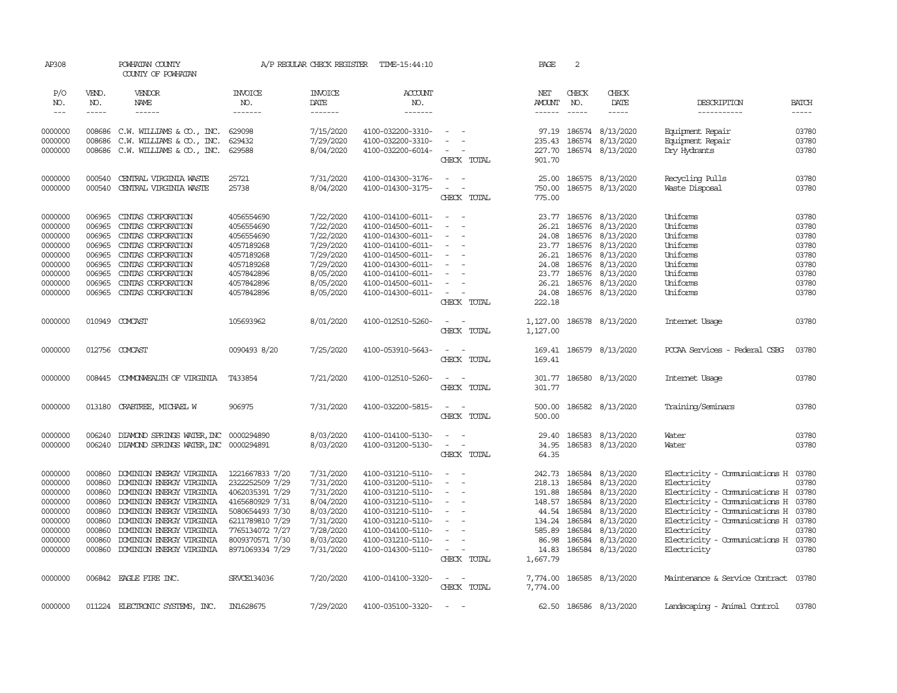| AP308                       |                       | POWHATAN COUNTY<br>COUNTY OF POWHATAN |                                  | A/P REGULAR CHECK REGISTER        | TIME-15:44:10             |                                    | PAGE                                  | 2                                                                                                                                                                                                                                                                                                                                                                                                                                                                                          |                         |                                      |                             |
|-----------------------------|-----------------------|---------------------------------------|----------------------------------|-----------------------------------|---------------------------|------------------------------------|---------------------------------------|--------------------------------------------------------------------------------------------------------------------------------------------------------------------------------------------------------------------------------------------------------------------------------------------------------------------------------------------------------------------------------------------------------------------------------------------------------------------------------------------|-------------------------|--------------------------------------|-----------------------------|
| P/O<br>NO.<br>$\frac{1}{2}$ | VEND.<br>NO.<br>----- | VENDOR<br>NAME                        | <b>INVOICE</b><br>NO.<br>------- | <b>INVOICE</b><br>DATE<br>------- | ACCOUNT<br>NO.<br>------- |                                    | NET<br><b>AMOUNT</b><br>$- - - - - -$ | CHECK<br>NO.<br>$\frac{1}{2} \left( \frac{1}{2} \right) \left( \frac{1}{2} \right) \left( \frac{1}{2} \right) \left( \frac{1}{2} \right) \left( \frac{1}{2} \right) \left( \frac{1}{2} \right) \left( \frac{1}{2} \right) \left( \frac{1}{2} \right) \left( \frac{1}{2} \right) \left( \frac{1}{2} \right) \left( \frac{1}{2} \right) \left( \frac{1}{2} \right) \left( \frac{1}{2} \right) \left( \frac{1}{2} \right) \left( \frac{1}{2} \right) \left( \frac{1}{2} \right) \left( \frac$ | CHECK<br>DATE<br>-----  | DESCRIPTION<br>-----------           | <b>BATCH</b><br>$- - - - -$ |
|                             |                       |                                       |                                  |                                   |                           |                                    |                                       |                                                                                                                                                                                                                                                                                                                                                                                                                                                                                            |                         |                                      |                             |
| 0000000                     | 008686                | C.W. WILLIAMS $\& \text{CO.}$ , INC.  | 629098                           | 7/15/2020                         | 4100-032200-3310-         | $\sim$                             | 97.19                                 |                                                                                                                                                                                                                                                                                                                                                                                                                                                                                            | 186574 8/13/2020        | Equipment Repair                     | 03780                       |
| 0000000                     | 008686                | C.W. WILLIAMS & CO., INC.             | 629432                           | 7/29/2020                         | 4100-032200-3310-         |                                    | 235.43                                | 186574                                                                                                                                                                                                                                                                                                                                                                                                                                                                                     | 8/13/2020               | Equipment Repair                     | 03780                       |
| 0000000                     | 008686                | C.W. WILLIAMS & CO., INC.             | 629588                           | 8/04/2020                         | 4100-032200-6014-         |                                    | 227.70                                |                                                                                                                                                                                                                                                                                                                                                                                                                                                                                            | 186574 8/13/2020        | Dry Hydrants                         | 03780                       |
|                             |                       |                                       |                                  |                                   |                           | CHECK TOTAL                        | 901.70                                |                                                                                                                                                                                                                                                                                                                                                                                                                                                                                            |                         |                                      |                             |
| 0000000                     | 000540                | CENTRAL VIRGINIA WASTE                | 25721                            | 7/31/2020                         | 4100-014300-3176-         | $\equiv$                           | 25.00                                 |                                                                                                                                                                                                                                                                                                                                                                                                                                                                                            | 186575 8/13/2020        | Recycling Pulls                      | 03780                       |
| 0000000                     | 000540                | CENTRAL VIRGINIA WASTE                | 25738                            | 8/04/2020                         | 4100-014300-3175-         | $\sim$<br>$\sim$                   | 750.00                                |                                                                                                                                                                                                                                                                                                                                                                                                                                                                                            | 186575 8/13/2020        | Waste Disposal                       | 03780                       |
|                             |                       |                                       |                                  |                                   |                           | CHECK TOTAL                        | 775.00                                |                                                                                                                                                                                                                                                                                                                                                                                                                                                                                            |                         |                                      |                             |
| 0000000                     | 006965                | CINIAS CORPORATION                    | 4056554690                       | 7/22/2020                         | 4100-014100-6011-         | $\sim$<br>- -                      |                                       |                                                                                                                                                                                                                                                                                                                                                                                                                                                                                            | 23.77 186576 8/13/2020  | Uniforms                             | 03780                       |
| 0000000                     | 006965                | CINIAS CORPORATION                    | 4056554690                       | 7/22/2020                         | 4100-014500-6011-         | $\sim$<br>$\sim$                   | 26.21                                 | 186576                                                                                                                                                                                                                                                                                                                                                                                                                                                                                     | 8/13/2020               | Uniforms                             | 03780                       |
| 0000000                     | 006965                | CINIAS CORPORATION                    | 4056554690                       | 7/22/2020                         | 4100-014300-6011-         | $\equiv$                           | 24.08                                 | 186576                                                                                                                                                                                                                                                                                                                                                                                                                                                                                     | 8/13/2020               | Uniforms                             | 03780                       |
| 0000000                     | 006965                | CINIAS CORPORATION                    | 4057189268                       | 7/29/2020                         | 4100-014100-6011-         | $\sim$                             |                                       |                                                                                                                                                                                                                                                                                                                                                                                                                                                                                            | 23.77 186576 8/13/2020  | Uniforms                             | 03780                       |
| 0000000                     | 006965                | CINIAS CORPORATION                    | 4057189268                       | 7/29/2020                         | 4100-014500-6011-         | $\overline{\phantom{a}}$           | 26.21                                 |                                                                                                                                                                                                                                                                                                                                                                                                                                                                                            | 186576 8/13/2020        | Uniforms                             | 03780                       |
| 0000000                     | 006965                | CINIAS CORPORATION                    | 4057189268                       | 7/29/2020                         | 4100-014300-6011-         | $\equiv$                           | 24.08                                 | 186576                                                                                                                                                                                                                                                                                                                                                                                                                                                                                     | 8/13/2020               | Uniforms                             | 03780                       |
| 0000000                     | 006965                | CINIAS CORPORATION                    | 4057842896                       | 8/05/2020                         | 4100-014100-6011-         | $\sim$                             | 23.77                                 | 186576                                                                                                                                                                                                                                                                                                                                                                                                                                                                                     | 8/13/2020               | Uniforms                             | 03780                       |
| 0000000                     | 006965                | CINIAS CORPORATION                    | 4057842896                       | 8/05/2020                         | 4100-014500-6011-         | $\overline{\phantom{a}}$           | 26.21                                 |                                                                                                                                                                                                                                                                                                                                                                                                                                                                                            | 186576 8/13/2020        | Uniforms                             | 03780                       |
| 0000000                     | 006965                | CINIAS CORPORATION                    | 4057842896                       | 8/05/2020                         | 4100-014300-6011-         | $\sim$                             | 24.08                                 |                                                                                                                                                                                                                                                                                                                                                                                                                                                                                            | 186576 8/13/2020        | Uniforms                             | 03780                       |
|                             |                       |                                       |                                  |                                   |                           | CHECK TOTAL                        | 222.18                                |                                                                                                                                                                                                                                                                                                                                                                                                                                                                                            |                         |                                      |                             |
| 0000000                     |                       | 010949 COMCAST                        | 105693962                        | 8/01/2020                         | 4100-012510-5260-         | $\sim$<br>$\sim$<br>CHECK TOTAL    | 1,127.00<br>1,127.00                  |                                                                                                                                                                                                                                                                                                                                                                                                                                                                                            | 186578 8/13/2020        | Internet Usage                       | 03780                       |
| 0000000                     |                       | 012756 COMCAST                        | 0090493 8/20                     | 7/25/2020                         | 4100-053910-5643-         | $\overline{\phantom{a}}$<br>$\sim$ |                                       |                                                                                                                                                                                                                                                                                                                                                                                                                                                                                            | 169.41 186579 8/13/2020 | PCCAA Services - Federal CSBG        | 03780                       |
|                             |                       |                                       |                                  |                                   |                           | CHECK TOTAL                        | 169.41                                |                                                                                                                                                                                                                                                                                                                                                                                                                                                                                            |                         |                                      |                             |
| 0000000                     |                       | 008445 COMONWEALTH OF VIRGINIA        | T433854                          | 7/21/2020                         | 4100-012510-5260-         | $\sim$ $\sim$                      |                                       |                                                                                                                                                                                                                                                                                                                                                                                                                                                                                            | 301.77 186580 8/13/2020 | Internet Usage                       | 03780                       |
|                             |                       |                                       |                                  |                                   |                           | CHECK TOTAL                        | 301.77                                |                                                                                                                                                                                                                                                                                                                                                                                                                                                                                            |                         |                                      |                             |
| 0000000                     | 013180                | CRABIREE, MICHAEL W                   | 906975                           | 7/31/2020                         | 4100-032200-5815-         | $\sim$ $ \sim$                     | 500.00                                |                                                                                                                                                                                                                                                                                                                                                                                                                                                                                            | 186582 8/13/2020        | Training/Seminars                    | 03780                       |
|                             |                       |                                       |                                  |                                   |                           | CHECK TOTAL                        | 500.00                                |                                                                                                                                                                                                                                                                                                                                                                                                                                                                                            |                         |                                      |                             |
| 0000000                     | 006240                | DIAMOND SPRINGS WATER, INC            | 0000294890                       | 8/03/2020                         | 4100-014100-5130-         | $\sim$<br>$\sim$                   | 29.40                                 | 186583                                                                                                                                                                                                                                                                                                                                                                                                                                                                                     | 8/13/2020               | Water                                | 03780                       |
| 0000000                     | 006240                | DIAMOND SPRINGS WATER, INC            | 0000294891                       | 8/03/2020                         | 4100-031200-5130-         | $\equiv$<br>$\sim$                 | 34.95                                 |                                                                                                                                                                                                                                                                                                                                                                                                                                                                                            | 186583 8/13/2020        | Water                                | 03780                       |
|                             |                       |                                       |                                  |                                   |                           | CHECK TOTAL                        | 64.35                                 |                                                                                                                                                                                                                                                                                                                                                                                                                                                                                            |                         |                                      |                             |
| 0000000                     | 000860                | DOMINION ENERGY VIRGINIA              | 1221667833 7/20                  | 7/31/2020                         | 4100-031210-5110-         |                                    | 242.73                                | 186584                                                                                                                                                                                                                                                                                                                                                                                                                                                                                     | 8/13/2020               | Electricity - Comunications H 03780  |                             |
| 0000000                     | 000860                | DOMINION ENERGY VIRGINIA              | 2322252509 7/29                  | 7/31/2020                         | 4100-031200-5110-         | $\sim$<br>$\overline{a}$           | 218.13                                | 186584                                                                                                                                                                                                                                                                                                                                                                                                                                                                                     | 8/13/2020               | Electricity                          | 03780                       |
| 0000000                     | 000860                | DOMINION ENERGY VIRGINIA              | 4062035391 7/29                  | 7/31/2020                         | 4100-031210-5110-         | $\sim$                             | 191.88                                | 186584                                                                                                                                                                                                                                                                                                                                                                                                                                                                                     | 8/13/2020               | Electricity - Comunications H 03780  |                             |
| 0000000                     | 000860                | DOMINION ENERGY VIRGINIA              | 4165680929 7/31                  | 8/04/2020                         | 4100-031210-5110-         | $\sim$                             | 148.57                                | 186584                                                                                                                                                                                                                                                                                                                                                                                                                                                                                     | 8/13/2020               | Electricity - Comunications H 03780  |                             |
| 0000000                     | 000860                | DOMINION ENERGY VIRGINIA              | 5080654493 7/30                  | 8/03/2020                         | 4100-031210-5110-         | $\overline{\phantom{a}}$           | 44.54                                 | 186584                                                                                                                                                                                                                                                                                                                                                                                                                                                                                     | 8/13/2020               | Electricity - Comunications H 03780  |                             |
| 0000000                     | 000860                | DOMINION ENERGY VIRGINIA              | 6211789810 7/29                  | 7/31/2020                         | 4100-031210-5110-         | $\sim$                             | 134.24                                | 186584                                                                                                                                                                                                                                                                                                                                                                                                                                                                                     | 8/13/2020               | Electricity - Comunications H 03780  |                             |
| 0000000                     | 000860                | DOMINION ENERGY VIRGINIA              | 7765134072 7/27                  | 7/28/2020                         | 4100-014100-5110-         |                                    | 585.89                                | 186584                                                                                                                                                                                                                                                                                                                                                                                                                                                                                     | 8/13/2020               | Electricity                          | 03780                       |
| 0000000                     | 000860                | DOMINION ENERGY VIRGINIA              | 8009370571 7/30                  | 8/03/2020                         | 4100-031210-5110-         | $\equiv$                           | 86.98                                 | 186584                                                                                                                                                                                                                                                                                                                                                                                                                                                                                     | 8/13/2020               | Electricity - Comunications H 03780  |                             |
| 0000000                     | 000860                | DOMINION ENERGY VIRGINIA              | 8971069334 7/29                  | 7/31/2020                         | 4100-014300-5110-         | $\sim$                             | 14.83                                 |                                                                                                                                                                                                                                                                                                                                                                                                                                                                                            | 186584 8/13/2020        | Electricity                          | 03780                       |
|                             |                       |                                       |                                  |                                   |                           | CHECK TOTAL                        | 1,667.79                              |                                                                                                                                                                                                                                                                                                                                                                                                                                                                                            |                         |                                      |                             |
| 0000000                     |                       | 006842 EAGLE FIRE INC.                | <b>SRVCE134036</b>               | 7/20/2020                         | 4100-014100-3320-         | $\overline{\phantom{a}}$           | 7,774.00                              |                                                                                                                                                                                                                                                                                                                                                                                                                                                                                            | 186585 8/13/2020        | Maintenance & Service Contract 03780 |                             |
|                             |                       |                                       |                                  |                                   |                           | CHECK TOTAL                        | 7,774.00                              |                                                                                                                                                                                                                                                                                                                                                                                                                                                                                            |                         |                                      |                             |
| 0000000                     |                       | 011224 ELECTRONIC SYSTEMS, INC.       | IN1628675                        | 7/29/2020                         | 4100-035100-3320-         | $\sim$                             |                                       |                                                                                                                                                                                                                                                                                                                                                                                                                                                                                            | 62.50 186586 8/13/2020  | Landscaping - Animal Control         | 03780                       |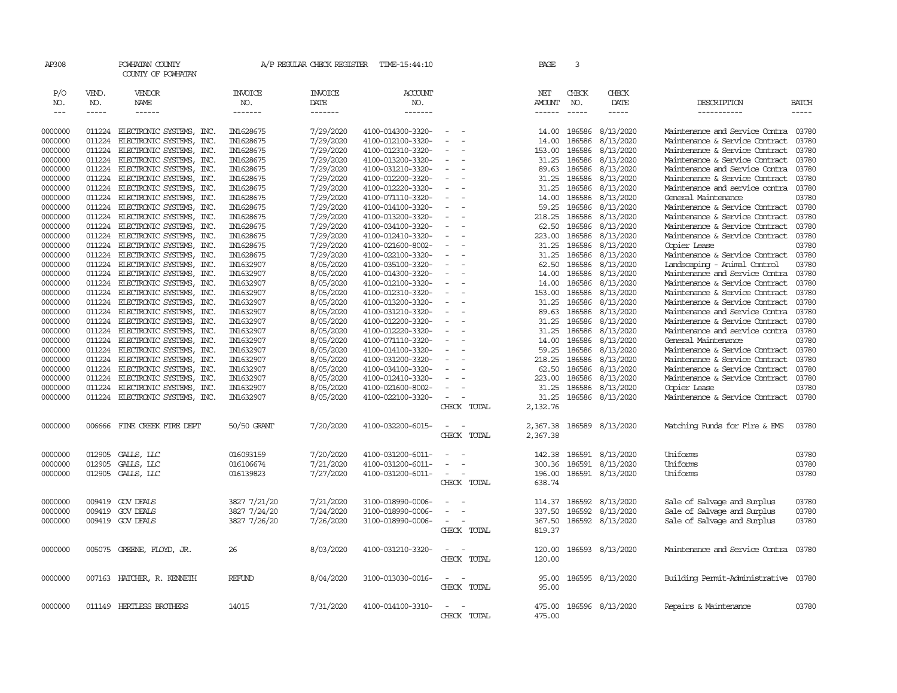| AP308              |                  | POWHATAN COUNTY<br>COUNTY OF POWHATAN                |                        |                        | A/P REGULAR CHECK REGISTER TIME-15:44:10 |                          | PAGE                 | 3                |                        |                                                                  |                |
|--------------------|------------------|------------------------------------------------------|------------------------|------------------------|------------------------------------------|--------------------------|----------------------|------------------|------------------------|------------------------------------------------------------------|----------------|
| P/O<br>NO.         | VEND.<br>NO.     | VENDOR<br>NAME                                       | <b>INVOICE</b><br>NO.  | <b>INVOICE</b><br>DATE | ACCOUNT<br>NO.                           |                          | NET<br><b>AMOUNT</b> | CHECK<br>NO.     | CHECK<br>DATE          | DESCRIPTION                                                      | <b>BATCH</b>   |
| $\frac{1}{2}$      | $- - - - -$      | ------                                               | -------                | -------                | $- - - - - - -$                          |                          | $- - - - - -$        | $- - - - -$      | $\frac{1}{2}$          | -----------                                                      | $- - - - -$    |
| 0000000            | 011224           | ELECTRONIC SYSTEMS, INC.                             | IN1628675              | 7/29/2020              | 4100-014300-3320-                        |                          | 14.00                | 186586           | 8/13/2020              | Maintenance and Service Contra                                   | 03780          |
| 0000000            | 011224           | ELECTRONIC SYSTEMS, INC.                             | IN1628675              | 7/29/2020              | 4100-012100-3320-                        | $\equiv$                 | 14.00                | 186586           | 8/13/2020              | Maintenance & Service Contract                                   | 03780          |
| 0000000            | 011224           | ELECTRONIC SYSTEMS,<br>INC.                          | IN1628675              | 7/29/2020              | 4100-012310-3320-                        | $\equiv$                 | 153.00               | 186586           | 8/13/2020              | Maintenance & Service Contract                                   | 03780          |
| 0000000            | 011224           | ELECTRONIC SYSTEMS, INC.                             | IN1628675              | 7/29/2020              | 4100-013200-3320-                        |                          | 31.25                | 186586           | 8/13/2020              | Maintenance & Service Contract                                   | 03780          |
| 0000000            | 011224           | ELECTRONIC SYSTEMS, INC.                             | IN1628675              | 7/29/2020              | 4100-031210-3320-                        |                          | 89.63                | 186586           | 8/13/2020              | Maintenance and Service Contra                                   | 03780          |
| 0000000            | 011224           | ELECTRONIC SYSTEMS,<br><b>INC</b>                    | IN1628675              | 7/29/2020              | 4100-012200-3320-                        |                          | 31.25                | 186586           | 8/13/2020              | Maintenance & Service Contract                                   | 03780          |
| 0000000            | 011224           | ELECTRONIC SYSTEMS,<br>INC.                          | IN1628675              | 7/29/2020              | 4100-012220-3320-                        |                          | 31.25                | 186586           | 8/13/2020              | Maintenance and service contra                                   | 03780          |
| 0000000            | 011224           | ELECTRONIC SYSTEMS, INC.                             | IN1628675              | 7/29/2020              | 4100-071110-3320-                        |                          | 14.00                | 186586           | 8/13/2020              | General Maintenance                                              | 03780          |
| 0000000            | 011224           | ELECTRONIC SYSTEMS,<br>INC.                          | IN1628675              | 7/29/2020              | 4100-014100-3320-                        |                          | 59.25                | 186586           | 8/13/2020              | Maintenance & Service Contract                                   | 03780          |
| 0000000            | 011224           | ELECTRONIC SYSTEMS, INC.                             | IN1628675              | 7/29/2020              | 4100-013200-3320-                        |                          | 218.25               | 186586           | 8/13/2020              | Maintenance & Service Contract                                   | 03780          |
| 0000000            | 011224           | ELECTRONIC SYSTEMS,<br>INC.                          | IN1628675              | 7/29/2020              | 4100-034100-3320-                        |                          | 62.50                | 186586           | 8/13/2020              | Maintenance & Service Contract                                   | 03780          |
| 0000000            | 011224           | ELECTRONIC SYSTEMS, INC.                             | IN1628675              | 7/29/2020              | 4100-012410-3320-                        |                          | 223.00               | 186586           | 8/13/2020              | Maintenance & Service Contract                                   | 03780          |
| 0000000            | 011224           | ELECTRONIC SYSTEMS, INC.                             | IN1628675              | 7/29/2020              | 4100-021600-8002-                        |                          | 31.25                | 186586           | 8/13/2020              | Copier Lease                                                     | 03780          |
| 0000000            | 011224           | ELECTRONIC SYSTEMS,<br>INC.                          | IN1628675              | 7/29/2020              | 4100-022100-3320-                        |                          | 31.25                | 186586           | 8/13/2020              | Maintenance & Service Contract                                   | 03780          |
| 0000000            | 011224           | INC.<br>ELECTRONIC SYSTEMS,                          | IN1632907              | 8/05/2020              | 4100-035100-3320-                        | $\overline{\phantom{a}}$ | 62.50                | 186586           | 8/13/2020              | Landscaping - Animal Control                                     | 03780          |
| 0000000            | 011224           | ELECTRONIC SYSTEMS, INC.                             | IN1632907              | 8/05/2020              | 4100-014300-3320-                        |                          | 14.00                | 186586           | 8/13/2020              | Maintenance and Service Contra                                   | 03780          |
| 0000000            | 011224           | ELECTRONIC SYSTEMS, INC.                             | IN1632907              | 8/05/2020              | 4100-012100-3320-                        |                          | 14.00                | 186586           | 8/13/2020              | Maintenance & Service Contract                                   | 03780          |
| 0000000            | 011224           | ELECTRONIC SYSTEMS, INC.                             | IN1632907              | 8/05/2020              | 4100-012310-3320-                        |                          | 153.00               | 186586           | 8/13/2020              | Maintenance & Service Contract                                   | 03780          |
| 0000000            | 011224           | ELECTRONIC SYSTEMS,<br>INC.                          | IN1632907              | 8/05/2020              | 4100-013200-3320-                        |                          | 31.25                | 186586           | 8/13/2020              | Maintenance & Service Contract                                   | 03780          |
| 0000000            | 011224           | ELECTRONIC SYSTEMS, INC.                             | IN1632907              | 8/05/2020              | 4100-031210-3320-                        |                          | 89.63                | 186586           | 8/13/2020              | Maintenance and Service Contra                                   | 03780          |
| 0000000            | 011224           | ELECTRONIC SYSTEMS, INC.                             | IN1632907              | 8/05/2020              | 4100-012200-3320-                        |                          | 31.25                | 186586           | 8/13/2020              | Maintenance & Service Contract                                   | 03780          |
| 0000000            | 011224           | ELECTRONIC SYSTEMS, INC.                             | IN1632907              | 8/05/2020              | 4100-012220-3320-                        |                          | 31.25                | 186586           | 8/13/2020              | Maintenance and service contra                                   | 03780          |
| 0000000            | 011224           | ELECTRONIC SYSTEMS,<br>INC.                          | IN1632907              | 8/05/2020              | 4100-071110-3320-                        |                          | 14.00                | 186586           | 8/13/2020              | General Maintenance                                              | 03780<br>03780 |
| 0000000<br>0000000 | 011224<br>011224 | ELECTRONIC SYSTEMS, INC.                             | IN1632907<br>IN1632907 | 8/05/2020<br>8/05/2020 | 4100-014100-3320-<br>4100-031200-3320-   |                          | 59.25<br>218.25      | 186586<br>186586 | 8/13/2020              | Maintenance & Service Contract<br>Maintenance & Service Contract | 03780          |
| 0000000            | 011224           | ELECTRONIC SYSTEMS, INC.<br>ELECTRONIC SYSTEMS, INC. | IN1632907              | 8/05/2020              | 4100-034100-3320-                        |                          | 62.50                | 186586           | 8/13/2020<br>8/13/2020 | Maintenance & Service Contract                                   | 03780          |
| 0000000            | 011224           | ELECTRONIC SYSTEMS,<br>INC.                          | IN1632907              | 8/05/2020              | 4100-012410-3320-                        |                          | 223.00               | 186586           | 8/13/2020              | Maintenance & Service Contract                                   | 03780          |
| 0000000            | 011224           | ELECTRONIC SYSTEMS, INC.                             | IN1632907              | 8/05/2020              | 4100-021600-8002-                        |                          | 31.25                | 186586           | 8/13/2020              | Copier Lease                                                     | 03780          |
| 0000000            |                  | 011224 ELECTRONIC SYSTEMS, INC.                      | IN1632907              | 8/05/2020              | 4100-022100-3320-                        | $\sim$                   | 31.25                |                  | 186586 8/13/2020       | Maintenance & Service Contract                                   | 03780          |
|                    |                  |                                                      |                        |                        |                                          | CHECK TOTAL              | 2,132.76             |                  |                        |                                                                  |                |
| 0000000            | 006666           | FINE CREEK FIRE DEPT                                 | 50/50 GRANT            | 7/20/2020              | 4100-032200-6015-                        | $\sim$<br>$\sim$         | 2,367.38             |                  | 186589 8/13/2020       | Matching Funds for Fire & EMS                                    | 03780          |
|                    |                  |                                                      |                        |                        |                                          | CHECK TOTAL              | 2,367.38             |                  |                        |                                                                  |                |
| 0000000            | 012905           | GALLS, LLC                                           | 016093159              | 7/20/2020              | 4100-031200-6011-                        | $\sim$                   | 142.38               | 186591           | 8/13/2020              | Uniforms                                                         | 03780          |
| 0000000            | 012905           | GALLS, LLC                                           | 016106674              | 7/21/2020              | 4100-031200-6011-                        |                          | 300.36               | 186591           | 8/13/2020              | Uniforms                                                         | 03780          |
| 0000000            | 012905           | GALLS, LLC                                           | 016139823              | 7/27/2020              | 4100-031200-6011-                        | $\sim$                   | 196.00               |                  | 186591 8/13/2020       | Uniforms                                                         | 03780          |
|                    |                  |                                                      |                        |                        |                                          | CHECK TOTAL              | 638.74               |                  |                        |                                                                  |                |
| 0000000            | 009419           | GOV DEALS                                            | 3827 7/21/20           | 7/21/2020              | 3100-018990-0006-                        |                          | 114.37               | 186592           | 8/13/2020              | Sale of Salvage and Surplus                                      | 03780          |
| 0000000            | 009419           | <b>GOV DEALS</b>                                     | 3827 7/24/20           | 7/24/2020              | 3100-018990-0006-                        | $\equiv$                 | 337.50               | 186592           | 8/13/2020              | Sale of Salvage and Surplus                                      | 03780          |
| 0000000            | 009419           | <b>GOV DEALS</b>                                     | 3827 7/26/20           | 7/26/2020              | 3100-018990-0006-                        | $\equiv$                 | 367.50               | 186592           | 8/13/2020              | Sale of Salvage and Surplus                                      | 03780          |
|                    |                  |                                                      |                        |                        |                                          | CHECK TOTAL              | 819.37               |                  |                        |                                                                  |                |
| 0000000            |                  | 005075 GREENE, FLOYD, JR.                            | 26                     | 8/03/2020              | 4100-031210-3320-                        | $\sim$<br>$\sim$         | 120.00               |                  | 186593 8/13/2020       | Maintenance and Service Contra                                   | 03780          |
|                    |                  |                                                      |                        |                        |                                          | CHECK TOTAL              | 120.00               |                  |                        |                                                                  |                |
| 0000000            |                  | 007163 HATCHER, R. KENNETH                           | <b>REFUND</b>          | 8/04/2020              | 3100-013030-0016-                        | $\sim$<br>$\sim$         | 95.00                |                  | 186595 8/13/2020       | Building Permit-Administrative                                   | 03780          |
|                    |                  |                                                      |                        |                        |                                          | CHECK TOTAL              | 95.00                |                  |                        |                                                                  |                |
|                    |                  |                                                      |                        |                        |                                          |                          |                      |                  |                        |                                                                  |                |
| 0000000            |                  | 011149 HERTLESS BROTHERS                             | 14015                  | 7/31/2020              | 4100-014100-3310-                        | $\overline{\phantom{0}}$ | 475.00               |                  | 186596 8/13/2020       | Repairs & Maintenance                                            | 03780          |
|                    |                  |                                                      |                        |                        |                                          | CHECK TOTAL              | 475.00               |                  |                        |                                                                  |                |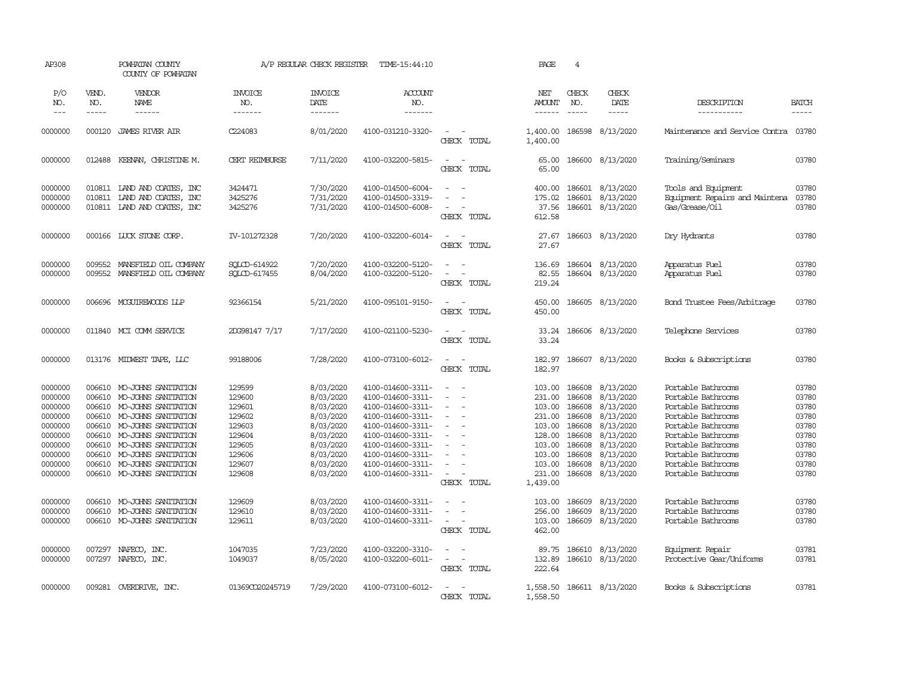| AP308                                                                                                                                       |                                                                                                                      | POWHATAN COUNTY<br>COUNTY OF POWHATAN                                                                                                                                                                                                                                                                          |                                                                                                                                | A/P REGULAR CHECK REGISTER                                                                                                                                            | TIME-15:44:10                                                                                                                                                                                                                                                                 |                                                                                                                                                                                                 | PAGE                                                                                                                                                 | $\overline{4}$                                                                                                                 |                                                                                                                                                                       |                                                                                                                                                                                                                                                                                            |                                                                                                                   |
|---------------------------------------------------------------------------------------------------------------------------------------------|----------------------------------------------------------------------------------------------------------------------|----------------------------------------------------------------------------------------------------------------------------------------------------------------------------------------------------------------------------------------------------------------------------------------------------------------|--------------------------------------------------------------------------------------------------------------------------------|-----------------------------------------------------------------------------------------------------------------------------------------------------------------------|-------------------------------------------------------------------------------------------------------------------------------------------------------------------------------------------------------------------------------------------------------------------------------|-------------------------------------------------------------------------------------------------------------------------------------------------------------------------------------------------|------------------------------------------------------------------------------------------------------------------------------------------------------|--------------------------------------------------------------------------------------------------------------------------------|-----------------------------------------------------------------------------------------------------------------------------------------------------------------------|--------------------------------------------------------------------------------------------------------------------------------------------------------------------------------------------------------------------------------------------------------------------------------------------|-------------------------------------------------------------------------------------------------------------------|
| P/O<br>NO.<br>$---$                                                                                                                         | VEND.<br>NO.<br>$\frac{1}{2}$                                                                                        | VENDOR<br><b>NAME</b><br>------                                                                                                                                                                                                                                                                                | <b>INVOICE</b><br>NO.<br>-------                                                                                               | <b>INVOICE</b><br>DATE<br>-------                                                                                                                                     | <b>ACCOUNT</b><br>NO.<br>-------                                                                                                                                                                                                                                              |                                                                                                                                                                                                 | NET<br><b>AMOUNT</b><br>$- - - - - -$                                                                                                                | CHECK<br>NO.<br>$\frac{1}{2}$                                                                                                  | CHECK<br>DATE<br>$\frac{1}{2}$                                                                                                                                        | DESCRIPTION<br>-----------                                                                                                                                                                                                                                                                 | <b>BATCH</b><br>-----                                                                                             |
| 0000000                                                                                                                                     | 000120                                                                                                               | <b>JAMES RIVER AIR</b>                                                                                                                                                                                                                                                                                         | C224083                                                                                                                        | 8/01/2020                                                                                                                                                             | 4100-031210-3320-                                                                                                                                                                                                                                                             | $\equiv$<br>$\overline{\phantom{a}}$<br>CHECK TOTAL                                                                                                                                             | 1,400.00<br>1,400.00                                                                                                                                 | 186598                                                                                                                         | 8/13/2020                                                                                                                                                             | Maintenance and Service Contra                                                                                                                                                                                                                                                             | 03780                                                                                                             |
| 0000000                                                                                                                                     | 012488                                                                                                               | KEENAN, CHRISTINE M.                                                                                                                                                                                                                                                                                           | CERT REIMBURSE                                                                                                                 | 7/11/2020                                                                                                                                                             | 4100-032200-5815-                                                                                                                                                                                                                                                             | $\sim$<br>$\sim$<br>CHECK TOTAL                                                                                                                                                                 | 65.00<br>65.00                                                                                                                                       | 186600                                                                                                                         | 8/13/2020                                                                                                                                                             | Training/Seminars                                                                                                                                                                                                                                                                          | 03780                                                                                                             |
| 0000000<br>0000000<br>0000000                                                                                                               | 010811                                                                                                               | 010811 IAND AND COATES, INC<br>LAND AND COATES, INC<br>010811 LAND AND COATES, INC                                                                                                                                                                                                                             | 3424471<br>3425276<br>3425276                                                                                                  | 7/30/2020<br>7/31/2020<br>7/31/2020                                                                                                                                   | 4100-014500-6004-<br>4100-014500-3319-<br>4100-014500-6008-                                                                                                                                                                                                                   | $\blacksquare$<br>$\sim$<br>CHECK TOTAL                                                                                                                                                         | 400.00<br>175.02<br>37.56<br>612.58                                                                                                                  | 186601<br>186601                                                                                                               | 8/13/2020<br>8/13/2020<br>186601 8/13/2020                                                                                                                            | Tools and Equipment<br>Equipment Repairs and Maintena<br>Gas/Grease/Oil                                                                                                                                                                                                                    | 03780<br>03780<br>03780                                                                                           |
| 0000000                                                                                                                                     | 000166                                                                                                               | LUCK STONE CORP.                                                                                                                                                                                                                                                                                               | IV-101272328                                                                                                                   | 7/20/2020                                                                                                                                                             | 4100-032200-6014-                                                                                                                                                                                                                                                             | $\overline{\phantom{a}}$<br>$\sim$<br>CHECK TOTAL                                                                                                                                               | 27.67<br>27.67                                                                                                                                       |                                                                                                                                | 186603 8/13/2020                                                                                                                                                      | Dry Hydrants                                                                                                                                                                                                                                                                               | 03780                                                                                                             |
| 0000000<br>0000000                                                                                                                          | 009552<br>009552                                                                                                     | MANSFIELD OIL COMPANY<br>MANSFIELD OIL COMPANY                                                                                                                                                                                                                                                                 | SOLCD-614922<br>SOLCD-617455                                                                                                   | 7/20/2020<br>8/04/2020                                                                                                                                                | 4100-032200-5120-<br>4100-032200-5120-                                                                                                                                                                                                                                        | $\equiv$<br>$\sim$<br>$\blacksquare$<br>$\overline{\phantom{a}}$<br>CHECK TOTAL                                                                                                                 | 136.69<br>82.55<br>219.24                                                                                                                            | 186604                                                                                                                         | 8/13/2020<br>186604 8/13/2020                                                                                                                                         | Apparatus Fuel<br>Apparatus Fuel                                                                                                                                                                                                                                                           | 03780<br>03780                                                                                                    |
| 0000000                                                                                                                                     | 006696                                                                                                               | MCGUIREWOODS LLP                                                                                                                                                                                                                                                                                               | 92366154                                                                                                                       | 5/21/2020                                                                                                                                                             | 4100-095101-9150-                                                                                                                                                                                                                                                             | $\overline{a}$<br>$\sim$<br>CHECK TOTAL                                                                                                                                                         | 450.00<br>450.00                                                                                                                                     |                                                                                                                                | 186605 8/13/2020                                                                                                                                                      | <b>Bond Trustee Fees/Arbitrage</b>                                                                                                                                                                                                                                                         | 03780                                                                                                             |
| 0000000                                                                                                                                     |                                                                                                                      | 011840 MCI COMM SERVICE                                                                                                                                                                                                                                                                                        | 2DG98147 7/17                                                                                                                  | 7/17/2020                                                                                                                                                             | 4100-021100-5230-                                                                                                                                                                                                                                                             | $\sim$<br>$\sim$<br>CHECK TOTAL                                                                                                                                                                 | 33.24<br>33.24                                                                                                                                       |                                                                                                                                | 186606 8/13/2020                                                                                                                                                      | Telephone Services                                                                                                                                                                                                                                                                         | 03780                                                                                                             |
| 0000000                                                                                                                                     | 013176                                                                                                               | MIDWEST TAPE, LLC                                                                                                                                                                                                                                                                                              | 99188006                                                                                                                       | 7/28/2020                                                                                                                                                             | 4100-073100-6012-                                                                                                                                                                                                                                                             | $\sim$<br>$\sim$<br>CHECK TOTAL                                                                                                                                                                 | 182.97<br>182.97                                                                                                                                     |                                                                                                                                | 186607 8/13/2020                                                                                                                                                      | Books & Subscriptions                                                                                                                                                                                                                                                                      | 03780                                                                                                             |
| 0000000<br>0000000<br>0000000<br>0000000<br>0000000<br>0000000<br>0000000<br>0000000<br>0000000<br>0000000<br>0000000<br>0000000<br>0000000 | 006610<br>006610<br>006610<br>006610<br>006610<br>006610<br>006610<br>006610<br>006610<br>006610<br>006610<br>006610 | MO-JOHNS SANITATION<br>MO-JOHNS SANITATION<br>MO-JOHNS SANITATION<br>MO-JOHNS SANITATION<br>MO-JOHNS SANITATION<br>MO-JOHNS SANITATION<br>MO-JOHNS SANITATION<br>MO-JOHNS SANITATION<br>MO-JOHNS SANITATION<br>MO-JOHNS SANITATION<br>MO-JOHNS SANITATION<br>MO-JOHNS SANITATION<br>006610 MO-JOHNS SANITATION | 129599<br>129600<br>129601<br>129602<br>129603<br>129604<br>129605<br>129606<br>129607<br>129608<br>129609<br>129610<br>129611 | 8/03/2020<br>8/03/2020<br>8/03/2020<br>8/03/2020<br>8/03/2020<br>8/03/2020<br>8/03/2020<br>8/03/2020<br>8/03/2020<br>8/03/2020<br>8/03/2020<br>8/03/2020<br>8/03/2020 | 4100-014600-3311-<br>4100-014600-3311-<br>4100-014600-3311-<br>4100-014600-3311-<br>4100-014600-3311-<br>4100-014600-3311-<br>4100-014600-3311-<br>4100-014600-3311-<br>4100-014600-3311-<br>4100-014600-3311-<br>4100-014600-3311-<br>4100-014600-3311-<br>4100-014600-3311- | $\sim$<br>÷<br>$\sim$<br>$\equiv$<br>$\equiv$<br>$\sim$<br>$\sim$<br>$\blacksquare$<br>$\sim$<br>CHECK TOTAL<br>$\overline{\phantom{a}}$<br>$\sim$<br>$\sim$<br>$\sim$<br>$\sim$<br>CHECK TOTAL | 103.00<br>231.00<br>103.00<br>231.00<br>103.00<br>128.00<br>103.00<br>103.00<br>103.00<br>231.00<br>1,439.00<br>103.00<br>256.00<br>103.00<br>462.00 | 186608<br>186608<br>186608<br>186608<br>186608<br>186608<br>186608<br>186608<br>186608<br>186608<br>186609<br>186609<br>186609 | 8/13/2020<br>8/13/2020<br>8/13/2020<br>8/13/2020<br>8/13/2020<br>8/13/2020<br>8/13/2020<br>8/13/2020<br>8/13/2020<br>8/13/2020<br>8/13/2020<br>8/13/2020<br>8/13/2020 | Portable Bathrooms<br>Portable Bathrooms<br>Portable Bathrooms<br>Portable Bathrooms<br>Portable Bathrooms<br>Portable Bathrooms<br>Portable Bathrooms<br>Portable Bathrooms<br>Portable Bathrooms<br>Portable Bathrooms<br>Portable Bathrooms<br>Portable Bathrooms<br>Portable Bathrooms | 03780<br>03780<br>03780<br>03780<br>03780<br>03780<br>03780<br>03780<br>03780<br>03780<br>03780<br>03780<br>03780 |
| 0000000<br>0000000                                                                                                                          | 007297                                                                                                               | NAFECO, INC.<br>007297 NAFECO, INC.                                                                                                                                                                                                                                                                            | 1047035<br>1049037                                                                                                             | 7/23/2020<br>8/05/2020                                                                                                                                                | 4100-032200-3310-<br>4100-032200-6011-                                                                                                                                                                                                                                        | $\overline{\phantom{a}}$<br>$\sim$<br>$\sim$<br>CHECK TOTAL                                                                                                                                     | 89.75<br>132.89<br>222.64                                                                                                                            | 186610                                                                                                                         | 8/13/2020<br>186610 8/13/2020                                                                                                                                         | Equipment Repair<br>Protective Gear/Uniforms                                                                                                                                                                                                                                               | 03781<br>03781                                                                                                    |
| 0000000                                                                                                                                     |                                                                                                                      | 009281 OVERDRIVE, INC.                                                                                                                                                                                                                                                                                         | 01369CO20245719                                                                                                                | 7/29/2020                                                                                                                                                             | 4100-073100-6012-                                                                                                                                                                                                                                                             | CHECK TOTAL                                                                                                                                                                                     | 1,558.50<br>1,558.50                                                                                                                                 |                                                                                                                                | 186611 8/13/2020                                                                                                                                                      | Books & Subscriptions                                                                                                                                                                                                                                                                      | 03781                                                                                                             |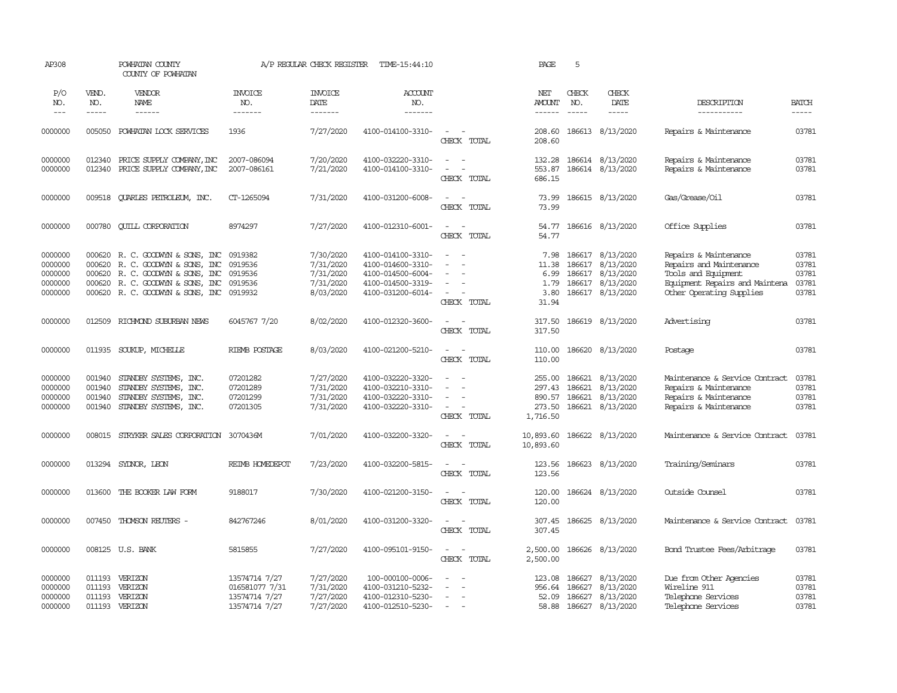| AP308                                               |                                      | POWHATAN COUNTY<br>COUNTY OF POWHATAN                                                                                                                                             |                                                                   | A/P REGULAR CHECK REGISTER                                    | TIME-15:44:10                                                                                         |                                                                                       | PAGE                                             | 5                          |                                                                                           |                                                                                                                                       |                                           |
|-----------------------------------------------------|--------------------------------------|-----------------------------------------------------------------------------------------------------------------------------------------------------------------------------------|-------------------------------------------------------------------|---------------------------------------------------------------|-------------------------------------------------------------------------------------------------------|---------------------------------------------------------------------------------------|--------------------------------------------------|----------------------------|-------------------------------------------------------------------------------------------|---------------------------------------------------------------------------------------------------------------------------------------|-------------------------------------------|
| P/O<br>NO.<br>$---$                                 | VEND.<br>NO.<br>$- - - - -$          | <b>VENDOR</b><br><b>NAME</b><br>$- - - - - -$                                                                                                                                     | <b>INVOICE</b><br>NO.<br>-------                                  | <b>INVOICE</b><br>DATE<br>-------                             | <b>ACCOUNT</b><br>NO.<br>-------                                                                      |                                                                                       | NET<br><b>AMOUNT</b><br>$- - - - - -$            | CHECK<br>NO.<br>$\cdots$   | CHECK<br>DATE<br>-----                                                                    | DESCRIPTION<br>-----------                                                                                                            | <b>BATCH</b><br>-----                     |
| 0000000                                             | 005050                               | POWHATAN LOCK SERVICES                                                                                                                                                            | 1936                                                              | 7/27/2020                                                     | 4100-014100-3310-                                                                                     | $\sim$<br>$\sim$<br>CHECK TOTAL                                                       | 208.60<br>208.60                                 |                            | 186613 8/13/2020                                                                          | Repairs & Maintenance                                                                                                                 | 03781                                     |
| 0000000<br>0000000                                  | 012340<br>012340                     | PRICE SUPPLY COMPANY, INC<br>PRICE SUPPLY COMPANY, INC                                                                                                                            | 2007-086094<br>2007-086161                                        | 7/20/2020<br>7/21/2020                                        | 4100-032220-3310-<br>4100-014100-3310-                                                                | $\sim$ $ \sim$<br>$\overline{\phantom{a}}$<br>$\overline{\phantom{a}}$<br>CHECK TOTAL | 553.87<br>686.15                                 |                            | 132.28 186614 8/13/2020<br>186614 8/13/2020                                               | Repairs & Maintenance<br>Repairs & Maintenance                                                                                        | 03781<br>03781                            |
| 0000000                                             | 009518                               | <b>QUARLES PETROLEUM, INC.</b>                                                                                                                                                    | CT-1265094                                                        | 7/31/2020                                                     | 4100-031200-6008-                                                                                     | $\sim$<br>$\sim$<br>CHECK TOTAL                                                       | 73.99<br>73.99                                   |                            | 186615 8/13/2020                                                                          | Gas/Grease/Oil                                                                                                                        | 03781                                     |
| 0000000                                             | 000780                               | <b>QUILL CORPORATION</b>                                                                                                                                                          | 8974297                                                           | 7/27/2020                                                     | 4100-012310-6001-                                                                                     | $\sim$<br>$\sim$<br>CHECK TOTAL                                                       | 54.77<br>54.77                                   |                            | 186616 8/13/2020                                                                          | Office Supplies                                                                                                                       | 03781                                     |
| 0000000<br>0000000<br>0000000<br>0000000<br>0000000 | 000620<br>000620                     | 000620 R.C. GOODWYN & SONS, INC<br>R. C. GOODWYN & SONS, INC<br>R. C. GOODWIN & SONS, INC 0919536<br>000620 R. C. GOODWIN & SONS, INC<br>000620 R. C. GOODWYN & SONS, INC 0919932 | 0919382<br>0919536<br>0919536                                     | 7/30/2020<br>7/31/2020<br>7/31/2020<br>7/31/2020<br>8/03/2020 | 4100-014100-3310-<br>4100-014600-3310-<br>4100-014500-6004-<br>4100-014500-3319-<br>4100-031200-6014- | $\equiv$<br>$\sim$<br>$\sim$<br>$\overline{\phantom{a}}$<br>CHECK TOTAL               | 7.98<br>11.38<br>6.99<br>1.79<br>3.80<br>31.94   | 186617                     | 186617 8/13/2020<br>8/13/2020<br>186617 8/13/2020<br>186617 8/13/2020<br>186617 8/13/2020 | Repairs & Maintenance<br>Repairs and Maintenance<br>Tools and Equipment<br>Equipment Repairs and Maintena<br>Other Operating Supplies | 03781<br>03781<br>03781<br>03781<br>03781 |
| 0000000                                             | 012509                               | RICHMOND SUBURBAN NEWS                                                                                                                                                            | 6045767 7/20                                                      | 8/02/2020                                                     | 4100-012320-3600-                                                                                     | $\sim$ $\sim$<br>CHECK TOTAL                                                          | 317.50                                           |                            | 317.50 186619 8/13/2020                                                                   | Advertising                                                                                                                           | 03781                                     |
| 0000000                                             | 011935                               | SOUKUP, MICHELLE                                                                                                                                                                  | RIEMB POSTAGE                                                     | 8/03/2020                                                     | 4100-021200-5210-                                                                                     | $\sim$ $ \sim$<br>CHECK TOTAL                                                         | 110.00<br>110.00                                 |                            | 186620 8/13/2020                                                                          | Postage                                                                                                                               | 03781                                     |
| 0000000<br>0000000<br>0000000<br>0000000            | 001940<br>001940<br>001940<br>001940 | STANDBY SYSTEMS, INC.<br>STANDBY SYSTEMS, INC.<br>STANDBY SYSTEMS, INC.<br>STANDBY SYSTEMS, INC.                                                                                  | 07201282<br>07201289<br>07201299<br>07201305                      | 7/27/2020<br>7/31/2020<br>7/31/2020<br>7/31/2020              | 4100-032220-3320-<br>4100-032210-3310-<br>4100-032220-3310-<br>4100-032220-3310-                      | $\equiv$<br>$\equiv$<br>$\sim$<br>$\sim$<br>CHECK TOTAL                               | 255.00<br>297.43<br>890.57<br>273.50<br>1,716.50 | 186621<br>186621           | 186621 8/13/2020<br>8/13/2020<br>8/13/2020<br>186621 8/13/2020                            | Maintenance & Service Contract<br>Repairs & Maintenance<br>Repairs & Maintenance<br>Repairs & Maintenance                             | 03781<br>03781<br>03781<br>03781          |
| 0000000                                             | 008015                               | STRYKER SALES CORPORATION                                                                                                                                                         | 3070436M                                                          | 7/01/2020                                                     | 4100-032200-3320-                                                                                     | $\sim$<br>$\sim$<br>CHECK TOTAL                                                       | 10,893.60<br>10,893.60                           |                            | 186622 8/13/2020                                                                          | Maintenance & Service Contract                                                                                                        | 03781                                     |
| 0000000                                             | 013294                               | SYDNOR, LEON                                                                                                                                                                      | REIMB HOMEDEPOT                                                   | 7/23/2020                                                     | 4100-032200-5815-                                                                                     | $\sim$<br>$\sim$<br>CHECK TOTAL                                                       | 123.56<br>123.56                                 |                            | 186623 8/13/2020                                                                          | Training/Seminars                                                                                                                     | 03781                                     |
| 0000000                                             | 013600                               | THE BOOKER LAW FORM                                                                                                                                                               | 9188017                                                           | 7/30/2020                                                     | 4100-021200-3150-                                                                                     | $\overline{\phantom{a}}$<br>$\sim$<br>CHECK TOTAL                                     | 120.00<br>120.00                                 |                            | 186624 8/13/2020                                                                          | Outside Counsel                                                                                                                       | 03781                                     |
| 0000000                                             |                                      | 007450 THOMSON REUTERS -                                                                                                                                                          | 842767246                                                         | 8/01/2020                                                     | 4100-031200-3320-                                                                                     | $\sim$ $\sim$<br>CHECK TOTAL                                                          | 307.45                                           |                            | 307.45 186625 8/13/2020                                                                   | Maintenance & Service Contract 03781                                                                                                  |                                           |
| 0000000                                             |                                      | 008125 U.S. BANK                                                                                                                                                                  | 5815855                                                           | 7/27/2020                                                     | 4100-095101-9150-                                                                                     | $\sim$<br>$\sim$<br>CHECK TOTAL                                                       | 2,500.00<br>2,500.00                             |                            | 186626 8/13/2020                                                                          | Bond Trustee Fees/Arbitrage                                                                                                           | 03781                                     |
| 0000000<br>0000000<br>0000000<br>0000000            | 011193<br>011193<br>011193           | VERIZON<br>VERIZON<br>VERIZON<br>011193 VERIZON                                                                                                                                   | 13574714 7/27<br>016581077 7/31<br>13574714 7/27<br>13574714 7/27 | 7/27/2020<br>7/31/2020<br>7/27/2020<br>7/27/2020              | 100-000100-0006-<br>4100-031210-5232-<br>4100-012310-5230-<br>4100-012510-5230-                       | $\sim$<br>$\sim$                                                                      | 123.08<br>956.64<br>52.09<br>58.88               | 186627<br>186627<br>186627 | 8/13/2020<br>8/13/2020<br>8/13/2020<br>186627 8/13/2020                                   | Due from Other Agencies<br>Wireline 911<br>Telephone Services<br>Telephone Services                                                   | 03781<br>03781<br>03781<br>03781          |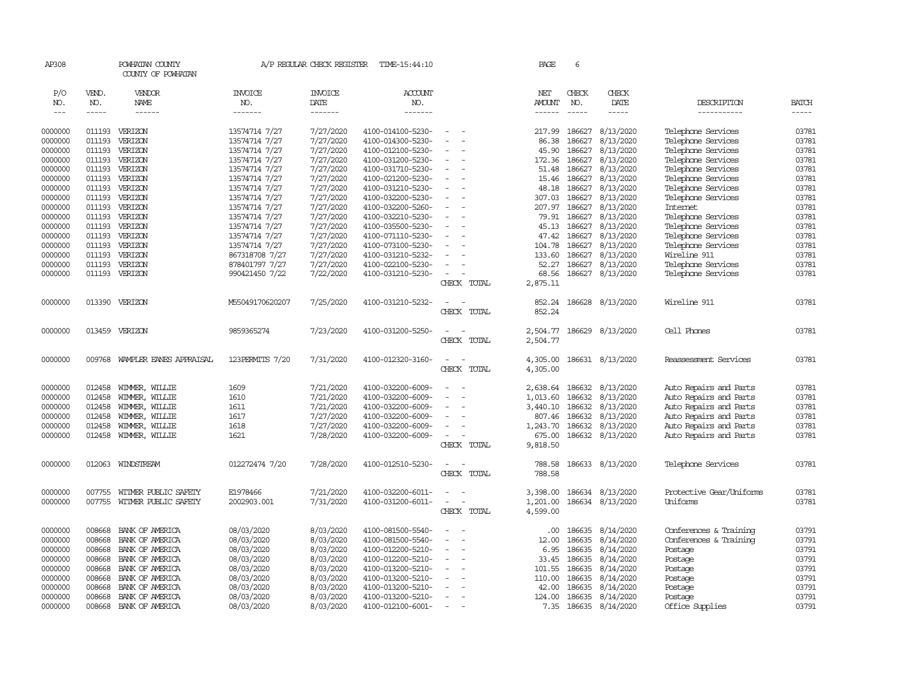| AP308              |                  | POWHATAN COUNTY<br>COUNTY OF POWHATAN |                                | A/P REGULAR CHECK REGISTER | TIME-15:44:10         |        |             | PAGE           | 6            |                               |                                       |                |
|--------------------|------------------|---------------------------------------|--------------------------------|----------------------------|-----------------------|--------|-------------|----------------|--------------|-------------------------------|---------------------------------------|----------------|
| P/O<br>NO.         | VEND.<br>NO.     | VENDOR<br>NAME                        | <b>INVOICE</b><br>NO.          | <b>INVOICE</b><br>DATE     | <b>ACCOUNT</b><br>NO. |        |             | NET<br>AMOUNT  | CHECK<br>NO. | CHECK<br>DATE                 | DESCRIPTION                           | <b>BATCH</b>   |
| $---$              | $- - - - -$      | $- - - - - -$                         | -------                        | -------                    | -------               |        |             | ------         | $- - - - -$  | $- - - - -$                   | -----------                           | -----          |
| 0000000            | 011193           | VERIZON                               | 13574714 7/27                  | 7/27/2020                  | 4100-014100-5230-     |        |             | 217.99         | 186627       | 8/13/2020                     | Telephone Services                    | 03781          |
| 0000000            | 011193           | VERIZON                               | 13574714 7/27                  | 7/27/2020                  | 4100-014300-5230-     |        |             | 86.38          | 186627       | 8/13/2020                     | Telephone Services                    | 03781          |
| 0000000            | 011193           | VERIZON                               | 13574714 7/27                  | 7/27/2020                  | 4100-012100-5230-     |        |             | 45.90          | 186627       | 8/13/2020                     | Telephone Services                    | 03781          |
| 0000000            | 011193           | VERIZON                               | 13574714 7/27                  | 7/27/2020                  | 4100-031200-5230-     |        |             | 172.36         | 186627       | 8/13/2020                     | Telephone Services                    | 03781          |
| 0000000            | 011193           | VERIZON                               | 13574714 7/27                  | 7/27/2020                  | 4100-031710-5230-     |        |             | 51.48          | 186627       | 8/13/2020                     | Telephone Services                    | 03781          |
| 0000000            | 011193           | VERIZON                               | 13574714 7/27                  | 7/27/2020                  | 4100-021200-5230-     |        |             | 15.46          | 186627       | 8/13/2020                     | Telephone Services                    | 03781          |
| 0000000            | 011193           | VERIZON                               | 13574714 7/27                  | 7/27/2020                  | 4100-031210-5230-     |        |             | 48.18          | 186627       | 8/13/2020                     | Telephone Services                    | 03781          |
| 0000000            | 011193           | VERIZON                               |                                | 7/27/2020                  | 4100-032200-5230-     |        |             | 307.03         | 186627       | 8/13/2020                     |                                       | 03781          |
| 0000000            | 011193           | VERIZON                               | 13574714 7/27<br>13574714 7/27 | 7/27/2020                  | 4100-032200-5260-     |        |             | 207.97         | 186627       | 8/13/2020                     | Telephone Services<br><b>Internet</b> | 03781          |
| 0000000            | 011193           | VERIZON                               | 13574714 7/27                  | 7/27/2020                  | 4100-032210-5230-     |        |             | 79.91          | 186627       | 8/13/2020                     | Telephone Services                    | 03781          |
|                    | 011193           | VERIZON                               |                                | 7/27/2020                  | 4100-035500-5230-     |        |             | 45.13          | 186627       | 8/13/2020                     | Telephone Services                    | 03781          |
| 0000000<br>0000000 | 011193           | VERIZON                               | 13574714 7/27                  | 7/27/2020                  | 4100-071110-5230-     |        |             | 47.42          | 186627       | 8/13/2020                     |                                       | 03781          |
|                    | 011193           | VERIZON                               | 13574714 7/27                  | 7/27/2020                  |                       |        |             |                | 186627       | 8/13/2020                     | Telephone Services                    | 03781          |
| 0000000            |                  |                                       | 13574714 7/27                  |                            | 4100-073100-5230-     |        |             | 104.78         |              |                               | Telephone Services                    |                |
| 0000000            | 011193           | VERIZON                               | 867318708 7/27                 | 7/27/2020                  | 4100-031210-5232-     |        |             | 133.60         | 186627       | 8/13/2020                     | Wireline 911                          | 03781<br>03781 |
| 0000000            | 011193<br>011193 | VERIZON                               | 878401797 7/27                 | 7/27/2020                  | 4100-022100-5230-     |        |             | 52.27<br>68.56 | 186627       | 8/13/2020<br>186627 8/13/2020 | Telephone Services                    | 03781          |
| 0000000            |                  | VERIZON                               | 990421450 7/22                 | 7/22/2020                  | 4100-031210-5230-     |        |             |                |              |                               | Telephone Services                    |                |
|                    |                  |                                       |                                |                            |                       |        | CHECK TOTAL | 2,875.11       |              |                               |                                       |                |
| 0000000            | 013390           | VERIZON                               | M55049170620207                | 7/25/2020                  | 4100-031210-5232-     | $\sim$ |             | 852.24         | 186628       | 8/13/2020                     | Wireline 911                          | 03781          |
|                    |                  |                                       |                                |                            |                       |        | CHECK TOTAL | 852.24         |              |                               |                                       |                |
| 0000000            | 013459           | VERIZON                               | 9859365274                     | 7/23/2020                  | 4100-031200-5250-     |        |             | 2,504.77       | 186629       | 8/13/2020                     | Cell Phones                           | 03781          |
|                    |                  |                                       |                                |                            |                       |        | CHECK TOTAL | 2,504.77       |              |                               |                                       |                |
|                    |                  |                                       |                                |                            |                       |        |             |                |              |                               |                                       |                |
| 0000000            |                  | 009768 WAMPLER EANES APPRAISAL        | 123PERMITS 7/20                | 7/31/2020                  | 4100-012320-3160-     | $\sim$ |             | 4,305.00       |              | 186631 8/13/2020              | Reassessment Services                 | 03781          |
|                    |                  |                                       |                                |                            |                       |        | CHECK TOTAL | 4,305.00       |              |                               |                                       |                |
| 0000000            | 012458           | WIMMER, WILLIE                        | 1609                           | 7/21/2020                  | 4100-032200-6009-     |        |             | 2,638.64       | 186632       | 8/13/2020                     | Auto Repairs and Parts                | 03781          |
| 0000000            | 012458           | WIMMER, WILLIE                        | 1610                           | 7/21/2020                  | 4100-032200-6009-     |        |             | 1,013.60       | 186632       | 8/13/2020                     | Auto Repairs and Parts                | 03781          |
| 0000000            | 012458           | WIMMER, WILLIE                        | 1611                           | 7/21/2020                  | 4100-032200-6009-     |        |             | 3,440.10       |              | 186632 8/13/2020              | Auto Repairs and Parts                | 03781          |
| 0000000            | 012458           | WIMMER, WILLIE                        | 1617                           | 7/27/2020                  | 4100-032200-6009-     |        |             | 807.46         | 186632       | 8/13/2020                     | Auto Repairs and Parts                | 03781          |
| 0000000            | 012458           | WIMMER, WILLIE                        | 1618                           | 7/27/2020                  | 4100-032200-6009-     |        |             | 1,243.70       | 186632       | 8/13/2020                     | Auto Repairs and Parts                | 03781          |
| 0000000            | 012458           | WIMMER, WILLIE                        | 1621                           | 7/28/2020                  | 4100-032200-6009-     |        |             | 675.00         |              | 186632 8/13/2020              | Auto Repairs and Parts                | 03781          |
|                    |                  |                                       |                                |                            |                       |        | CHECK TOTAL | 9,818.50       |              |                               |                                       |                |
| 0000000            | 012063           | WINDSTREAM                            | 012272474 7/20                 | 7/28/2020                  | 4100-012510-5230-     | $\sim$ |             | 788.58         |              | 186633 8/13/2020              | Telephone Services                    | 03781          |
|                    |                  |                                       |                                |                            |                       |        | CHECK TOTAL | 788.58         |              |                               |                                       |                |
| 0000000            | 007755           | WITMER PUBLIC SAFETY                  | E1978466                       | 7/21/2020                  | 4100-032200-6011-     |        |             | 3,398.00       | 186634       | 8/13/2020                     | Protective Gear/Uniforms              | 03781          |
| 0000000            | 007755           | WITMER PUBLIC SAFETY                  | 2002903.001                    | 7/31/2020                  | 4100-031200-6011-     |        |             | 1,201.00       | 186634       | 8/13/2020                     | Uniforms                              | 03781          |
|                    |                  |                                       |                                |                            |                       |        | CHECK TOTAL | 4,599.00       |              |                               |                                       |                |
|                    |                  |                                       |                                |                            |                       |        |             |                |              |                               |                                       |                |
| 0000000            | 008668           | BANK OF AMERICA                       | 08/03/2020                     | 8/03/2020                  | 4100-081500-5540-     |        |             | .00.           | 186635       | 8/14/2020                     | Conferences & Training                | 03791          |
| 0000000            | 008668           | BANK OF AMERICA                       | 08/03/2020                     | 8/03/2020                  | 4100-081500-5540-     |        |             | 12.00          | 186635       | 8/14/2020                     | Conferences & Training                | 03791          |
| 0000000            | 008668           | BANK OF AMERICA                       | 08/03/2020                     | 8/03/2020                  | 4100-012200-5210-     |        |             | 6.95           | 186635       | 8/14/2020                     | Postage                               | 03791          |
| 0000000            | 008668           | BANK OF AMERICA                       | 08/03/2020                     | 8/03/2020                  | 4100-012200-5210-     |        |             | 33.45          | 186635       | 8/14/2020                     | Postage                               | 03791          |
| 0000000            | 008668           | BANK OF AMERICA                       | 08/03/2020                     | 8/03/2020                  | 4100-013200-5210-     |        |             | 101.55         | 186635       | 8/14/2020                     | Postage                               | 03791          |
| 0000000            | 008668           | BANK OF AMERICA                       | 08/03/2020                     | 8/03/2020                  | 4100-013200-5210-     |        |             | 110.00         | 186635       | 8/14/2020                     | Postage                               | 03791          |
| 0000000            | 008668           | BANK OF AMERICA                       | 08/03/2020                     | 8/03/2020                  | 4100-013200-5210-     |        |             | 42.00          | 186635       | 8/14/2020                     | Postage                               | 03791          |
| 0000000            | 008668           | BANK OF AMERICA                       | 08/03/2020                     | 8/03/2020                  | 4100-013200-5210-     |        |             | 124.00         | 186635       | 8/14/2020                     | Postage                               | 03791          |
| 0000000            | 008668           | BANK OF AMERICA                       | 08/03/2020                     | 8/03/2020                  | 4100-012100-6001-     |        |             | 7.35           |              | 186635 8/14/2020              | Office Supplies                       | 03791          |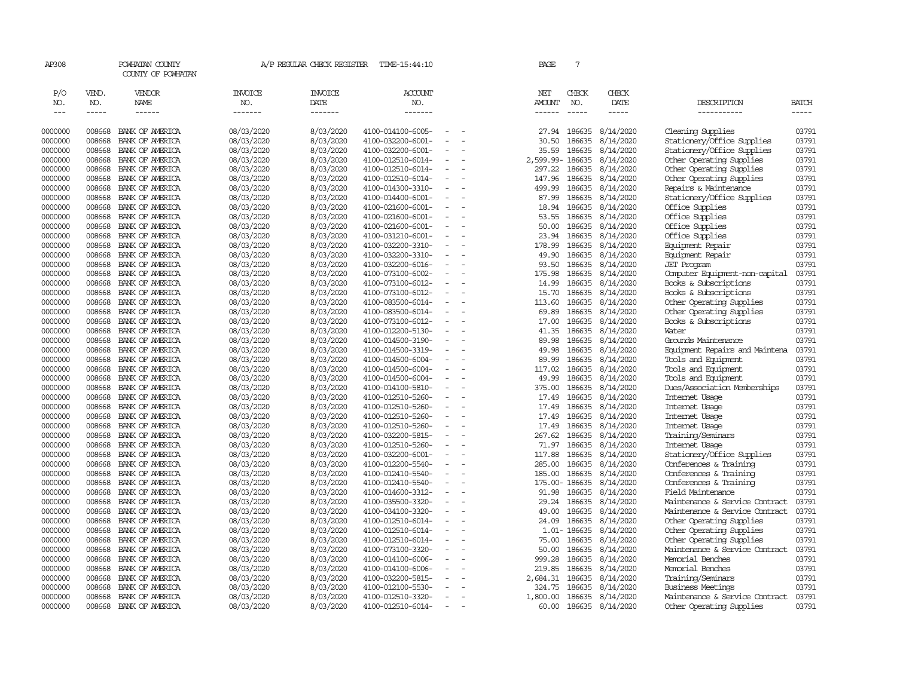| AP308                       |                             | POWHATAN COUNTY<br>COUNTY OF POWHATAN |                                  | A/P REGULAR CHECK REGISTER        | TIME-15:44:10             |                          |        | PAGE                                  | 7                             |                        |                                |                |
|-----------------------------|-----------------------------|---------------------------------------|----------------------------------|-----------------------------------|---------------------------|--------------------------|--------|---------------------------------------|-------------------------------|------------------------|--------------------------------|----------------|
| P/O<br>NO.<br>$\frac{1}{2}$ | VEND.<br>NO.<br>$- - - - -$ | VENDOR<br>NAME<br>$- - - - - -$       | <b>INVOICE</b><br>NO.<br>------- | <b>INVOICE</b><br>DATE<br>------- | ACCOUNT<br>NO.<br>------- |                          |        | NET<br><b>AMOUNT</b><br>$- - - - - -$ | CHECK<br>NO.<br>$\frac{1}{2}$ | CHECK<br>DATE<br>----- | DESCRIPTION<br>-----------     | BATCH<br>----- |
| 0000000                     | 008668                      | BANK OF AMERICA                       | 08/03/2020                       | 8/03/2020                         | 4100-014100-6005-         |                          |        | 27.94                                 | 186635                        | 8/14/2020              | Cleaning Supplies              | 03791          |
| 0000000                     | 008668                      | BANK OF AMERICA                       | 08/03/2020                       | 8/03/2020                         | 4100-032200-6001-         | $\equiv$                 |        | 30.50                                 | 186635                        | 8/14/2020              | Stationery/Office Supplies     | 03791          |
| 0000000                     | 008668                      | BANK OF AMERICA                       | 08/03/2020                       | 8/03/2020                         | 4100-032200-6001-         | $\equiv$                 |        | 35.59                                 | 186635                        | 8/14/2020              | Stationery/Office Supplies     | 03791          |
| 0000000                     | 008668                      | BANK OF AMERICA                       | 08/03/2020                       | 8/03/2020                         | 4100-012510-6014-         | $\overline{\phantom{a}}$ |        | 2,599.99-186635                       |                               | 8/14/2020              | Other Operating Supplies       | 03791          |
| 0000000                     | 008668                      | BANK OF AMERICA                       | 08/03/2020                       | 8/03/2020                         | 4100-012510-6014-         |                          |        | 297.22                                | 186635                        | 8/14/2020              | Other Operating Supplies       | 03791          |
| 0000000                     | 008668                      | BANK OF AMERICA                       | 08/03/2020                       | 8/03/2020                         | 4100-012510-6014-         | $\sim$                   |        | 147.96                                | 186635                        | 8/14/2020              | Other Operating Supplies       | 03791          |
| 0000000                     | 008668                      | BANK OF AMERICA                       | 08/03/2020                       | 8/03/2020                         | 4100-014300-3310-         | $\sim$                   |        | 499.99                                | 186635                        | 8/14/2020              | Repairs & Maintenance          | 03791          |
| 0000000                     | 008668                      | BANK OF AMERICA                       | 08/03/2020                       | 8/03/2020                         | 4100-014400-6001-         |                          |        | 87.99                                 | 186635                        | 8/14/2020              | Stationery/Office Supplies     | 03791          |
| 0000000                     | 008668                      | BANK OF AMERICA                       | 08/03/2020                       | 8/03/2020                         | 4100-021600-6001-         | $\sim$                   |        | 18.94                                 | 186635                        | 8/14/2020              | Office Supplies                | 03791          |
| 0000000                     | 008668                      | BANK OF AMERICA                       | 08/03/2020                       | 8/03/2020                         | 4100-021600-6001-         | $\equiv$                 |        | 53.55                                 | 186635                        | 8/14/2020              | Office Supplies                | 03791          |
| 0000000                     | 008668                      | BANK OF AMERICA                       | 08/03/2020                       | 8/03/2020                         | 4100-021600-6001-         | $\equiv$                 |        | 50.00                                 | 186635                        | 8/14/2020              | Office Supplies                | 03791          |
| 0000000                     | 008668                      | BANK OF AMERICA                       | 08/03/2020                       | 8/03/2020                         | 4100-031210-6001-         |                          |        | 23.94                                 | 186635                        | 8/14/2020              | Office Supplies                | 03791          |
| 0000000                     | 008668                      | BANK OF AMERICA                       | 08/03/2020                       | 8/03/2020                         | 4100-032200-3310-         | $\equiv$                 | $\sim$ | 178.99                                | 186635                        | 8/14/2020              | Equipment Repair               | 03791          |
| 0000000                     | 008668                      | BANK OF AMERICA                       | 08/03/2020                       | 8/03/2020                         | 4100-032200-3310-         | $\sim$                   |        | 49.90                                 | 186635                        | 8/14/2020              | Equipment Repair               | 03791          |
| 0000000                     | 008668                      | BANK OF AMERICA                       | 08/03/2020                       | 8/03/2020                         | 4100-032200-6016-         | $\equiv$                 |        | 93.50                                 | 186635                        | 8/14/2020              | <b>JET</b> Program             | 03791          |
| 0000000                     | 008668                      | BANK OF AMERICA                       | 08/03/2020                       | 8/03/2020                         | 4100-073100-6002-         | $\equiv$                 |        | 175.98                                | 186635                        | 8/14/2020              | Computer Equipment-non-capital | 03791          |
| 0000000                     | 008668                      | BANK OF AMERICA                       | 08/03/2020                       | 8/03/2020                         | 4100-073100-6012-         | $\equiv$                 |        | 14.99                                 | 186635                        | 8/14/2020              | Books & Subscriptions          | 03791          |
| 0000000                     | 008668                      | BANK OF AMERICA                       | 08/03/2020                       | 8/03/2020                         | 4100-073100-6012-         | $\equiv$                 |        | 15.70                                 | 186635                        | 8/14/2020              | Books & Subscriptions          | 03791          |
| 0000000                     | 008668                      | BANK OF AMERICA                       | 08/03/2020                       | 8/03/2020                         | 4100-083500-6014-         |                          |        | 113.60                                | 186635                        | 8/14/2020              | Other Operating Supplies       | 03791          |
| 0000000                     | 008668                      | BANK OF AMERICA                       | 08/03/2020                       | 8/03/2020                         | 4100-083500-6014-         | $\equiv$                 |        | 69.89                                 | 186635                        | 8/14/2020              | Other Operating Supplies       | 03791          |
| 0000000                     | 008668                      | BANK OF AMERICA                       | 08/03/2020                       | 8/03/2020                         | 4100-073100-6012-         |                          |        | 17.00                                 | 186635                        | 8/14/2020              | Books & Subscriptions          | 03791          |
| 0000000                     | 008668                      | BANK OF AMERICA                       | 08/03/2020                       | 8/03/2020                         | 4100-012200-5130-         | $\equiv$                 |        | 41.35                                 | 186635                        | 8/14/2020              | Water                          | 03791          |
| 0000000                     | 008668                      | BANK OF AMERICA                       | 08/03/2020                       | 8/03/2020                         | 4100-014500-3190-         |                          |        | 89.98                                 | 186635                        | 8/14/2020              | Grounds Maintenance            | 03791          |
| 0000000                     | 008668                      | BANK OF AMERICA                       | 08/03/2020                       | 8/03/2020                         | 4100-014500-3319-         | $\sim$                   |        | 49.98                                 | 186635                        | 8/14/2020              | Equipment Repairs and Maintena | 03791          |
| 0000000                     | 008668                      | BANK OF AMERICA                       | 08/03/2020                       | 8/03/2020                         | 4100-014500-6004-         | $\overline{\phantom{a}}$ |        | 89.99                                 | 186635                        | 8/14/2020              | Tools and Equipment            | 03791          |
| 0000000                     | 008668                      | BANK OF AMERICA                       | 08/03/2020                       | 8/03/2020                         | 4100-014500-6004-         |                          |        | 117.02                                | 186635                        | 8/14/2020              | Tools and Equipment            | 03791          |
| 0000000                     | 008668                      | BANK OF AMERICA                       | 08/03/2020                       | 8/03/2020                         | 4100-014500-6004-         | $\equiv$                 |        | 49.99                                 | 186635                        | 8/14/2020              | Tools and Equipment            | 03791          |
| 0000000                     | 008668                      | BANK OF AMERICA                       | 08/03/2020                       | 8/03/2020                         | 4100-014100-5810-         | $\overline{\phantom{a}}$ |        | 375.00                                | 186635                        | 8/14/2020              | Dues/Association Memberships   | 03791          |
| 0000000                     | 008668                      | BANK OF AMERICA                       | 08/03/2020                       | 8/03/2020                         | 4100-012510-5260-         | $\equiv$                 |        | 17.49                                 | 186635                        | 8/14/2020              | Internet Usage                 | 03791          |
| 0000000                     | 008668                      | BANK OF AMERICA                       | 08/03/2020                       | 8/03/2020                         | 4100-012510-5260-         |                          |        | 17.49                                 | 186635                        | 8/14/2020              | Internet Usage                 | 03791          |
| 0000000                     | 008668                      | BANK OF AMERICA                       | 08/03/2020                       | 8/03/2020                         | 4100-012510-5260-         | $\sim$                   |        |                                       | 17.49 186635                  | 8/14/2020              | Internet Usage                 | 03791          |
| 0000000                     | 008668                      | BANK OF AMERICA                       | 08/03/2020                       | 8/03/2020                         | 4100-012510-5260-         | $\sim$                   |        | 17.49                                 | 186635                        | 8/14/2020              | Internet Usage                 | 03791          |
| 0000000                     | 008668                      | BANK OF AMERICA                       | 08/03/2020                       | 8/03/2020                         | 4100-032200-5815-         |                          |        | 267.62                                | 186635                        | 8/14/2020              | Training/Seminars              | 03791          |
| 0000000                     | 008668                      | BANK OF AMERICA                       | 08/03/2020                       | 8/03/2020                         | 4100-012510-5260-         | $\equiv$                 |        | 71.97                                 | 186635                        | 8/14/2020              | Internet Usage                 | 03791          |
| 0000000                     | 008668                      | BANK OF AMERICA                       | 08/03/2020                       | 8/03/2020                         | 4100-032200-6001-         |                          |        | 117.88                                | 186635                        | 8/14/2020              | Stationery/Office Supplies     | 03791          |
| 0000000                     | 008668                      | BANK OF AMERICA                       | 08/03/2020                       | 8/03/2020                         | 4100-012200-5540-         | $\equiv$                 |        | 285.00                                | 186635                        | 8/14/2020              | Conferences & Training         | 03791          |
| 0000000                     | 008668                      | BANK OF AMERICA                       | 08/03/2020                       | 8/03/2020                         | 4100-012410-5540-         |                          |        | 185.00                                | 186635                        | 8/14/2020              | Conferences & Training         | 03791          |
| 0000000                     | 008668                      | BANK OF AMERICA                       | 08/03/2020                       | 8/03/2020                         | 4100-012410-5540-         | $\sim$                   |        | 175.00-186635                         |                               | 8/14/2020              | Conferences & Training         | 03791          |
| 0000000                     | 008668                      | BANK OF AMERICA                       | 08/03/2020                       | 8/03/2020                         | 4100-014600-3312-         | $\sim$                   |        | 91.98                                 | 186635                        | 8/14/2020              | Field Maintenance              | 03791          |
| 0000000                     | 008668                      | BANK OF AMERICA                       | 08/03/2020                       | 8/03/2020                         | 4100-035500-3320-         | $\sim$                   |        | 29.24                                 | 186635                        | 8/14/2020              | Maintenance & Service Contract | 03791          |
| 0000000                     | 008668                      | BANK OF AMERICA                       | 08/03/2020                       | 8/03/2020                         | 4100-034100-3320-         | $\blacksquare$           |        | 49.00                                 | 186635                        | 8/14/2020              | Maintenance & Service Contract | 03791          |
| 0000000                     | 008668                      | BANK OF AMERICA                       | 08/03/2020                       | 8/03/2020                         | 4100-012510-6014-         |                          |        | 24.09                                 | 186635                        | 8/14/2020              | Other Operating Supplies       | 03791          |
| 0000000                     | 008668                      | BANK OF AMERICA                       | 08/03/2020                       | 8/03/2020                         | 4100-012510-6014-         | $\equiv$                 |        |                                       | 1.01-186635                   | 8/14/2020              | Other Operating Supplies       | 03791          |
| 0000000                     | 008668                      | BANK OF AMERICA                       | 08/03/2020                       | 8/03/2020                         | 4100-012510-6014-         |                          |        | 75.00                                 | 186635                        | 8/14/2020              | Other Operating Supplies       | 03791          |
| 0000000                     | 008668                      | BANK OF AMERICA                       | 08/03/2020                       | 8/03/2020                         | 4100-073100-3320-         | $\sim$                   |        | 50.00                                 | 186635                        | 8/14/2020              | Maintenance & Service Contract | 03791          |
| 0000000                     | 008668                      | BANK OF AMERICA                       | 08/03/2020                       | 8/03/2020                         | 4100-014100-6006-         |                          |        | 999.28                                | 186635                        | 8/14/2020              | Memorial Benches               | 03791          |
| 0000000                     | 008668                      | BANK OF AMERICA                       | 08/03/2020                       | 8/03/2020                         | 4100-014100-6006-         |                          |        | 219.85                                | 186635                        | 8/14/2020              | Memorial Benches               | 03791          |
| 0000000                     | 008668                      | BANK OF AMERICA                       | 08/03/2020                       | 8/03/2020                         | 4100-032200-5815-         |                          |        | 2,684.31                              | 186635                        | 8/14/2020              | Training/Seminars              | 03791          |
| 0000000                     | 008668                      | BANK OF AMERICA                       | 08/03/2020                       | 8/03/2020                         | 4100-012100-5530-         |                          |        | 324.75                                | 186635                        | 8/14/2020              | Business Meetings              | 03791          |
| 0000000                     | 008668                      | BANK OF AMERICA                       | 08/03/2020                       | 8/03/2020                         | 4100-012510-3320-         | $\equiv$                 |        | 1,800.00                              | 186635                        | 8/14/2020              | Maintenance & Service Contract | 03791          |
| 0000000                     | 008668                      | BANK OF AMERICA                       | 08/03/2020                       | 8/03/2020                         | 4100-012510-6014-         |                          |        | 60.00                                 |                               | 186635 8/14/2020       | Other Operating Supplies       | 03791          |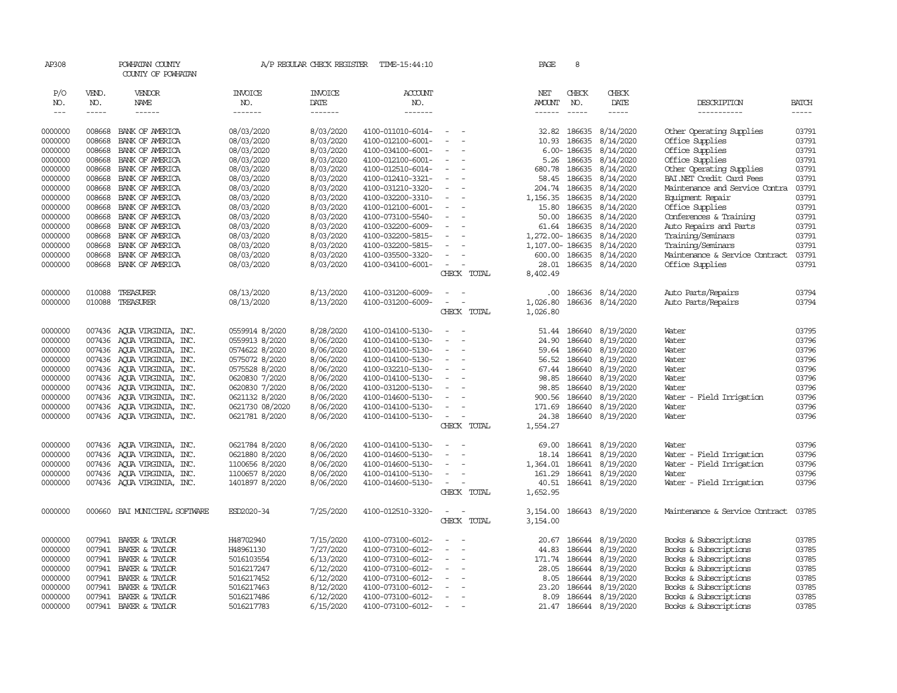| AP308         |                  | POWHATAN COUNTY<br>COUNTY OF POWHATAN |                       | A/P REGULAR CHECK REGISTER | TIME-15:44:10         |                                      | PAGE                 | 8               |                        |                                |              |
|---------------|------------------|---------------------------------------|-----------------------|----------------------------|-----------------------|--------------------------------------|----------------------|-----------------|------------------------|--------------------------------|--------------|
| P/O<br>NO.    | VEND.<br>NO.     | VENDOR<br>NAME                        | <b>INVOICE</b><br>NO. | <b>INVOICE</b><br>DATE     | <b>ACCOUNT</b><br>NO. |                                      | NET<br><b>AMOUNT</b> | CHECK<br>NO.    | CHECK<br>DATE          | DESCRIPTION                    | <b>BATCH</b> |
| $\frac{1}{2}$ | -----            | ------                                | -------               | -------                    | -------               |                                      | $- - - - - -$        | $\frac{1}{2}$   | -----                  | -----------                    | $- - - - -$  |
|               |                  |                                       |                       |                            |                       | $\sim$                               |                      |                 |                        |                                |              |
| 0000000       | 008668<br>008668 | BANK OF AMERICA                       | 08/03/2020            | 8/03/2020                  | 4100-011010-6014-     |                                      |                      | 32.82 186635    | 8/14/2020              | Other Operating Supplies       | 03791        |
| 0000000       |                  | BANK OF AMERICA                       | 08/03/2020            | 8/03/2020                  | 4100-012100-6001-     |                                      | 10.93                | 186635          | 8/14/2020              | Office Supplies                | 03791        |
| 0000000       | 008668           | BANK OF AMERICA                       | 08/03/2020            | 8/03/2020                  | 4100-034100-6001-     |                                      |                      | $6.00 - 186635$ | 8/14/2020              | Office Supplies                | 03791        |
| 0000000       | 008668           | BANK OF AMERICA                       | 08/03/2020            | 8/03/2020                  | 4100-012100-6001-     | $\overline{\phantom{a}}$<br>$\equiv$ | 5.26                 | 186635          | 8/14/2020              | Office Supplies                | 03791        |
| 0000000       | 008668           | BANK OF AMERICA                       | 08/03/2020            | 8/03/2020                  | 4100-012510-6014-     |                                      | 680.78               | 186635          | 8/14/2020              | Other Operating Supplies       | 03791        |
| 0000000       | 008668           | BANK OF AMERICA                       | 08/03/2020            | 8/03/2020                  | 4100-012410-3321-     | $\equiv$                             | 58.45                | 186635          | 8/14/2020              | BAI.NET Credit Card Fees       | 03791        |
| 0000000       | 008668           | BANK OF AMERICA                       | 08/03/2020            | 8/03/2020                  | 4100-031210-3320-     |                                      | 204.74               | 186635          | 8/14/2020              | Maintenance and Service Contra | 03791        |
| 0000000       | 008668           | BANK OF AMERICA                       | 08/03/2020            | 8/03/2020                  | 4100-032200-3310-     | $\equiv$                             | 1,156.35             | 186635          | 8/14/2020              | Equipment Repair               | 03791        |
| 0000000       | 008668           | BANK OF AMERICA                       | 08/03/2020            | 8/03/2020                  | 4100-012100-6001-     | $\blacksquare$                       | 15.80                | 186635          | 8/14/2020              | Office Supplies                | 03791        |
| 0000000       | 008668           | BANK OF AMERICA                       | 08/03/2020            | 8/03/2020                  | 4100-073100-5540-     |                                      | 50.00                | 186635          | 8/14/2020              | Conferences & Training         | 03791        |
| 0000000       | 008668           | BANK OF AMERICA                       | 08/03/2020            | 8/03/2020                  | 4100-032200-6009-     | $\overline{\phantom{a}}$             | 61.64                | 186635          | 8/14/2020              | Auto Repairs and Parts         | 03791        |
| 0000000       | 008668           | BANK OF AMERICA                       | 08/03/2020            | 8/03/2020                  | 4100-032200-5815-     |                                      | 1,272.00- 186635     |                 | 8/14/2020              | Training/Seminars              | 03791        |
| 0000000       | 008668           | BANK OF AMERICA                       | 08/03/2020            | 8/03/2020                  | 4100-032200-5815-     |                                      | 1,107.00-186635      |                 | 8/14/2020              | Training/Seminars              | 03791        |
| 0000000       | 008668           | BANK OF AMERICA                       | 08/03/2020            | 8/03/2020                  | 4100-035500-3320-     | $\sim$                               | 600.00               | 186635          | 8/14/2020              | Maintenance & Service Contract | 03791        |
| 0000000       | 008668           | BANK OF AMERICA                       | 08/03/2020            | 8/03/2020                  | 4100-034100-6001-     | $\overline{\phantom{a}}$             | 28.01                | 186635          | 8/14/2020              | Office Supplies                | 03791        |
|               |                  |                                       |                       |                            |                       | CHECK TOTAL                          | 8,402.49             |                 |                        |                                |              |
| 0000000       | 010088           | TREASURER                             | 08/13/2020            | 8/13/2020                  | 4100-031200-6009-     | $\sim$                               | .00                  | 186636          | 8/14/2020              | Auto Parts/Repairs             | 03794        |
| 0000000       | 010088           | TREASURER                             | 08/13/2020            | 8/13/2020                  | 4100-031200-6009-     | $\sim$                               | 1,026.80             | 186636          | 8/14/2020              | Auto Parts/Repairs             | 03794        |
|               |                  |                                       |                       |                            |                       | CHECK TOTAL                          | 1,026.80             |                 |                        |                                |              |
|               |                  |                                       |                       |                            |                       |                                      |                      |                 |                        |                                |              |
| 0000000       | 007436           | AQUA VIRGINIA, INC.                   | 0559914 8/2020        | 8/28/2020                  | 4100-014100-5130-     |                                      | 51.44                | 186640          | 8/19/2020              | Water                          | 03795        |
| 0000000       | 007436           | AQUA VIRGINIA, INC.                   | 0559913 8/2020        | 8/06/2020                  | 4100-014100-5130-     |                                      | 24.90                | 186640          | 8/19/2020              | Water                          | 03796        |
| 0000000       | 007436           | AQUA VIRGINIA, INC.                   | 0574622 8/2020        | 8/06/2020                  | 4100-014100-5130-     |                                      | 59.64                | 186640          | 8/19/2020              | Water                          | 03796        |
| 0000000       | 007436           | AQUA VIRGINIA, INC.                   | 0575072 8/2020        | 8/06/2020                  | 4100-014100-5130-     | $\sim$                               |                      | 56.52 186640    | 8/19/2020              | Water                          | 03796        |
| 0000000       | 007436           | AQUA VIRGINIA, INC.                   | 0575528 8/2020        | 8/06/2020                  | 4100-032210-5130-     | $\equiv$                             | 67.44                | 186640          | 8/19/2020              | Water                          | 03796        |
| 0000000       | 007436           | AQUA VIRGINIA, INC.                   | 0620830 7/2020        | 8/06/2020                  | 4100-014100-5130-     |                                      | 98.85                | 186640          | 8/19/2020              | Water                          | 03796        |
| 0000000       | 007436           | AQUA VIRGINIA, INC.                   | 0620830 7/2020        | 8/06/2020                  | 4100-031200-5130-     | $\overline{\phantom{a}}$             | 98.85                | 186640          | 8/19/2020              | Water                          | 03796        |
| 0000000       | 007436           | AQUA VIRGINIA, INC.                   | 0621132 8/2020        | 8/06/2020                  | 4100-014600-5130-     | $\sim$                               | 900.56               | 186640          | 8/19/2020              | Water - Field Irrigation       | 03796        |
| 0000000       | 007436           | AQUA VIRGINIA, INC.                   | 0621730 08/2020       | 8/06/2020                  | 4100-014100-5130-     | $\equiv$                             | 171.69               | 186640          | 8/19/2020              | Water                          | 03796        |
| 0000000       |                  | 007436 AQUA VIRGINIA, INC.            | 0621781 8/2020        | 8/06/2020                  | 4100-014100-5130-     | $\overline{\phantom{a}}$             | 24.38                |                 | 186640 8/19/2020       | Water                          | 03796        |
|               |                  |                                       |                       |                            |                       | CHECK TOTAL                          | 1,554.27             |                 |                        |                                |              |
| 0000000       | 007436           | AQUA VIRGINIA, INC.                   | 0621784 8/2020        | 8/06/2020                  | 4100-014100-5130-     |                                      | 69.00                | 186641          | 8/19/2020              | Water                          | 03796        |
| 0000000       | 007436           | AQUA VIRGINIA, INC.                   | 0621880 8/2020        | 8/06/2020                  | 4100-014600-5130-     | $\overline{\phantom{a}}$             | 18.14                | 186641          | 8/19/2020              | Water - Field Irrigation       | 03796        |
| 0000000       | 007436           | AQUA VIRGINIA, INC.                   | 1100656 8/2020        | 8/06/2020                  | 4100-014600-5130-     | $\sim$                               | 1,364.01             | 186641          | 8/19/2020              | Water - Field Irrigation       | 03796        |
| 0000000       | 007436           | ACUA VIRGINIA, INC.                   | 1100657 8/2020        | 8/06/2020                  | 4100-014100-5130-     | $\sim$                               | 161.29               | 186641          | 8/19/2020              | Water                          | 03796        |
| 0000000       |                  | 007436 AQUA VIRGINIA, INC.            | 1401897 8/2020        | 8/06/2020                  | 4100-014600-5130-     | $\sim$                               | 40.51                |                 | 186641 8/19/2020       | Water - Field Irrigation       | 03796        |
|               |                  |                                       |                       |                            |                       | CHECK TOTAL                          | 1,652.95             |                 |                        |                                |              |
|               |                  |                                       |                       |                            |                       |                                      |                      |                 |                        |                                |              |
| 0000000       | 000660           | BAI MUNICIPAL SOFIWARE                | ESD2020-34            | 7/25/2020                  | 4100-012510-3320-     | $\sim$<br>$\sim$                     | 3,154.00             |                 | 186643 8/19/2020       | Maintenance & Service Contract | 03785        |
|               |                  |                                       |                       |                            |                       | CHECK TOTAL                          | 3,154.00             |                 |                        |                                |              |
| 0000000       | 007941           | BAKER & TAYLOR                        | H48702940             | 7/15/2020                  | 4100-073100-6012-     |                                      | 20.67                | 186644          | 8/19/2020              | Books & Subscriptions          | 03785        |
| 0000000       | 007941           | BAKER & TAYLOR                        | H48961130             | 7/27/2020                  | 4100-073100-6012-     | $\equiv$                             | 44.83                | 186644          | 8/19/2020              | Books & Subscriptions          | 03785        |
| 0000000       | 007941           | BAKER & TAYLOR                        | 5016103554            | 6/13/2020                  | 4100-073100-6012-     | $\sim$                               | 171.74               | 186644          | 8/19/2020              | Books & Subscriptions          | 03785        |
| 0000000       | 007941           | BAKER & TAYLOR                        | 5016217247            | 6/12/2020                  | 4100-073100-6012-     | $\sim$                               | 28.05                | 186644          | 8/19/2020              | Books & Subscriptions          | 03785        |
| 0000000       | 007941           | BAKER & TAYLOR                        | 5016217452            | 6/12/2020                  | 4100-073100-6012-     |                                      | 8.05                 | 186644          | 8/19/2020              | Books & Subscriptions          | 03785        |
| 0000000       | 007941           | BAKER & TAYLOR                        | 5016217463            | 8/12/2020                  | 4100-073100-6012-     |                                      | 23.20                | 186644          | 8/19/2020              | Books & Subscriptions          | 03785        |
| 0000000       | 007941           | BAKER & TAYLOR                        | 5016217486            | 6/12/2020                  | 4100-073100-6012-     | $\sim$                               | 8.09                 | 186644          | 8/19/2020              | Books & Subscriptions          | 03785        |
| 0000000       | 007941           | BAKER & TAYLOR                        | 5016217783            | 6/15/2020                  | 4100-073100-6012-     |                                      |                      |                 | 21.47 186644 8/19/2020 | Books & Subscriptions          | 03785        |
|               |                  |                                       |                       |                            |                       |                                      |                      |                 |                        |                                |              |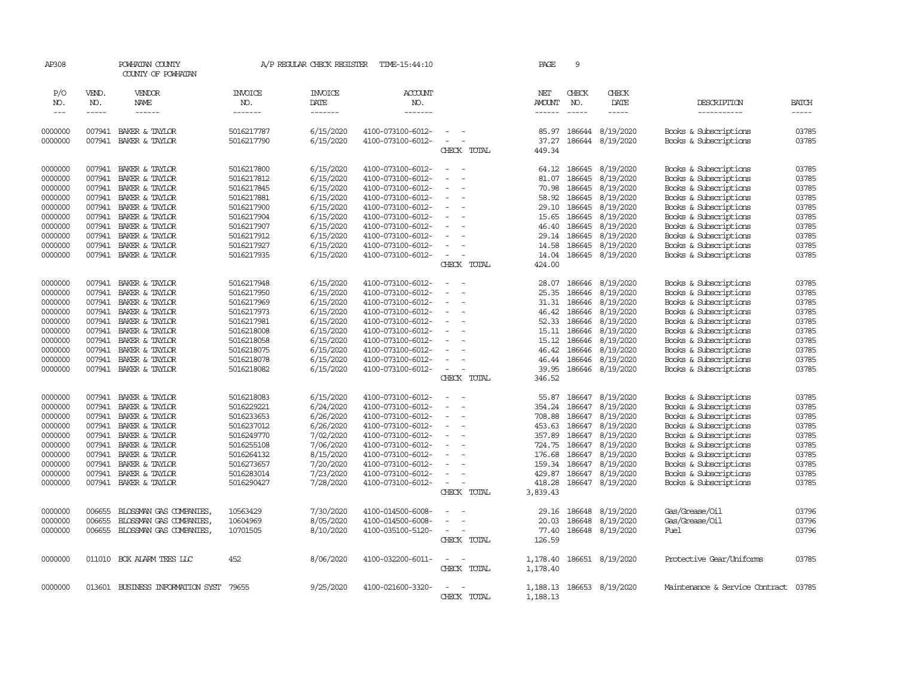| AP308      |              | POWHATAN COUNTY<br>COUNTY OF POWHATAN |                       | A/P REGULAR CHECK REGISTER | TIME-15:44:10         |                                      | PAGE                 | 9             |                  |                                |              |
|------------|--------------|---------------------------------------|-----------------------|----------------------------|-----------------------|--------------------------------------|----------------------|---------------|------------------|--------------------------------|--------------|
| P/O<br>NO. | VEND.<br>NO. | <b>VENDOR</b><br>NAME                 | <b>INVOICE</b><br>NO. | <b>INVOICE</b><br>DATE     | <b>ACCOUNT</b><br>NO. |                                      | <b>NET</b><br>AMOUNT | CHECK<br>NO.  | CHECK<br>DATE    | DESCRIPTION                    | <b>BATCH</b> |
| $---$      | $- - - - -$  | ------                                | -------               | $- - - - - - -$            | -------               |                                      | ------               | $\frac{1}{2}$ | $- - - - -$      | -----------                    | $- - - - -$  |
| 0000000    | 007941       | BAKER & TAYLOR                        | 5016217787            | 6/15/2020                  | 4100-073100-6012-     |                                      | 85.97                | 186644        | 8/19/2020        | Books & Subscriptions          | 03785        |
| 0000000    | 007941       | BAKER & TAYLOR                        | 5016217790            | 6/15/2020                  | 4100-073100-6012-     | $\equiv$                             | 37.27                |               | 186644 8/19/2020 | Books & Subscriptions          | 03785        |
|            |              |                                       |                       |                            |                       | CHECK TOTAL                          | 449.34               |               |                  |                                |              |
| 0000000    | 007941       | BAKER & TAYLOR                        | 5016217800            | 6/15/2020                  | 4100-073100-6012-     |                                      | 64.12                | 186645        | 8/19/2020        | Books & Subscriptions          | 03785        |
| 0000000    | 007941       | BAKER & TAYLOR                        | 5016217812            | 6/15/2020                  | 4100-073100-6012-     |                                      | 81.07                | 186645        | 8/19/2020        | Books & Subscriptions          | 03785        |
| 0000000    | 007941       | BAKER & TAYLOR                        | 5016217845            | 6/15/2020                  | 4100-073100-6012-     | $\equiv$                             | 70.98                | 186645        | 8/19/2020        | Books & Subscriptions          | 03785        |
| 0000000    | 007941       | BAKER & TAYLOR                        | 5016217881            | 6/15/2020                  | 4100-073100-6012-     |                                      | 58.92                | 186645        | 8/19/2020        | Books & Subscriptions          | 03785        |
| 0000000    | 007941       | BAKER & TAYLOR                        | 5016217900            | 6/15/2020                  | 4100-073100-6012-     |                                      | 29.10                | 186645        | 8/19/2020        | Books & Subscriptions          | 03785        |
| 0000000    | 007941       | BAKER & TAYLOR                        | 5016217904            | 6/15/2020                  | 4100-073100-6012-     | $\overline{\phantom{a}}$             | 15.65                | 186645        | 8/19/2020        | Books & Subscriptions          | 03785        |
| 0000000    | 007941       | BAKER & TAYLOR                        | 5016217907            | 6/15/2020                  | 4100-073100-6012-     |                                      | 46.40                | 186645        | 8/19/2020        | Books & Subscriptions          | 03785        |
| 0000000    | 007941       | BAKER & TAYLOR                        | 5016217912            | 6/15/2020                  | 4100-073100-6012-     |                                      |                      | 29.14 186645  | 8/19/2020        | Books & Subscriptions          | 03785        |
| 0000000    | 007941       | BAKER & TAYLOR                        | 5016217927            | 6/15/2020                  | 4100-073100-6012-     | $\equiv$                             | 14.58                | 186645        | 8/19/2020        | Books & Subscriptions          | 03785        |
| 0000000    | 007941       | BAKER & TAYLOR                        | 5016217935            | 6/15/2020                  | 4100-073100-6012-     | $\overline{\phantom{a}}$             | 14.04                | 186645        | 8/19/2020        | Books & Subscriptions          | 03785        |
|            |              |                                       |                       |                            |                       | CHECK TOTAL                          | 424.00               |               |                  |                                |              |
| 0000000    | 007941       | BAKER & TAYLOR                        | 5016217948            | 6/15/2020                  | 4100-073100-6012-     | $\equiv$                             | 28.07                | 186646        | 8/19/2020        | Books & Subscriptions          | 03785        |
| 0000000    | 007941       | BAKER & TAYLOR                        | 5016217950            | 6/15/2020                  | 4100-073100-6012-     |                                      | 25.35                | 186646        | 8/19/2020        | Books & Subscriptions          | 03785        |
| 0000000    | 007941       | BAKER & TAYLOR                        | 5016217969            | 6/15/2020                  | 4100-073100-6012-     |                                      | 31.31                | 186646        | 8/19/2020        | Books & Subscriptions          | 03785        |
| 0000000    | 007941       | BAKER & TAYLOR                        | 5016217973            | 6/15/2020                  | 4100-073100-6012-     |                                      | 46.42                | 186646        | 8/19/2020        | Books & Subscriptions          | 03785        |
| 0000000    | 007941       | BAKER & TAYLOR                        | 5016217981            | 6/15/2020                  | 4100-073100-6012-     | $\equiv$                             | 52.33                | 186646        | 8/19/2020        | Books & Subscriptions          | 03785        |
| 0000000    | 007941       | BAKER & TAYLOR                        | 5016218008            | 6/15/2020                  | 4100-073100-6012-     |                                      | 15.11                | 186646        | 8/19/2020        | Books & Subscriptions          | 03785        |
| 0000000    | 007941       | BAKER & TAYLOR                        | 5016218058            | 6/15/2020                  | 4100-073100-6012-     |                                      | 15.12                | 186646        | 8/19/2020        | Books & Subscriptions          | 03785        |
| 0000000    | 007941       | BAKER & TAYLOR                        | 5016218075            | 6/15/2020                  | 4100-073100-6012-     |                                      | 46.42                | 186646        | 8/19/2020        | Books & Subscriptions          | 03785        |
| 0000000    | 007941       | BAKER & TAYLOR                        | 5016218078            | 6/15/2020                  | 4100-073100-6012-     |                                      | 46.44                | 186646        | 8/19/2020        | Books & Subscriptions          | 03785        |
| 0000000    | 007941       | BAKER & TAYLOR                        | 5016218082            | 6/15/2020                  | 4100-073100-6012-     | $\sim$                               | 39.95                | 186646        | 8/19/2020        | Books & Subscriptions          | 03785        |
|            |              |                                       |                       |                            |                       | CHECK TOTAL                          | 346.52               |               |                  |                                |              |
| 0000000    | 007941       | BAKER & TAYLOR                        | 5016218083            | 6/15/2020                  | 4100-073100-6012-     | $\equiv$                             | 55.87                | 186647        | 8/19/2020        | Books & Subscriptions          | 03785        |
| 0000000    | 007941       | BAKER & TAYLOR                        | 5016229221            | 6/24/2020                  | 4100-073100-6012-     | $\equiv$                             | 354.24               | 186647        | 8/19/2020        | Books & Subscriptions          | 03785        |
| 0000000    | 007941       | BAKER & TAYLOR                        | 5016233653            | 6/26/2020                  | 4100-073100-6012-     |                                      | 708.88               | 186647        | 8/19/2020        | Books & Subscriptions          | 03785        |
| 0000000    | 007941       | BAKER & TAYLOR                        | 5016237012            | 6/26/2020                  | 4100-073100-6012-     | $\equiv$                             |                      | 453.63 186647 | 8/19/2020        | Books & Subscriptions          | 03785        |
| 0000000    | 007941       | BAKER & TAYLOR                        | 5016249770            | 7/02/2020                  | 4100-073100-6012-     | $\sim$                               | 357.89               | 186647        | 8/19/2020        | Books & Subscriptions          | 03785        |
| 0000000    | 007941       | BAKER & TAYLOR                        | 5016255108            | 7/06/2020                  | 4100-073100-6012-     |                                      | 724.75               | 186647        | 8/19/2020        | Books & Subscriptions          | 03785        |
| 0000000    | 007941       | BAKER & TAYLOR                        | 5016264132            | 8/15/2020                  | 4100-073100-6012-     | $\equiv$                             |                      | 176.68 186647 | 8/19/2020        | Books & Subscriptions          | 03785        |
| 0000000    | 007941       | BAKER & TAYLOR                        | 5016273657            | 7/20/2020                  | 4100-073100-6012-     |                                      | 159.34               | 186647        | 8/19/2020        | Books & Subscriptions          | 03785        |
| 0000000    | 007941       | BAKER & TAYLOR                        | 5016283014            | 7/23/2020                  | 4100-073100-6012-     |                                      | 429.87               | 186647        | 8/19/2020        | Books & Subscriptions          | 03785        |
| 0000000    |              | 007941 BAKER & TAYLOR                 | 5016290427            | 7/28/2020                  | 4100-073100-6012-     | $\equiv$                             | 418.28               |               | 186647 8/19/2020 | Books & Subscriptions          | 03785        |
|            |              |                                       |                       |                            |                       | CHECK TOTAL                          | 3,839.43             |               |                  |                                |              |
| 0000000    | 006655       | BLOSSMAN GAS COMPANIES,               | 10563429              | 7/30/2020                  | 4100-014500-6008-     |                                      | 29.16                | 186648        | 8/19/2020        | Gas/Grease/Oil                 | 03796        |
| 0000000    | 006655       | BLOSSMAN GAS COMPANIES,               | 10604969              | 8/05/2020                  | 4100-014500-6008-     |                                      | 20.03                | 186648        | 8/19/2020        | Gas/Grease/Oil                 | 03796        |
| 0000000    | 006655       | BLOSSMAN GAS COMPANIES,               | 10701505              | 8/10/2020                  | 4100-035100-5120-     | $\equiv$<br>$\overline{\phantom{a}}$ | 77.40                |               | 186648 8/19/2020 | Fuel                           | 03796        |
|            |              |                                       |                       |                            |                       | CHECK TOTAL                          | 126.59               |               |                  |                                |              |
| 0000000    |              | 011010 BOX ALARM TEES LLC             | 452                   | 8/06/2020                  | 4100-032200-6011-     | $\equiv$                             | 1,178.40             |               | 186651 8/19/2020 | Protective Gear/Uniforms       | 03785        |
|            |              |                                       |                       |                            |                       | CHECK TOTAL                          | 1,178.40             |               |                  |                                |              |
| 0000000    |              | 013601 BUSINESS INFORMATION SYST      | 79655                 | 9/25/2020                  | 4100-021600-3320-     | $\equiv$                             | 1,188.13             |               | 186653 8/19/2020 | Maintenance & Service Contract | 03785        |
|            |              |                                       |                       |                            |                       | CHECK TOTAL                          | 1,188.13             |               |                  |                                |              |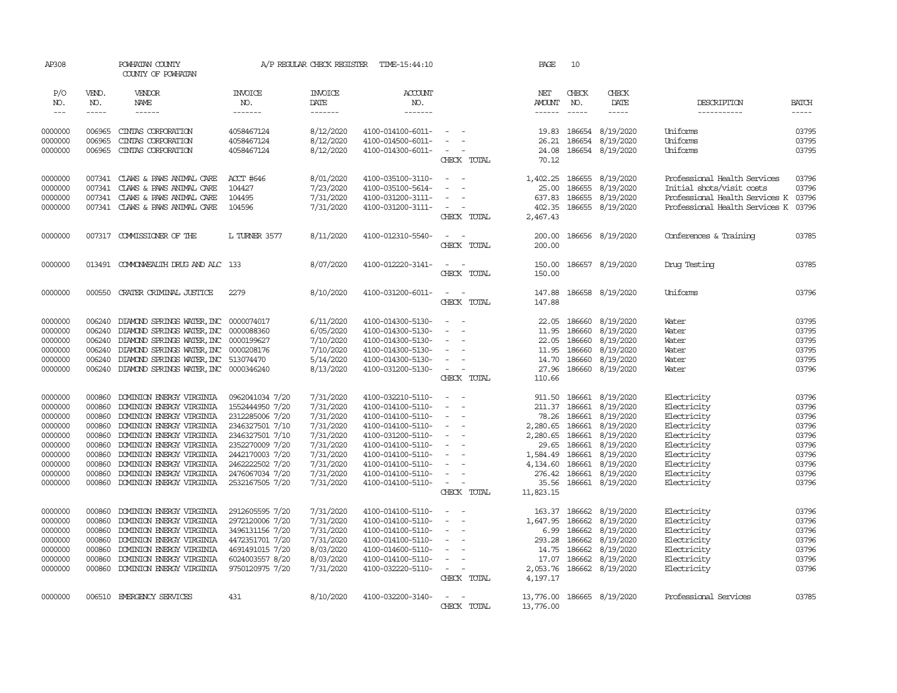| AP308               |                       | POWHATAN COUNTY<br>COUNTY OF POWHATAN                                         |                                    | A/P REGULAR CHECK REGISTER        | TIME-15:44:10                          |                                         | PAGE                                  | 10                            |                               |                                |                             |
|---------------------|-----------------------|-------------------------------------------------------------------------------|------------------------------------|-----------------------------------|----------------------------------------|-----------------------------------------|---------------------------------------|-------------------------------|-------------------------------|--------------------------------|-----------------------------|
| P/O<br>NO.<br>$---$ | VEND.<br>NO.<br>----- | VENDOR<br>NAME<br>$- - - - - -$                                               | <b>INVOICE</b><br>NO.<br>-------   | <b>INVOICE</b><br>DATE<br>------- | <b>ACCOUNT</b><br>NO.<br>-------       |                                         | NET<br><b>AMOUNT</b><br>$- - - - - -$ | CHECK<br>NO.<br>$\frac{1}{2}$ | CHECK<br>DATE<br>-----        | DESCRIPTION<br>-----------     | <b>BATCH</b><br>$- - - - -$ |
| 0000000             | 006965                | CINIAS CORPORATION                                                            | 4058467124                         | 8/12/2020                         | 4100-014100-6011-                      | $\overline{\phantom{a}}$                | 19.83                                 | 186654                        | 8/19/2020                     | Uniforms                       | 03795                       |
| 0000000<br>0000000  | 006965<br>006965      | CINIAS CORPORATION<br>CINIAS CORPORATION                                      | 4058467124<br>4058467124           | 8/12/2020<br>8/12/2020            | 4100-014500-6011-<br>4100-014300-6011- | $\overline{\phantom{a}}$<br>CHECK TOTAL | 26.21<br>24.08<br>70.12               | 186654                        | 8/19/2020<br>186654 8/19/2020 | Uniforms<br>Uniforms           | 03795<br>03795              |
| 0000000             | 007341                | CLAWS & PAWS ANIMAL CARE                                                      | ACCT #646                          | 8/01/2020                         | 4100-035100-3110-                      | $\sim$                                  | 1,402.25                              | 186655                        | 8/19/2020                     | Professional Health Services   | 03796                       |
| 0000000             | 007341                | CLAWS & PAWS ANIMAL CARE                                                      | 104427                             | 7/23/2020                         | 4100-035100-5614-                      | $\sim$<br>$\sim$                        | 25.00                                 | 186655                        | 8/19/2020                     | Initial shots/visit costs      | 03796                       |
| 0000000             |                       | 007341 CLAWS & PAWS ANIMAL CARE                                               | 104495                             | 7/31/2020                         | 4100-031200-3111-                      | $\sim$                                  | 637.83                                | 186655                        | 8/19/2020                     | Professional Health Services K | 03796                       |
| 0000000             | 007341                | CLAWS & PAWS ANIMAL CARE                                                      | 104596                             | 7/31/2020                         | 4100-031200-3111-                      | $\sim$<br>$\sim$                        | 402.35                                |                               | 186655 8/19/2020              | Professional Health Services K | 03796                       |
|                     |                       |                                                                               |                                    |                                   |                                        | CHECK TOTAL                             | 2,467.43                              |                               |                               |                                |                             |
| 0000000             |                       | 007317 COMMISSIONER OF THE                                                    | L TURNER 3577                      | 8/11/2020                         | 4100-012310-5540-                      | $\sim$<br>$\sim$<br>CHECK TOTAL         | 200.00<br>200.00                      |                               | 186656 8/19/2020              | Conferences & Training         | 03785                       |
| 0000000             |                       | 013491 COMONWEALTH DRUG AND ALC 133                                           |                                    | 8/07/2020                         | 4100-012220-3141-                      | $\overline{\phantom{a}}$                | 150.00                                |                               | 186657 8/19/2020              | Drug Testing                   | 03785                       |
|                     |                       |                                                                               |                                    |                                   |                                        | CHECK TOTAL                             | 150.00                                |                               |                               |                                |                             |
| 0000000             | 000550                | CRATER CRIMINAL JUSTICE                                                       | 2279                               | 8/10/2020                         | 4100-031200-6011-                      | $\sim$<br>$\sim$<br>CHECK TOTAL         | 147.88<br>147.88                      |                               | 186658 8/19/2020              | Uniforms                       | 03796                       |
| 0000000             | 006240                | DIAMOND SPRINGS WATER, INC 0000074017                                         |                                    | 6/11/2020                         | 4100-014300-5130-                      | $\sim$<br>$\sim$                        |                                       | 22.05 186660                  | 8/19/2020                     | Water                          | 03795                       |
| 0000000             | 006240                | DIAMOND SPRINGS WATER, INC                                                    | 0000088360                         | 6/05/2020                         | 4100-014300-5130-                      | $\sim$                                  | 11.95                                 | 186660                        | 8/19/2020                     | Water                          | 03795                       |
| 0000000             | 006240<br>006240      | DIAMOND SPRINGS WATER, INC 0000199627                                         |                                    | 7/10/2020<br>7/10/2020            | 4100-014300-5130-                      | $\sim$                                  | 22.05<br>11.95                        | 186660<br>186660              | 8/19/2020<br>8/19/2020        | Water<br>Water                 | 03795<br>03795              |
| 0000000<br>0000000  | 006240                | DIAMOND SPRINGS WATER, INC 0000208176<br>DIAMOND SPRINGS WATER, INC 513074470 |                                    | 5/14/2020                         | 4100-014300-5130-<br>4100-014300-5130- | $\sim$                                  |                                       | 14.70 186660                  | 8/19/2020                     | Water                          | 03795                       |
| 0000000             | 006240                | DIAMOND SPRINGS WATER, INC 0000346240                                         |                                    | 8/13/2020                         | 4100-031200-5130-                      | $\sim$<br>$\sim$                        | 27.96                                 |                               | 186660 8/19/2020              | Water                          | 03796                       |
|                     |                       |                                                                               |                                    |                                   |                                        | CHECK TOTAL                             | 110.66                                |                               |                               |                                |                             |
| 0000000             | 000860                | DOMINION ENERGY VIRGINIA                                                      | 0962041034 7/20                    | 7/31/2020                         | 4100-032210-5110-                      | $\overline{\phantom{a}}$<br>$\sim$      | 911.50                                | 186661                        | 8/19/2020                     | Electricity                    | 03796                       |
| 0000000             | 000860                | DOMINION ENERGY VIRGINIA                                                      | 1552444950 7/20                    | 7/31/2020                         | 4100-014100-5110-                      |                                         | 211.37                                | 186661                        | 8/19/2020                     | Electricity                    | 03796                       |
| 0000000             | 000860                | DOMINION ENERGY VIRGINIA                                                      | 2312285006 7/20                    | 7/31/2020                         | 4100-014100-5110-                      | $\sim$                                  | 78.26                                 | 186661                        | 8/19/2020                     | Electricity                    | 03796                       |
| 0000000             | 000860                | DOMINION ENERGY VIRGINIA                                                      | 2346327501 7/10                    | 7/31/2020                         | 4100-014100-5110-                      | $\overline{\phantom{a}}$                | 2,280.65                              | 186661                        | 8/19/2020                     | Electricity                    | 03796                       |
| 0000000             | 000860                | DOMINION ENERGY VIRGINIA                                                      | 2346327501 7/10                    | 7/31/2020                         | 4100-031200-5110-                      | $\sim$                                  | 2,280.65                              | 186661                        | 8/19/2020                     | Electricity                    | 03796                       |
| 0000000             | 000860<br>000860      | DOMINION ENERGY VIRGINIA                                                      | 2352270009 7/20                    | 7/31/2020                         | 4100-014100-5110-                      | $\equiv$<br>$\overline{\phantom{a}}$    | 29.65                                 | 186661                        | 8/19/2020                     | Electricity                    | 03796                       |
| 0000000<br>0000000  | 000860                | DOMINION ENERGY VIRGINIA<br>DOMINION ENERGY VIRGINIA                          | 2442170003 7/20<br>2462222502 7/20 | 7/31/2020<br>7/31/2020            | 4100-014100-5110-<br>4100-014100-5110- | $\equiv$                                | 1,584.49<br>4,134.60                  | 186661<br>186661              | 8/19/2020<br>8/19/2020        | Electricity<br>Electricity     | 03796<br>03796              |
| 0000000             | 000860                | DOMINION ENERGY VIRGINIA                                                      | 2476067034 7/20                    | 7/31/2020                         | 4100-014100-5110-                      | $\blacksquare$                          | 276.42                                | 186661                        | 8/19/2020                     | Electricity                    | 03796                       |
| 0000000             | 000860                | DOMINION ENERGY VIRGINIA                                                      | 2532167505 7/20                    | 7/31/2020                         | 4100-014100-5110-                      | $\sim$<br>$\overline{\phantom{a}}$      | 35.56                                 |                               | 186661 8/19/2020              | Electricity                    | 03796                       |
|                     |                       |                                                                               |                                    |                                   |                                        | CHECK TOTAL                             | 11,823.15                             |                               |                               |                                |                             |
| 0000000             | 000860                | DOMINION ENERGY VIRGINIA                                                      | 2912605595 7/20                    | 7/31/2020                         | 4100-014100-5110-                      | $\sim$<br>$\sim$                        | 163.37                                |                               | 186662 8/19/2020              | Electricity                    | 03796                       |
| 0000000             | 000860                | DOMINION ENERGY VIRGINIA                                                      | 2972120006 7/20                    | 7/31/2020                         | 4100-014100-5110-                      | $\overline{\phantom{a}}$<br>$\sim$      | 1,647.95                              | 186662                        | 8/19/2020                     | Electricity                    | 03796                       |
| 0000000             | 000860                | DOMINION ENERGY VIRGINIA                                                      | 3496131156 7/20                    | 7/31/2020                         | 4100-014100-5110-                      | $\overline{\phantom{a}}$                | 6.99                                  | 186662                        | 8/19/2020                     | Electricity                    | 03796                       |
| 0000000             | 000860                | DOMINION ENERGY VIRGINIA                                                      | 4472351701 7/20                    | 7/31/2020                         | 4100-014100-5110-                      | $\sim$                                  | 293.28                                | 186662                        | 8/19/2020                     | Electricity                    | 03796                       |
| 0000000             | 000860                | DOMINION ENERGY VIRGINIA                                                      | 4691491015 7/20                    | 8/03/2020                         | 4100-014600-5110-                      | $\sim$                                  | 14.75                                 | 186662                        | 8/19/2020                     | Electricity                    | 03796                       |
| 0000000             | 000860                | DOMINION ENERGY VIRGINIA                                                      | 6024003557 8/20                    | 8/03/2020                         | 4100-014100-5110-                      | $\sim$                                  | 17.07                                 | 186662                        | 8/19/2020                     | Electricity                    | 03796                       |
| 0000000             | 000860                | DOMINION ENERGY VIRGINIA                                                      | 9750120975 7/20                    | 7/31/2020                         | 4100-032220-5110-                      | $\sim$ $ -$<br>CHECK TOTAL              | 2,053.76<br>4,197.17                  |                               | 186662 8/19/2020              | Electricity                    | 03796                       |
| 0000000             |                       | 006510 EMERGENCY SERVICES                                                     | 431                                | 8/10/2020                         | 4100-032200-3140-                      | $\overline{\phantom{a}}$<br>CHECK TOTAL | 13,776.00<br>13,776.00                |                               | 186665 8/19/2020              | Professional Services          | 03785                       |
|                     |                       |                                                                               |                                    |                                   |                                        |                                         |                                       |                               |                               |                                |                             |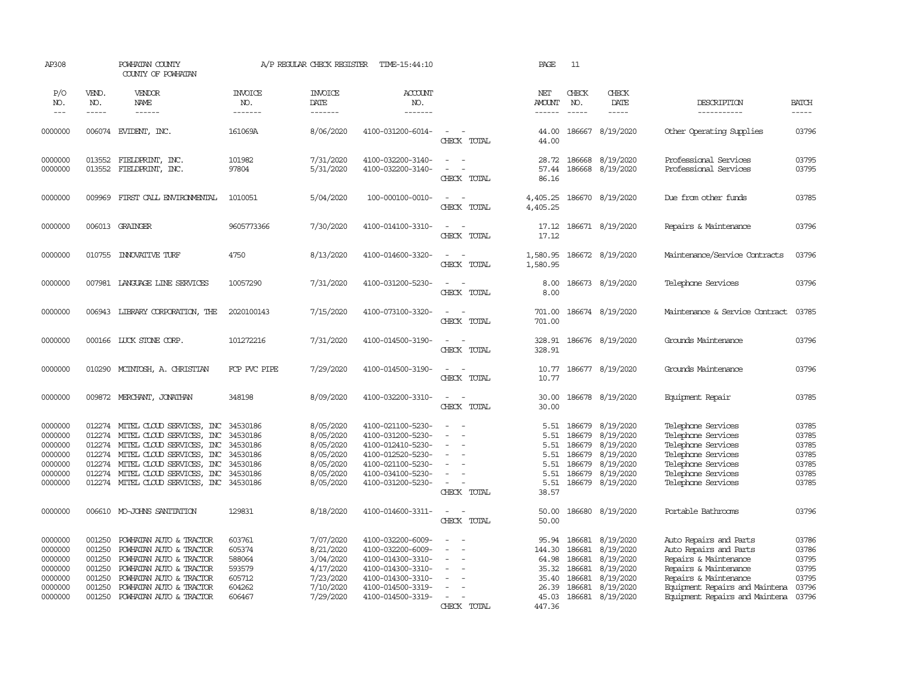| AP308                                                                     |                                                                    | POWHATAN COUNTY<br>COUNTY OF POWHATAN                                                                                                                                                                                                                        |                                                                    | A/P REGULAR CHECK REGISTER                                                              | TIME-15:44:10                                                                                                                                   |                                                                                                                                                         | PAGE                                                          | 11                                                                 |                                                                                                |                                                                                                                                                                                                 |                                                             |
|---------------------------------------------------------------------------|--------------------------------------------------------------------|--------------------------------------------------------------------------------------------------------------------------------------------------------------------------------------------------------------------------------------------------------------|--------------------------------------------------------------------|-----------------------------------------------------------------------------------------|-------------------------------------------------------------------------------------------------------------------------------------------------|---------------------------------------------------------------------------------------------------------------------------------------------------------|---------------------------------------------------------------|--------------------------------------------------------------------|------------------------------------------------------------------------------------------------|-------------------------------------------------------------------------------------------------------------------------------------------------------------------------------------------------|-------------------------------------------------------------|
| P/O<br>NO.<br>$---$                                                       | VEND.<br>NO.<br>-----                                              | VENDOR<br>NAME<br>$- - - - - -$                                                                                                                                                                                                                              | <b>INVOICE</b><br>NO.<br>-------                                   | <b>INVOICE</b><br>DATE<br>-------                                                       | <b>ACCOUNT</b><br>NO.<br>$- - - - - - -$                                                                                                        |                                                                                                                                                         | NET<br>AMOUNT<br>$- - - - - -$                                | CHECK<br>NO.<br>$\frac{1}{2}$                                      | CHECK<br>DATE<br>$- - - - -$                                                                   | DESCRIPTION<br>-----------                                                                                                                                                                      | <b>BATCH</b><br>-----                                       |
| 0000000                                                                   |                                                                    | 006074 EVIDENT, INC.                                                                                                                                                                                                                                         | 161069A                                                            | 8/06/2020                                                                               | 4100-031200-6014-                                                                                                                               | $\sim$<br>CHECK TOTAL                                                                                                                                   | 44.00<br>44.00                                                | 186667                                                             | 8/19/2020                                                                                      | Other Operating Supplies                                                                                                                                                                        | 03796                                                       |
| 0000000<br>0000000                                                        | 013552<br>013552                                                   | FIELDPRINT, INC.<br>FIELDPRINT, INC.                                                                                                                                                                                                                         | 101982<br>97804                                                    | 7/31/2020<br>5/31/2020                                                                  | 4100-032200-3140-<br>4100-032200-3140-                                                                                                          | $\frac{1}{2} \left( \frac{1}{2} \right) \left( \frac{1}{2} \right) = \frac{1}{2} \left( \frac{1}{2} \right)$<br>$\overline{\phantom{a}}$<br>CHECK TOTAL | 28.72<br>57.44<br>86.16                                       | 186668<br>186668                                                   | 8/19/2020<br>8/19/2020                                                                         | Professional Services<br>Professional Services                                                                                                                                                  | 03795<br>03795                                              |
| 0000000                                                                   | 009969                                                             | FIRST CALL ENVIRONENTAL                                                                                                                                                                                                                                      | 1010051                                                            | 5/04/2020                                                                               | 100-000100-0010-                                                                                                                                | $\sim$<br>$\sim$<br>CHECK TOTAL                                                                                                                         | 4,405.25<br>4,405.25                                          |                                                                    | 186670 8/19/2020                                                                               | Due from other funds                                                                                                                                                                            | 03785                                                       |
| 0000000                                                                   |                                                                    | 006013 GRAINGER                                                                                                                                                                                                                                              | 9605773366                                                         | 7/30/2020                                                                               | 4100-014100-3310-                                                                                                                               | $\overline{\phantom{a}}$<br>$\sim$<br>CHECK TOTAL                                                                                                       | 17.12<br>17.12                                                |                                                                    | 186671 8/19/2020                                                                               | Repairs & Maintenance                                                                                                                                                                           | 03796                                                       |
| 0000000                                                                   | 010755                                                             | <b>INOVATIVE TURF</b>                                                                                                                                                                                                                                        | 4750                                                               | 8/13/2020                                                                               | 4100-014600-3320-                                                                                                                               | $\sim$<br>$\sim$<br>CHECK TOTAL                                                                                                                         | 1,580.95<br>1,580.95                                          |                                                                    | 186672 8/19/2020                                                                               | Maintenance/Service Contracts                                                                                                                                                                   | 03796                                                       |
| 0000000                                                                   |                                                                    | 007981 LANGUAGE LINE SERVICES                                                                                                                                                                                                                                | 10057290                                                           | 7/31/2020                                                                               | 4100-031200-5230-                                                                                                                               | $\equiv$<br>$\sim$<br>CHECK TOTAL                                                                                                                       | 8.00<br>8.00                                                  |                                                                    | 186673 8/19/2020                                                                               | Telephone Services                                                                                                                                                                              | 03796                                                       |
| 0000000                                                                   |                                                                    | 006943 LIBRARY CORPORATION, THE                                                                                                                                                                                                                              | 2020100143                                                         | 7/15/2020                                                                               | 4100-073100-3320-                                                                                                                               | $\sim$ $\sim$<br>CHECK TOTAL                                                                                                                            | 701.00<br>701.00                                              |                                                                    | 186674 8/19/2020                                                                               | Maintenance & Service Contract                                                                                                                                                                  | 03785                                                       |
| 0000000                                                                   |                                                                    | 000166 LUCK STONE CORP.                                                                                                                                                                                                                                      | 101272216                                                          | 7/31/2020                                                                               | 4100-014500-3190-                                                                                                                               | $\sim$<br>$\sim$<br>CHECK TOTAL                                                                                                                         | 328.91                                                        |                                                                    | 328.91 186676 8/19/2020                                                                        | Grounds Maintenance                                                                                                                                                                             | 03796                                                       |
| 0000000                                                                   | 010290                                                             | MCINTOSH, A. CHRISTIAN                                                                                                                                                                                                                                       | FCP PVC PIPE                                                       | 7/29/2020                                                                               | 4100-014500-3190-                                                                                                                               | $\sim$<br>$\sim$<br>CHECK TOTAL                                                                                                                         | 10.77<br>10.77                                                |                                                                    | 186677 8/19/2020                                                                               | Grounds Maintenance                                                                                                                                                                             | 03796                                                       |
| 0000000                                                                   |                                                                    | 009872 MERCHANT, JONATHAN                                                                                                                                                                                                                                    | 348198                                                             | 8/09/2020                                                                               | 4100-032200-3310-                                                                                                                               | $\sim$<br>$\overline{\phantom{a}}$<br>CHECK TOTAL                                                                                                       | 30.00<br>30.00                                                |                                                                    | 186678 8/19/2020                                                                               | Equipment Repair                                                                                                                                                                                | 03785                                                       |
| 0000000<br>0000000<br>0000000<br>0000000<br>0000000<br>0000000<br>0000000 | 012274<br>012274                                                   | 012274 MITEL CLOUD SERVICES, INC<br>MITEL CLOUD SERVICES, INC<br>012274 MITEL CLOUD SERVICES, INC<br>012274 MITEL CLOUD SERVICES, INC<br>MITEL CLOUD SERVICES, INC 34530186<br>012274 MITEL CLOUD SERVICES, INC<br>012274 MITEL CLOUD SERVICES, INC 34530186 | 34530186<br>34530186<br>34530186<br>34530186<br>34530186           | 8/05/2020<br>8/05/2020<br>8/05/2020<br>8/05/2020<br>8/05/2020<br>8/05/2020<br>8/05/2020 | 4100-021100-5230-<br>4100-031200-5230-<br>4100-012410-5230-<br>4100-012520-5230-<br>4100-021100-5230-<br>4100-034100-5230-<br>4100-031200-5230- | $\sim$<br>$\equiv$<br>CHECK TOTAL                                                                                                                       | 5.51<br>5.51<br>5.51<br>5.51<br>5.51<br>5.51<br>5.51<br>38.57 | 186679<br>186679<br>186679<br>186679<br>186679<br>186679<br>186679 | 8/19/2020<br>8/19/2020<br>8/19/2020<br>8/19/2020<br>8/19/2020<br>8/19/2020<br>8/19/2020        | Telephone Services<br>Telephone Services<br>Telephone Services<br>Telephone Services<br>Telephone Services<br>Telephone Services<br>Telephone Services                                          | 03785<br>03785<br>03785<br>03785<br>03785<br>03785<br>03785 |
| 0000000                                                                   |                                                                    | 006610 MO-JOHNS SANITATION                                                                                                                                                                                                                                   | 129831                                                             | 8/18/2020                                                                               | 4100-014600-3311-                                                                                                                               | $\sim$ $-$<br>$\sim$<br>CHECK TOTAL                                                                                                                     | 50.00<br>50.00                                                |                                                                    | 186680 8/19/2020                                                                               | Portable Bathrooms                                                                                                                                                                              | 03796                                                       |
| 0000000<br>0000000<br>0000000<br>0000000<br>0000000<br>0000000<br>0000000 | 001250<br>001250<br>001250<br>001250<br>001250<br>001250<br>001250 | POWHATAN AUTO & TRACTOR<br>POWHATAN AUTO & TRACTOR<br>POWHATAN AUTO & TRACTOR<br>POWHATAN AUTO & TRACTOR<br>POWHATAN AUTO & TRACTOR<br>POWHATAN AUTO & TRACTOR<br>POWHATAN AUTO & TRACTOR                                                                    | 603761<br>605374<br>588064<br>593579<br>605712<br>604262<br>606467 | 7/07/2020<br>8/21/2020<br>3/04/2020<br>4/17/2020<br>7/23/2020<br>7/10/2020<br>7/29/2020 | 4100-032200-6009-<br>4100-032200-6009-<br>4100-014300-3310-<br>4100-014300-3310-<br>4100-014300-3310-<br>4100-014500-3319-<br>4100-014500-3319- | $\sim$<br>$\sim$<br>$\equiv$<br>$\overline{\phantom{a}}$<br>$\equiv$<br>$\equiv$<br>$\sim$<br>$\sim$                                                    | 95.94<br>144.30<br>64.98<br>35.32<br>35.40<br>26.39<br>45.03  | 186681<br>186681<br>186681<br>186681<br>186681<br>186681           | 8/19/2020<br>8/19/2020<br>8/19/2020<br>8/19/2020<br>8/19/2020<br>8/19/2020<br>186681 8/19/2020 | Auto Repairs and Parts<br>Auto Repairs and Parts<br>Repairs & Maintenance<br>Repairs & Maintenance<br>Repairs & Maintenance<br>Equipment Repairs and Maintena<br>Equipment Repairs and Maintena | 03786<br>03786<br>03795<br>03795<br>03795<br>03796<br>03796 |
|                                                                           |                                                                    |                                                                                                                                                                                                                                                              |                                                                    |                                                                                         |                                                                                                                                                 | CHECK TOTAL                                                                                                                                             | 447.36                                                        |                                                                    |                                                                                                |                                                                                                                                                                                                 |                                                             |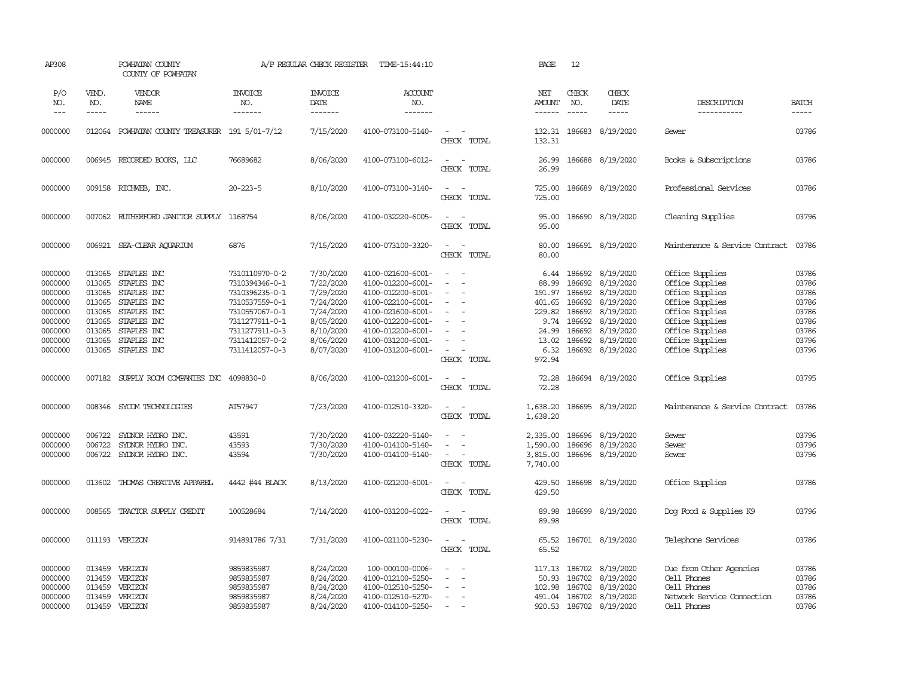| AP308                                                                                           |                                                                              | POWHATAN COUNTY<br>COUNTY OF POWHATAN                                                                                                      |                                                                                                                                                                | A/P REGULAR CHECK REGISTER                                                                                        | TIME-15:44:10                                                                                                                                                                             |                                                                                                                                                           |       | PAGE                                                                                    | 12                                                                           |                                                                                                                          |                                                                                                                                                                         |                                                                               |
|-------------------------------------------------------------------------------------------------|------------------------------------------------------------------------------|--------------------------------------------------------------------------------------------------------------------------------------------|----------------------------------------------------------------------------------------------------------------------------------------------------------------|-------------------------------------------------------------------------------------------------------------------|-------------------------------------------------------------------------------------------------------------------------------------------------------------------------------------------|-----------------------------------------------------------------------------------------------------------------------------------------------------------|-------|-----------------------------------------------------------------------------------------|------------------------------------------------------------------------------|--------------------------------------------------------------------------------------------------------------------------|-------------------------------------------------------------------------------------------------------------------------------------------------------------------------|-------------------------------------------------------------------------------|
| P/O<br>NO.<br>$\frac{1}{2}$                                                                     | VEND.<br>NO.<br>-----                                                        | VENDOR<br>NAME<br>$- - - - - -$                                                                                                            | <b>INVOICE</b><br>NO.<br>-------                                                                                                                               | <b>INVOICE</b><br>DATE<br>-------                                                                                 | <b>ACCOUNT</b><br>NO.<br>--------                                                                                                                                                         |                                                                                                                                                           |       | NET<br><b>AMOUNT</b><br>------                                                          | CHECK<br>NO.<br>$\frac{1}{2}$                                                | CHECK<br>DATE<br>$- - - - -$                                                                                             | DESCRIPTION<br>-----------                                                                                                                                              | <b>BATCH</b><br>-----                                                         |
| 0000000                                                                                         |                                                                              | 012064 POWHATAN COUNTY TREASURER 191 5/01-7/12                                                                                             |                                                                                                                                                                | 7/15/2020                                                                                                         | 4100-073100-5140-                                                                                                                                                                         | $\sim$<br>$\sim$<br>CHECK TOTAL                                                                                                                           |       | 132.31<br>132.31                                                                        | 186683                                                                       | 8/19/2020                                                                                                                | Sewer                                                                                                                                                                   | 03786                                                                         |
| 0000000                                                                                         |                                                                              | 006945 RECORDED BOOKS, LLC                                                                                                                 | 76689682                                                                                                                                                       | 8/06/2020                                                                                                         | 4100-073100-6012-                                                                                                                                                                         | $\sim$<br>$\sim$<br>CHECK                                                                                                                                 | TOTAL | 26.99<br>26.99                                                                          | 186688                                                                       | 8/19/2020                                                                                                                | Books & Subscriptions                                                                                                                                                   | 03786                                                                         |
| 0000000                                                                                         |                                                                              | 009158 RICHWEB, INC.                                                                                                                       | $20 - 223 - 5$                                                                                                                                                 | 8/10/2020                                                                                                         | 4100-073100-3140-                                                                                                                                                                         | $\sim$<br>$\sim$<br>CHECK                                                                                                                                 | TOTAL | 725.00<br>725.00                                                                        |                                                                              | 186689 8/19/2020                                                                                                         | Professional Services                                                                                                                                                   | 03786                                                                         |
| 0000000                                                                                         |                                                                              | 007062 RUIHERFORD JANITOR SUPPLY 1168754                                                                                                   |                                                                                                                                                                | 8/06/2020                                                                                                         | 4100-032220-6005-                                                                                                                                                                         | $\sim$<br>$\overline{\phantom{a}}$<br>CHECK TOTAL                                                                                                         |       | 95.00<br>95.00                                                                          |                                                                              | 186690 8/19/2020                                                                                                         | Cleaning Supplies                                                                                                                                                       | 03796                                                                         |
| 0000000                                                                                         | 006921                                                                       | SEA-CLEAR AQUARIUM                                                                                                                         | 6876                                                                                                                                                           | 7/15/2020                                                                                                         | 4100-073100-3320-                                                                                                                                                                         | $\sim$<br>$\sim$<br>CHECK TOTAL                                                                                                                           |       | 80.00<br>80.00                                                                          |                                                                              | 186691 8/19/2020                                                                                                         | Maintenance & Service Contract                                                                                                                                          | 03786                                                                         |
| 0000000<br>0000000<br>0000000<br>0000000<br>0000000<br>0000000<br>0000000<br>0000000<br>0000000 | 013065<br>013065<br>013065<br>013065<br>013065<br>013065<br>013065<br>013065 | STAPLES INC<br>STAPLES INC<br>STAPLES INC<br>STAPLES INC<br>STAPLES INC<br>STAPLES INC<br>STAPLES INC<br>STAPLES INC<br>013065 STAPLES INC | 7310110970-0-2<br>7310394346-0-1<br>7310396235-0-1<br>7310537559-0-1<br>7310557067-0-1<br>7311277911-0-1<br>7311277911-0-3<br>7311412057-0-2<br>7311412057-0-3 | 7/30/2020<br>7/22/2020<br>7/29/2020<br>7/24/2020<br>7/24/2020<br>8/05/2020<br>8/10/2020<br>8/06/2020<br>8/07/2020 | 4100-021600-6001-<br>4100-012200-6001-<br>4100-012200-6001-<br>4100-022100-6001-<br>4100-021600-6001-<br>4100-012200-6001-<br>4100-012200-6001-<br>4100-031200-6001-<br>4100-031200-6001- | $\sim$<br>$\sim$<br>$\overline{\phantom{a}}$<br>$\overline{\phantom{a}}$<br>$\sim$<br>$\overline{\phantom{a}}$<br>$\overline{\phantom{a}}$<br>CHECK TOTAL |       | 6.44<br>88.99<br>191.97<br>401.65<br>229.82<br>9.74<br>24.99<br>13.02<br>6.32<br>972.94 | 186692<br>186692<br>186692<br>186692<br>186692<br>186692<br>186692<br>186692 | 8/19/2020<br>8/19/2020<br>8/19/2020<br>8/19/2020<br>8/19/2020<br>8/19/2020<br>8/19/2020<br>8/19/2020<br>186692 8/19/2020 | Office Supplies<br>Office Supplies<br>Office Supplies<br>Office Supplies<br>Office Supplies<br>Office Supplies<br>Office Supplies<br>Office Supplies<br>Office Supplies | 03786<br>03786<br>03786<br>03786<br>03786<br>03786<br>03786<br>03796<br>03796 |
| 0000000                                                                                         |                                                                              | 007182 SUPPLY ROOM COMPANIES INC 4098830-0                                                                                                 |                                                                                                                                                                | 8/06/2020                                                                                                         | 4100-021200-6001-                                                                                                                                                                         | $\sim$ $ \sim$<br>CHECK TOTAL                                                                                                                             |       | 72.28<br>72.28                                                                          |                                                                              | 186694 8/19/2020                                                                                                         | Office Supplies                                                                                                                                                         | 03795                                                                         |
| 0000000                                                                                         | 008346                                                                       | SYCOM TECHNOLOGIES                                                                                                                         | AT57947                                                                                                                                                        | 7/23/2020                                                                                                         | 4100-012510-3320-                                                                                                                                                                         | $\sim$<br>$\sim$<br>CHECK TOTAL                                                                                                                           |       | 1,638.20<br>1,638.20                                                                    |                                                                              | 186695 8/19/2020                                                                                                         | Maintenance & Service Contract                                                                                                                                          | 03786                                                                         |
| 0000000<br>0000000<br>0000000                                                                   | 006722<br>006722                                                             | SYLNOR HYDRO INC.<br>SYLNOR HYDRO INC.<br>006722 SYLNOR HYDRO INC.                                                                         | 43591<br>43593<br>43594                                                                                                                                        | 7/30/2020<br>7/30/2020<br>7/30/2020                                                                               | 4100-032220-5140-<br>4100-014100-5140-<br>4100-014100-5140-                                                                                                                               | $\overline{\phantom{a}}$<br>CHECK TOTAL                                                                                                                   |       | 2,335.00<br>1,590.00<br>3,815.00<br>7,740.00                                            | 186696<br>186696<br>186696                                                   | 8/19/2020<br>8/19/2020<br>8/19/2020                                                                                      | Sewer<br>Sewer<br>Sewer                                                                                                                                                 | 03796<br>03796<br>03796                                                       |
| 0000000                                                                                         | 013602                                                                       | THOMAS CREATTVE APPAREL                                                                                                                    | 4442 #44 BLACK                                                                                                                                                 | 8/13/2020                                                                                                         | 4100-021200-6001-                                                                                                                                                                         | $\sim$<br>$\sim$<br>CHECK TOTAL                                                                                                                           |       | 429.50<br>429.50                                                                        |                                                                              | 186698 8/19/2020                                                                                                         | Office Supplies                                                                                                                                                         | 03786                                                                         |
| 0000000                                                                                         | 008565                                                                       | TRACTOR SUPPLY CREDIT                                                                                                                      | 100528684                                                                                                                                                      | 7/14/2020                                                                                                         | 4100-031200-6022-                                                                                                                                                                         | $\sim$<br>$\sim$<br>CHECK TOTAL                                                                                                                           |       | 89.98<br>89.98                                                                          |                                                                              | 186699 8/19/2020                                                                                                         | Dog Food & Supplies K9                                                                                                                                                  | 03796                                                                         |
| 0000000                                                                                         |                                                                              | 011193 VERIZON                                                                                                                             | 914891786 7/31                                                                                                                                                 | 7/31/2020                                                                                                         | 4100-021100-5230-                                                                                                                                                                         | $\overline{\phantom{a}}$<br>$\sim$<br>CHECK TOTAL                                                                                                         |       | 65.52<br>65.52                                                                          |                                                                              | 186701 8/19/2020                                                                                                         | Telephone Services                                                                                                                                                      | 03786                                                                         |
| 0000000<br>0000000<br>0000000<br>0000000<br>0000000                                             | 013459<br>013459<br>013459<br>013459<br>013459                               | VERIZON<br>VERIZON<br>VERIZON<br>VERIZON<br>VERIZON                                                                                        | 9859835987<br>9859835987<br>9859835987<br>9859835987<br>9859835987                                                                                             | 8/24/2020<br>8/24/2020<br>8/24/2020<br>8/24/2020<br>8/24/2020                                                     | 100-000100-0006-<br>4100-012100-5250-<br>4100-012510-5250-<br>4100-012510-5270-<br>4100-014100-5250-                                                                                      | $\sim$                                                                                                                                                    |       | 50.93<br>102.98<br>491.04                                                               | 117.13 186702<br>186702<br>186702<br>186702                                  | 8/19/2020<br>8/19/2020<br>8/19/2020<br>8/19/2020<br>920.53 186702 8/19/2020                                              | Due from Other Agencies<br>Cell Phones<br>Cell Phones<br>Network Service Connection<br>Cell Phones                                                                      | 03786<br>03786<br>03786<br>03786<br>03786                                     |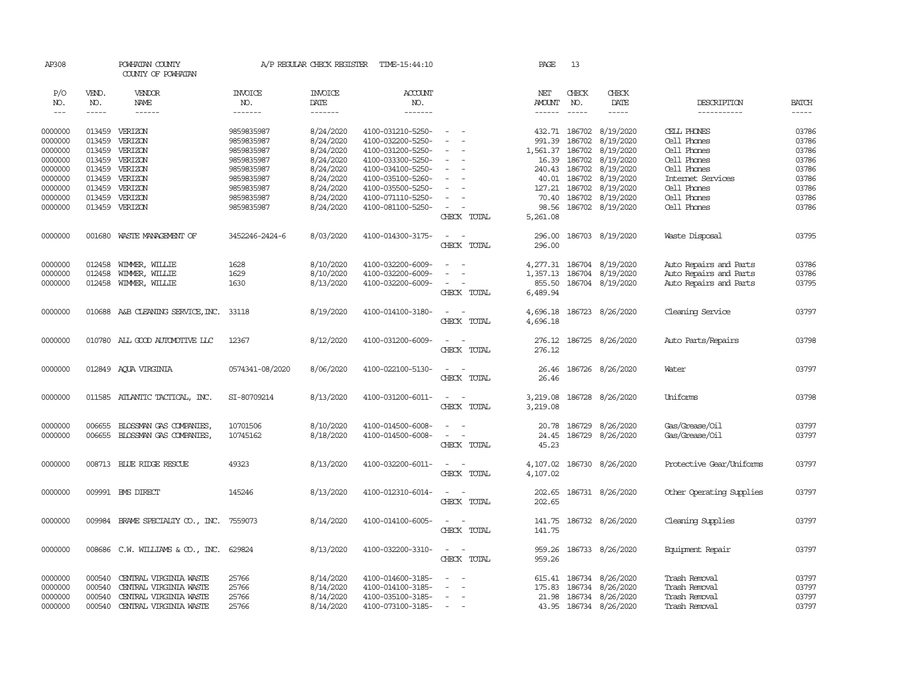| AP308               |        | POWHATAN COUNTY<br>COUNTY OF POWHATAN     |                 | A/P REGULAR CHECK REGISTER | TIME-15:44:10     |                          | PAGE          | 13            |                                                                                                                                                                                                                                                                                                                                                                                                                                                                                     |                          |              |
|---------------------|--------|-------------------------------------------|-----------------|----------------------------|-------------------|--------------------------|---------------|---------------|-------------------------------------------------------------------------------------------------------------------------------------------------------------------------------------------------------------------------------------------------------------------------------------------------------------------------------------------------------------------------------------------------------------------------------------------------------------------------------------|--------------------------|--------------|
| P/O                 | VEND.  | VENDOR                                    | <b>INVOICE</b>  | <b>INVOICE</b>             | <b>ACCOUNT</b>    |                          | NET           | CHECK         | CHECK                                                                                                                                                                                                                                                                                                                                                                                                                                                                               |                          |              |
| NO.                 | NO.    | <b>NAME</b>                               | NO.             | DATE                       | NO.               |                          | AMOUNT        | NO.           | DATE                                                                                                                                                                                                                                                                                                                                                                                                                                                                                | DESCRIPTION              | <b>BATCH</b> |
| $\qquad \qquad - -$ | -----  |                                           | -------         |                            | -------           |                          | $- - - - - -$ | $\frac{1}{2}$ | $\begin{tabular}{ccccc} \multicolumn{2}{c}{} & \multicolumn{2}{c}{} & \multicolumn{2}{c}{} & \multicolumn{2}{c}{} & \multicolumn{2}{c}{} & \multicolumn{2}{c}{} & \multicolumn{2}{c}{} & \multicolumn{2}{c}{} & \multicolumn{2}{c}{} & \multicolumn{2}{c}{} & \multicolumn{2}{c}{} & \multicolumn{2}{c}{} & \multicolumn{2}{c}{} & \multicolumn{2}{c}{} & \multicolumn{2}{c}{} & \multicolumn{2}{c}{} & \multicolumn{2}{c}{} & \multicolumn{2}{c}{} & \multicolumn{2}{c}{} & \mult$ | -----------              | $\cdots$     |
| 0000000             | 013459 | VERIZON                                   | 9859835987      | 8/24/2020                  | 4100-031210-5250- | $\sim$                   |               |               | 432.71 186702 8/19/2020                                                                                                                                                                                                                                                                                                                                                                                                                                                             | CELL PHONES              | 03786        |
| 0000000             | 013459 | VERIZON                                   | 9859835987      | 8/24/2020                  | 4100-032200-5250- |                          | 991.39        | 186702        | 8/19/2020                                                                                                                                                                                                                                                                                                                                                                                                                                                                           | Cell Phones              | 03786        |
| 0000000             | 013459 | VERIZON                                   | 9859835987      | 8/24/2020                  | 4100-031200-5250- |                          | 1,561.37      |               | 186702 8/19/2020                                                                                                                                                                                                                                                                                                                                                                                                                                                                    | Cell Phones              | 03786        |
| 0000000             | 013459 | VERIZON                                   | 9859835987      | 8/24/2020                  | 4100-033300-5250- |                          |               |               | 16.39 186702 8/19/2020                                                                                                                                                                                                                                                                                                                                                                                                                                                              | Cell Phones              | 03786        |
| 0000000             | 013459 | VERIZON                                   | 9859835987      | 8/24/2020                  | 4100-034100-5250- |                          |               |               | 240.43 186702 8/19/2020                                                                                                                                                                                                                                                                                                                                                                                                                                                             | Cell Phones              | 03786        |
| 0000000             | 013459 | VERIZON                                   | 9859835987      | 8/24/2020                  | 4100-035100-5260- |                          | 40.01         |               | 186702 8/19/2020                                                                                                                                                                                                                                                                                                                                                                                                                                                                    | Internet Services        | 03786        |
| 0000000             | 013459 | VERIZON                                   | 9859835987      | 8/24/2020                  | 4100-035500-5250- |                          | 127.21        |               | 186702 8/19/2020                                                                                                                                                                                                                                                                                                                                                                                                                                                                    | Cell Phones              | 03786        |
| 0000000             | 013459 | VERIZON                                   | 9859835987      | 8/24/2020                  | 4100-071110-5250- |                          | 70.40         |               | 186702 8/19/2020                                                                                                                                                                                                                                                                                                                                                                                                                                                                    | Cell Phones              | 03786        |
| 0000000             | 013459 | VERIZON                                   | 9859835987      | 8/24/2020                  | 4100-081100-5250- |                          | 98.56         |               | 186702 8/19/2020                                                                                                                                                                                                                                                                                                                                                                                                                                                                    | Cell Phones              | 03786        |
|                     |        |                                           |                 |                            |                   | CHECK TOTAL              | 5,261.08      |               |                                                                                                                                                                                                                                                                                                                                                                                                                                                                                     |                          |              |
| 0000000             | 001680 | WASTE MANAGEMENT OF                       | 3452246-2424-6  | 8/03/2020                  | 4100-014300-3175- | $\sim$                   |               |               | 296.00 186703 8/19/2020                                                                                                                                                                                                                                                                                                                                                                                                                                                             | Waste Disposal           | 03795        |
|                     |        |                                           |                 |                            |                   | CHECK TOTAL              | 296.00        |               |                                                                                                                                                                                                                                                                                                                                                                                                                                                                                     |                          |              |
| 0000000             | 012458 | WIMMER, WILLIE                            | 1628            | 8/10/2020                  | 4100-032200-6009- | $\overline{\phantom{a}}$ |               |               | 4,277.31 186704 8/19/2020                                                                                                                                                                                                                                                                                                                                                                                                                                                           | Auto Repairs and Parts   | 03786        |
| 0000000             | 012458 | WIMMER, WILLIE                            | 1629            | 8/10/2020                  | 4100-032200-6009- |                          |               |               | 1,357.13 186704 8/19/2020                                                                                                                                                                                                                                                                                                                                                                                                                                                           | Auto Repairs and Parts   | 03786        |
| 0000000             | 012458 | WIMMER, WILLIE                            | 1630            | 8/13/2020                  | 4100-032200-6009- |                          |               |               | 855.50 186704 8/19/2020                                                                                                                                                                                                                                                                                                                                                                                                                                                             | Auto Repairs and Parts   | 03795        |
|                     |        |                                           |                 |                            |                   | CHECK TOTAL              | 6,489.94      |               |                                                                                                                                                                                                                                                                                                                                                                                                                                                                                     |                          |              |
| 0000000             |        | 010688 A&B CLEANING SERVICE, INC. 33118   |                 | 8/19/2020                  | 4100-014100-3180- | $\sim$<br>$\sim$         |               |               | 4,696.18 186723 8/26/2020                                                                                                                                                                                                                                                                                                                                                                                                                                                           | Cleaning Service         | 03797        |
|                     |        |                                           |                 |                            |                   | CHECK TOTAL              | 4,696.18      |               |                                                                                                                                                                                                                                                                                                                                                                                                                                                                                     |                          |              |
| 0000000             |        | 010780 ALL GOOD AUTOMOTTVE LLC            | 12367           | 8/12/2020                  | 4100-031200-6009- |                          | 276.12        |               | 186725 8/26/2020                                                                                                                                                                                                                                                                                                                                                                                                                                                                    | Auto Parts/Repairs       | 03798        |
|                     |        |                                           |                 |                            |                   | CHECK TOTAL              | 276.12        |               |                                                                                                                                                                                                                                                                                                                                                                                                                                                                                     |                          |              |
| 0000000             |        | 012849 AQUA VIRGINIA                      | 0574341-08/2020 | 8/06/2020                  | 4100-022100-5130- | $\overline{\phantom{a}}$ | 26.46         |               | 186726 8/26/2020                                                                                                                                                                                                                                                                                                                                                                                                                                                                    | Water                    | 03797        |
|                     |        |                                           |                 |                            |                   | CHECK TOTAL              | 26.46         |               |                                                                                                                                                                                                                                                                                                                                                                                                                                                                                     |                          |              |
| 0000000             |        | 011585 ATLANTIC TACTICAL, INC.            | SI-80709214     | 8/13/2020                  | 4100-031200-6011- | $\sim$                   | 3,219.08      |               | 186728 8/26/2020                                                                                                                                                                                                                                                                                                                                                                                                                                                                    | Uniforms                 | 03798        |
|                     |        |                                           |                 |                            |                   | CHECK TOTAL              | 3,219.08      |               |                                                                                                                                                                                                                                                                                                                                                                                                                                                                                     |                          |              |
| 0000000             | 006655 | BLOSSMAN GAS COMPANIES,                   | 10701506        | 8/10/2020                  | 4100-014500-6008- | $\sim$                   |               |               | 20.78 186729 8/26/2020                                                                                                                                                                                                                                                                                                                                                                                                                                                              | Gas/Grease/Oil           | 03797        |
| 0000000             |        | 006655 BLOSSMAN GAS COMPANIES,            | 10745162        | 8/18/2020                  | 4100-014500-6008- | $\sim$                   | 24.45         |               | 186729 8/26/2020                                                                                                                                                                                                                                                                                                                                                                                                                                                                    | Gas/Grease/Oil           | 03797        |
|                     |        |                                           |                 |                            |                   | CHECK TOTAL              | 45.23         |               |                                                                                                                                                                                                                                                                                                                                                                                                                                                                                     |                          |              |
| 0000000             |        | 008713 BLUE RIDGE RESCUE                  | 49323           | 8/13/2020                  | 4100-032200-6011- | $\overline{\phantom{a}}$ | 4,107.02      |               | 186730 8/26/2020                                                                                                                                                                                                                                                                                                                                                                                                                                                                    | Protective Gear/Uniforms | 03797        |
|                     |        |                                           |                 |                            |                   | CHECK TOTAL              | 4,107.02      |               |                                                                                                                                                                                                                                                                                                                                                                                                                                                                                     |                          |              |
| 0000000             |        | 009991 BMS DIRECT                         | 145246          | 8/13/2020                  | 4100-012310-6014- | $\sim$<br>$\sim$         | 202.65        |               | 186731 8/26/2020                                                                                                                                                                                                                                                                                                                                                                                                                                                                    | Other Operating Supplies | 03797        |
|                     |        |                                           |                 |                            |                   | CHECK TOTAL              | 202.65        |               |                                                                                                                                                                                                                                                                                                                                                                                                                                                                                     |                          |              |
| 0000000             |        | 009984 BRAME SPECIALITY CO., INC. 7559073 |                 | 8/14/2020                  | 4100-014100-6005- | $\sim$                   |               |               | 141.75 186732 8/26/2020                                                                                                                                                                                                                                                                                                                                                                                                                                                             | Cleaning Supplies        | 03797        |
|                     |        |                                           |                 |                            |                   | CHECK TOTAL              | 141.75        |               |                                                                                                                                                                                                                                                                                                                                                                                                                                                                                     |                          |              |
| 0000000             |        | 008686 C.W. WILLIAMS & CO., INC.          | 629824          | 8/13/2020                  | 4100-032200-3310- | $\sim$ $ \sim$           |               |               | 959.26 186733 8/26/2020                                                                                                                                                                                                                                                                                                                                                                                                                                                             | Equipment Repair         | 03797        |
|                     |        |                                           |                 |                            |                   | CHECK TOTAL              | 959.26        |               |                                                                                                                                                                                                                                                                                                                                                                                                                                                                                     |                          |              |
| 0000000             | 000540 | CENTRAL VIRGINIA WASTE                    | 25766           | 8/14/2020                  | 4100-014600-3185- |                          |               |               | 615.41 186734 8/26/2020                                                                                                                                                                                                                                                                                                                                                                                                                                                             | Trash Removal            | 03797        |
| 0000000             | 000540 | CENTRAL VIRGINIA WASTE                    | 25766           | 8/14/2020                  | 4100-014100-3185- | $\equiv$                 |               |               | 175.83 186734 8/26/2020                                                                                                                                                                                                                                                                                                                                                                                                                                                             | Trash Removal            | 03797        |
| 0000000             | 000540 | CENTRAL VIRGINIA WASTE                    | 25766           | 8/14/2020                  | 4100-035100-3185- | $\overline{\phantom{a}}$ |               |               | 21.98 186734 8/26/2020                                                                                                                                                                                                                                                                                                                                                                                                                                                              | Trash Removal            | 03797        |
| 0000000             | 000540 | CENTRAL VIRGINIA WASTE                    | 25766           | 8/14/2020                  | 4100-073100-3185- | $\sim$                   |               |               | 43.95 186734 8/26/2020                                                                                                                                                                                                                                                                                                                                                                                                                                                              | Trash Removal            | 03797        |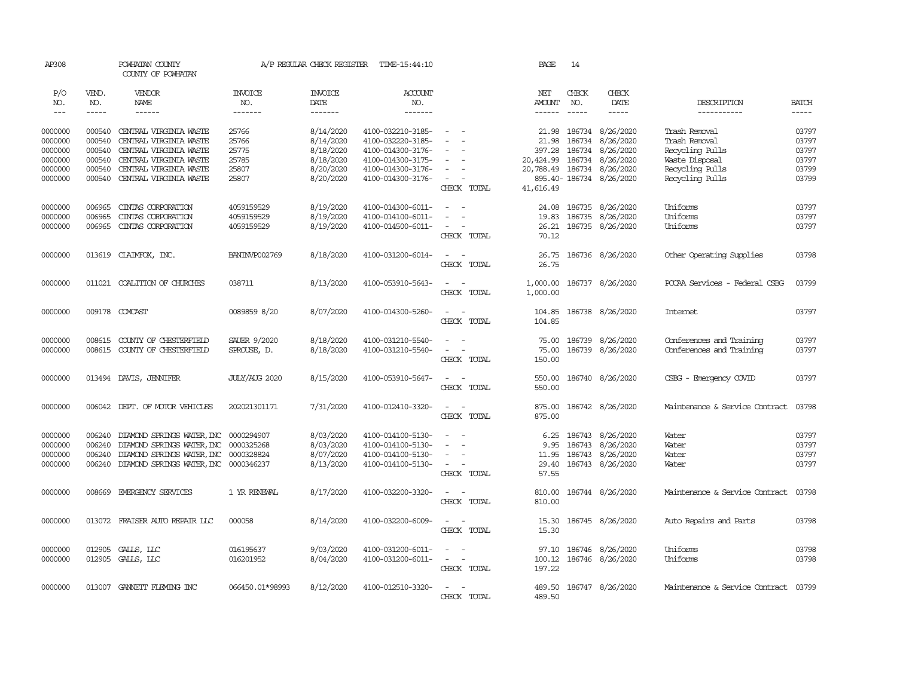| AP308                       |                       | POWHATAN COUNTY<br>COUNTY OF POWHATAN            |                                  | A/P REGULAR CHECK REGISTER        | TIME-15:44:10                          |                                    | PAGE                                  | 14                            |                         |                                      |                             |
|-----------------------------|-----------------------|--------------------------------------------------|----------------------------------|-----------------------------------|----------------------------------------|------------------------------------|---------------------------------------|-------------------------------|-------------------------|--------------------------------------|-----------------------------|
| P/O<br>NO.<br>$\frac{1}{2}$ | VEND.<br>NO.<br>----- | VENDOR<br>NAME<br>$- - - - - -$                  | <b>INVOICE</b><br>NO.<br>------- | <b>INVOICE</b><br>DATE<br>------- | <b>ACCOUNT</b><br>NO.<br>-------       |                                    | NET<br><b>AMOUNT</b><br>$- - - - - -$ | CHECK<br>NO.<br>$\frac{1}{2}$ | CHECK<br>DATE<br>-----  | DESCRIPTION<br>-----------           | <b>BATCH</b><br>$- - - - -$ |
|                             |                       |                                                  |                                  |                                   |                                        | $\overline{\phantom{a}}$           |                                       |                               |                         |                                      |                             |
| 0000000<br>0000000          | 000540<br>000540      | CENTRAL VIRGINIA WASTE<br>CENTRAL VIRGINIA WASTE | 25766<br>25766                   | 8/14/2020                         | 4100-032210-3185-<br>4100-032220-3185- |                                    | 21.98<br>21.98                        | 186734<br>186734              | 8/26/2020<br>8/26/2020  | Trash Removal<br>Trash Removal       | 03797<br>03797              |
| 0000000                     | 000540                |                                                  | 25775                            | 8/14/2020<br>8/18/2020            | 4100-014300-3176-                      | $\sim$                             | 397.28                                | 186734                        | 8/26/2020               | Recycling Pulls                      | 03797                       |
| 0000000                     | 000540                | CENTRAL VIRGINIA WASTE<br>CENTRAL VIRGINIA WASTE | 25785                            | 8/18/2020                         | 4100-014300-3175-                      | $\sim$                             | 20,424.99 186734                      |                               | 8/26/2020               | Waste Disposal                       | 03797                       |
| 0000000                     | 000540                | CENTRAL VIRGINIA WASTE                           | 25807                            | 8/20/2020                         | 4100-014300-3176-                      |                                    | 20,788.49 186734                      |                               | 8/26/2020               | Recycling Pulls                      | 03799                       |
| 0000000                     | 000540                | CENTRAL VIRGINIA WASTE                           | 25807                            | 8/20/2020                         | 4100-014300-3176-                      | $\sim$                             |                                       |                               | 895.40-186734 8/26/2020 | Recycling Pulls                      | 03799                       |
|                             |                       |                                                  |                                  |                                   |                                        | CHECK TOTAL                        | 41,616.49                             |                               |                         |                                      |                             |
| 0000000                     | 006965                | CINIAS CORPORATION                               | 4059159529                       | 8/19/2020                         | 4100-014300-6011-                      | $\overline{\phantom{a}}$<br>$\sim$ | 24.08                                 | 186735                        | 8/26/2020               | Uniforms                             | 03797                       |
| 0000000                     | 006965                | CINIAS CORPORATION                               | 4059159529                       | 8/19/2020                         | 4100-014100-6011-                      | $\sim$                             | 19.83                                 |                               | 186735 8/26/2020        | Uniforms                             | 03797                       |
| 0000000                     | 006965                | CINIAS CORPORATION                               | 4059159529                       | 8/19/2020                         | 4100-014500-6011-                      | $\sim$ $ \sim$                     |                                       |                               | 26.21 186735 8/26/2020  | Uniforms                             | 03797                       |
|                             |                       |                                                  |                                  |                                   |                                        | CHECK TOTAL                        | 70.12                                 |                               |                         |                                      |                             |
| 0000000                     |                       | 013619 CLAIMFOX, INC.                            | BANIN/P002769                    | 8/18/2020                         | 4100-031200-6014-                      | $\sim$ $ -$<br>CHECK TOTAL         | 26.75<br>26.75                        |                               | 186736 8/26/2020        | Other Operating Supplies             | 03798                       |
|                             |                       |                                                  |                                  |                                   |                                        |                                    |                                       |                               |                         |                                      |                             |
| 0000000                     |                       | 011021 COALITION OF CHURCHES                     | 038711                           | 8/13/2020                         | 4100-053910-5643-                      | $\overline{\phantom{a}}$<br>$\sim$ | 1,000.00                              |                               | 186737 8/26/2020        | POCAA Services - Federal CSBG        | 03799                       |
|                             |                       |                                                  |                                  |                                   |                                        | CHECK TOTAL                        | 1,000.00                              |                               |                         |                                      |                             |
| 0000000                     |                       | 009178 COMCAST                                   | 0089859 8/20                     | 8/07/2020                         | 4100-014300-5260-                      | $\sim$<br>$\sim$                   | 104.85                                |                               | 186738 8/26/2020        | <b>Internet</b>                      | 03797                       |
|                             |                       |                                                  |                                  |                                   |                                        | CHECK TOTAL                        | 104.85                                |                               |                         |                                      |                             |
| 0000000                     | 008615                | COUNTY OF CHESTERFIELD                           | SAUER 9/2020                     | 8/18/2020                         | 4100-031210-5540-                      | $\sim$                             | 75.00                                 |                               | 186739 8/26/2020        | Conferences and Training             | 03797                       |
| 0000000                     | 008615                | COUNTY OF CHESTERFIELD                           | SPROUSE, D.                      | 8/18/2020                         | 4100-031210-5540-                      |                                    | 75.00                                 |                               | 186739 8/26/2020        | Conferences and Training             | 03797                       |
|                             |                       |                                                  |                                  |                                   |                                        | CHECK TOTAL                        | 150.00                                |                               |                         |                                      |                             |
| 0000000                     |                       | 013494 DAVIS, JENNIFER                           | JULY/AUG 2020                    | 8/15/2020                         | 4100-053910-5647-                      | $\sim$ 100 $\sim$                  | 550.00                                |                               | 186740 8/26/2020        | CSBG - Emergency COVID               | 03797                       |
|                             |                       |                                                  |                                  |                                   |                                        | CHECK TOTAL                        | 550.00                                |                               |                         |                                      |                             |
| 0000000                     |                       | 006042 DEPT. OF MOTOR VEHICLES                   | 202021301171                     | 7/31/2020                         | 4100-012410-3320-                      | $\sim$ $ -$                        |                                       |                               | 875.00 186742 8/26/2020 | Maintenance & Service Contract       | 03798                       |
|                             |                       |                                                  |                                  |                                   |                                        | CHECK TOTAL                        | 875.00                                |                               |                         |                                      |                             |
| 0000000                     | 006240                | DIAMOND SPRINGS WATER, INC 0000294907            |                                  | 8/03/2020                         | 4100-014100-5130-                      | $\equiv$                           | 6.25                                  |                               | 186743 8/26/2020        | Water                                | 03797                       |
| 0000000                     | 006240                | DIAMOND SPRINGS WATER, INC 0000325268            |                                  | 8/03/2020                         | 4100-014100-5130-                      | $\sim$                             | 9.95                                  |                               | 186743 8/26/2020        | Water                                | 03797                       |
| 0000000                     | 006240                | DIAMOND SPRINGS WATER, INC 0000328824            |                                  | 8/07/2020                         | 4100-014100-5130-                      | $\overline{\phantom{a}}$           | 11.95                                 |                               | 186743 8/26/2020        | Water                                | 03797                       |
| 0000000                     | 006240                | DIAMOND SPRINGS WATER, INC 0000346237            |                                  | 8/13/2020                         | 4100-014100-5130-                      | $\sim$ $ -$                        | 29.40                                 |                               | 186743 8/26/2020        | Water                                | 03797                       |
|                             |                       |                                                  |                                  |                                   |                                        | CHECK TOTAL                        | 57.55                                 |                               |                         |                                      |                             |
| 0000000                     | 008669                | EMERGENCY SERVICES                               | 1 YR RENEWAL                     | 8/17/2020                         | 4100-032200-3320-                      | $\sim$                             | 810.00                                |                               | 186744 8/26/2020        | Maintenance & Service Contract       | 03798                       |
|                             |                       |                                                  |                                  |                                   |                                        | CHECK TOTAL                        | 810.00                                |                               |                         |                                      |                             |
| 0000000                     |                       | 013072 FRAISER AUTO REPAIR LLC                   | 000058                           | 8/14/2020                         | 4100-032200-6009-                      | $\sim$                             | 15.30                                 |                               | 186745 8/26/2020        | Auto Repairs and Parts               | 03798                       |
|                             |                       |                                                  |                                  |                                   |                                        | CHECK TOTAL                        | 15.30                                 |                               |                         |                                      |                             |
| 0000000                     |                       | 012905 GALLS, LLC                                | 016195637                        | 9/03/2020                         | 4100-031200-6011-                      | $\sim$<br>$\sim$                   | 97.10                                 |                               | 186746 8/26/2020        | Uniforms                             | 03798                       |
| 0000000                     |                       | 012905 GALLS, LLC                                | 016201952                        | 8/04/2020                         | 4100-031200-6011-                      | $\sim$ $ \sim$                     |                                       |                               | 100.12 186746 8/26/2020 | Uniforms                             | 03798                       |
|                             |                       |                                                  |                                  |                                   |                                        | CHECK TOTAL                        | 197.22                                |                               |                         |                                      |                             |
| 0000000                     |                       | 013007 GANNETT FLEMING INC                       | 066450.01*98993                  | 8/12/2020                         | 4100-012510-3320-                      | $\sim$<br>$\sim$                   |                                       |                               | 489.50 186747 8/26/2020 | Maintenance & Service Contract 03799 |                             |
|                             |                       |                                                  |                                  |                                   |                                        | CHECK TOTAL                        | 489.50                                |                               |                         |                                      |                             |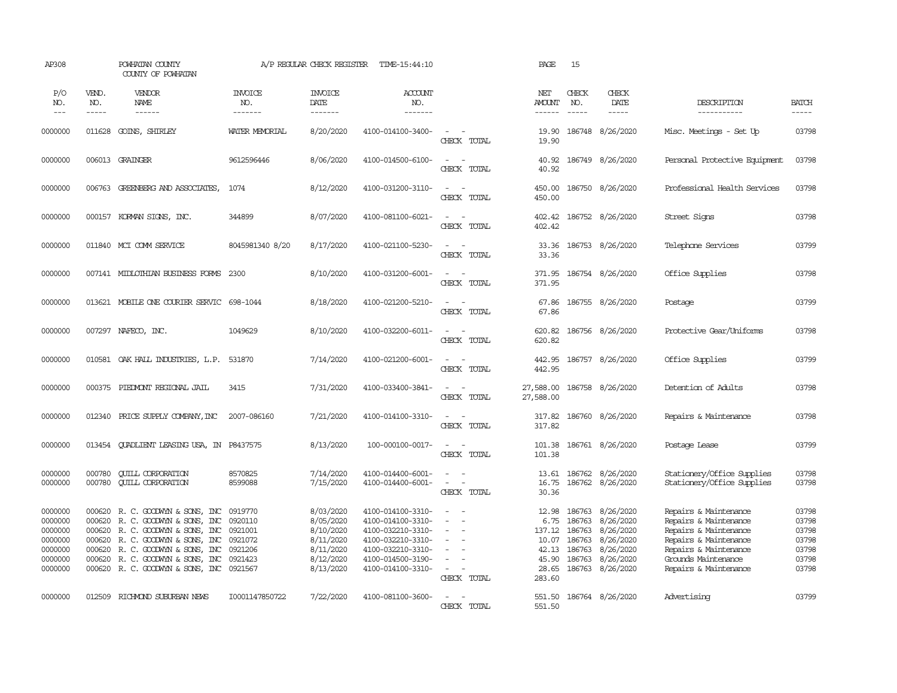| AP308                                                                     |                                                | POWHATAN COUNTY<br>COUNTY OF POWHATAN                                                                                                                                                                                                |                                                     | A/P REGULAR CHECK REGISTER                                                              | TIME-15:44:10                                                                                                                                   |                                                                                             | PAGE                                                                  | 15                                   |                                                                                                              |                                                                                                                                                                           |                                                             |
|---------------------------------------------------------------------------|------------------------------------------------|--------------------------------------------------------------------------------------------------------------------------------------------------------------------------------------------------------------------------------------|-----------------------------------------------------|-----------------------------------------------------------------------------------------|-------------------------------------------------------------------------------------------------------------------------------------------------|---------------------------------------------------------------------------------------------|-----------------------------------------------------------------------|--------------------------------------|--------------------------------------------------------------------------------------------------------------|---------------------------------------------------------------------------------------------------------------------------------------------------------------------------|-------------------------------------------------------------|
| P/O<br>NO.<br>$\frac{1}{2}$                                               | VEND.<br>NO.<br>-----                          | VENDOR<br>NAME<br>------                                                                                                                                                                                                             | <b>INVOICE</b><br>NO.<br>-------                    | <b>INVOICE</b><br>DATE<br>-------                                                       | ACCOUNT<br>NO.<br>$- - - - - - -$                                                                                                               |                                                                                             | NET<br><b>AMOUNT</b><br>$- - - - - -$                                 | CHECK<br>NO.<br>$\frac{1}{2}$        | CHECK<br>DATE<br>-----                                                                                       | DESCRIPTION<br>-----------                                                                                                                                                | <b>BATCH</b><br>$- - - - -$                                 |
| 0000000                                                                   | 011628                                         | GOINS, SHIRLEY                                                                                                                                                                                                                       | WATER MEMORIAL                                      | 8/20/2020                                                                               | 4100-014100-3400-                                                                                                                               | $\sim$<br>CHECK TOTAL                                                                       | 19.90<br>19.90                                                        |                                      | 186748 8/26/2020                                                                                             | Misc. Meetings - Set Up                                                                                                                                                   | 03798                                                       |
| 0000000                                                                   |                                                | 006013 GRAINGER                                                                                                                                                                                                                      | 9612596446                                          | 8/06/2020                                                                               | 4100-014500-6100-                                                                                                                               | $\sim$ $ \sim$<br>CHECK TOTAL                                                               | 40.92<br>40.92                                                        |                                      | 186749 8/26/2020                                                                                             | Personal Protective Equipment                                                                                                                                             | 03798                                                       |
| 0000000                                                                   |                                                | 006763 GREENBERG AND ASSOCIATES,                                                                                                                                                                                                     | 1074                                                | 8/12/2020                                                                               | 4100-031200-3110-                                                                                                                               | $\sim$ $ \sim$<br>CHECK TOTAL                                                               | 450.00<br>450.00                                                      |                                      | 186750 8/26/2020                                                                                             | Professional Health Services                                                                                                                                              | 03798                                                       |
| 0000000                                                                   |                                                | 000157 KORMAN SIGNS, INC.                                                                                                                                                                                                            | 344899                                              | 8/07/2020                                                                               | 4100-081100-6021-                                                                                                                               | $\sim$ $\sim$<br>CHECK TOTAL                                                                | 402.42<br>402.42                                                      |                                      | 186752 8/26/2020                                                                                             | Street Signs                                                                                                                                                              | 03798                                                       |
| 0000000                                                                   |                                                | 011840 MCI COMM SERVICE                                                                                                                                                                                                              | 8045981340 8/20                                     | 8/17/2020                                                                               | 4100-021100-5230-                                                                                                                               | $\sim$ $  -$<br>CHECK TOTAL                                                                 | 33.36<br>33.36                                                        |                                      | 186753 8/26/2020                                                                                             | Telephone Services                                                                                                                                                        | 03799                                                       |
| 0000000                                                                   |                                                | 007141 MIDLOTHIAN BUSINESS FORMS                                                                                                                                                                                                     | 2300                                                | 8/10/2020                                                                               | 4100-031200-6001-                                                                                                                               | $\sim$<br>$\sim$<br>CHECK TOTAL                                                             | 371.95<br>371.95                                                      |                                      | 186754 8/26/2020                                                                                             | Office Supplies                                                                                                                                                           | 03798                                                       |
| 0000000                                                                   |                                                | 013621 MOBILE ONE COURIER SERVIC 698-1044                                                                                                                                                                                            |                                                     | 8/18/2020                                                                               | 4100-021200-5210-                                                                                                                               | $\sim$<br>$\sim$<br>CHECK TOTAL                                                             | 67.86<br>67.86                                                        |                                      | 186755 8/26/2020                                                                                             | Postage                                                                                                                                                                   | 03799                                                       |
| 0000000                                                                   |                                                | 007297 NAFECO, INC.                                                                                                                                                                                                                  | 1049629                                             | 8/10/2020                                                                               | 4100-032200-6011-                                                                                                                               | $\sim$ $ \sim$<br>CHECK TOTAL                                                               | 620.82<br>620.82                                                      |                                      | 186756 8/26/2020                                                                                             | Protective Gear/Uniforms                                                                                                                                                  | 03798                                                       |
| 0000000                                                                   |                                                | 010581 OAK HALL INDUSTRIES, L.P.                                                                                                                                                                                                     | 531870                                              | 7/14/2020                                                                               | 4100-021200-6001-                                                                                                                               | $\sim$<br>$\sim$<br>CHECK TOTAL                                                             | 442.95<br>442.95                                                      |                                      | 186757 8/26/2020                                                                                             | Office Supplies                                                                                                                                                           | 03799                                                       |
| 0000000                                                                   |                                                | 000375 PIEDMONT REGIONAL JAIL                                                                                                                                                                                                        | 3415                                                | 7/31/2020                                                                               | 4100-033400-3841-                                                                                                                               | $\sim$ $ -$<br>CHECK TOTAL                                                                  | 27,588.00<br>27,588.00                                                |                                      | 186758 8/26/2020                                                                                             | Detention of Adults                                                                                                                                                       | 03798                                                       |
| 0000000                                                                   | 012340                                         | PRICE SUPPLY COMPANY, INC                                                                                                                                                                                                            | 2007-086160                                         | 7/21/2020                                                                               | 4100-014100-3310-                                                                                                                               | $\sim$ $ \sim$<br>CHECK TOTAL                                                               | 317.82<br>317.82                                                      |                                      | 186760 8/26/2020                                                                                             | Repairs & Maintenance                                                                                                                                                     | 03798                                                       |
| 0000000                                                                   |                                                | 013454 QUADLIENT LEASING USA, IN P8437575                                                                                                                                                                                            |                                                     | 8/13/2020                                                                               | 100-000100-0017-                                                                                                                                | $\sim$<br>$\sim$<br>CHECK TOTAL                                                             | 101.38<br>101.38                                                      |                                      | 186761 8/26/2020                                                                                             | Postage Lease                                                                                                                                                             | 03799                                                       |
| 0000000<br>0000000                                                        | 000780<br>000780                               | <b>QUILL CORPORATION</b><br><b>CUILL CORPORATION</b>                                                                                                                                                                                 | 8570825<br>8599088                                  | 7/14/2020<br>7/15/2020                                                                  | 4100-014400-6001-<br>4100-014400-6001-                                                                                                          | $\sim$ $ \sim$<br>$\sim$ $ -$<br>CHECK TOTAL                                                | 16.75<br>30.36                                                        |                                      | 13.61 186762 8/26/2020<br>186762 8/26/2020                                                                   | Stationery/Office Supplies<br>Stationery/Office Supplies                                                                                                                  | 03798<br>03798                                              |
| 0000000<br>0000000<br>0000000<br>0000000<br>0000000<br>0000000<br>0000000 | 000620<br>000620<br>000620<br>000620<br>000620 | 000620 R.C. GOODWYN & SONS, INC<br>R. C. GOODWIN & SONS, INC<br>R. C. GOODWIN & SONS, INC 0921001<br>R. C. GOODWIN & SONS, INC<br>R. C. GOODWYN & SONS, INC<br>R. C. GOODWIN & SONS, INC<br>000620 R. C. GOODWIN & SONS, INC 0921567 | 0919770<br>0920110<br>0921072<br>0921206<br>0921423 | 8/03/2020<br>8/05/2020<br>8/10/2020<br>8/11/2020<br>8/11/2020<br>8/12/2020<br>8/13/2020 | 4100-014100-3310-<br>4100-014100-3310-<br>4100-032210-3310-<br>4100-032210-3310-<br>4100-032210-3310-<br>4100-014500-3190-<br>4100-014100-3310- | $\sim$<br>$\equiv$<br>$\sim$<br>$\sim$<br>$\sim$<br>$\overline{\phantom{a}}$<br>CHECK TOTAL | 12.98<br>6.75<br>137.12<br>10.07<br>42.13<br>45.90<br>28.65<br>283.60 | 186763<br>186763<br>186763<br>186763 | 186763 8/26/2020<br>8/26/2020<br>186763 8/26/2020<br>8/26/2020<br>8/26/2020<br>8/26/2020<br>186763 8/26/2020 | Repairs & Maintenance<br>Repairs & Maintenance<br>Repairs & Maintenance<br>Repairs & Maintenance<br>Repairs & Maintenance<br>Grounds Maintenance<br>Repairs & Maintenance | 03798<br>03798<br>03798<br>03798<br>03798<br>03798<br>03798 |
| 0000000                                                                   |                                                | 012509 RICHMOND SUBURBAN NEWS                                                                                                                                                                                                        | I0001147850722                                      | 7/22/2020                                                                               | 4100-081100-3600-                                                                                                                               | $\sim$ $ \sim$<br>CHECK TOTAL                                                               | 551.50                                                                |                                      | 551.50 186764 8/26/2020                                                                                      | Advertising                                                                                                                                                               | 03799                                                       |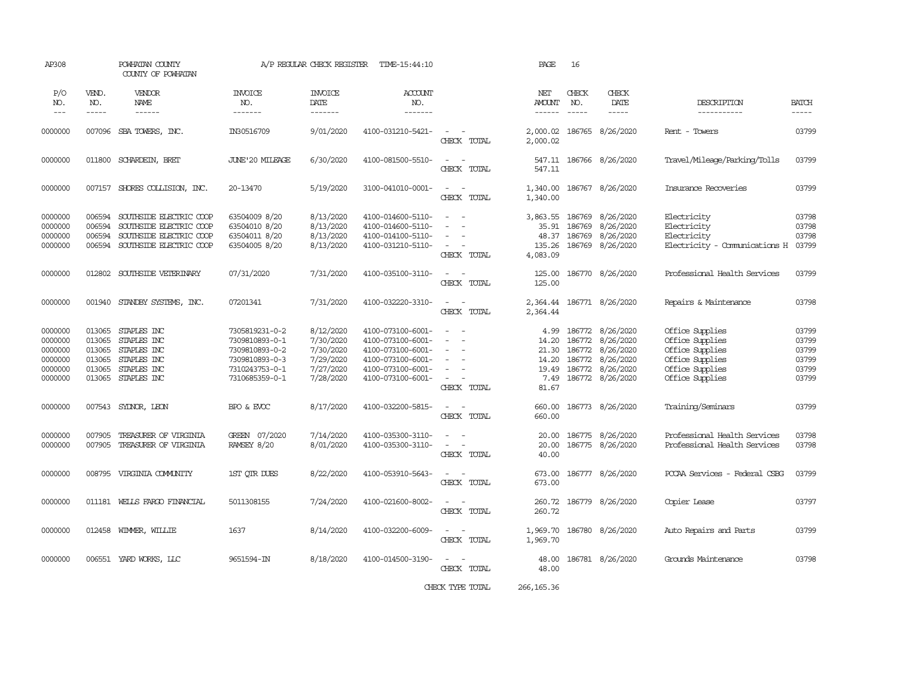| AP308                                                          |                                                          | POWHATAN COUNTY<br>COUNTY OF POWHATAN                                                                    |                                                                                                          | A/P REGULAR CHECK REGISTER                                                 | TIME-15:44:10                                                                                                              |                                                                                                                                                                                       | PAGE                                                                                                                                                                                                                                                                                                                                                                                                                                                                                                           | 16                                             |                                                                                   |                                                                                                                |                                                    |
|----------------------------------------------------------------|----------------------------------------------------------|----------------------------------------------------------------------------------------------------------|----------------------------------------------------------------------------------------------------------|----------------------------------------------------------------------------|----------------------------------------------------------------------------------------------------------------------------|---------------------------------------------------------------------------------------------------------------------------------------------------------------------------------------|----------------------------------------------------------------------------------------------------------------------------------------------------------------------------------------------------------------------------------------------------------------------------------------------------------------------------------------------------------------------------------------------------------------------------------------------------------------------------------------------------------------|------------------------------------------------|-----------------------------------------------------------------------------------|----------------------------------------------------------------------------------------------------------------|----------------------------------------------------|
| P/O<br>NO.<br>$\frac{1}{2}$                                    | VEND.<br>NO.<br>-----                                    | VENDOR<br><b>NAME</b>                                                                                    | <b>INVOICE</b><br>NO.<br>-------                                                                         | <b>INVOICE</b><br>DATE<br>-------                                          | <b>ACCOUNT</b><br>NO.                                                                                                      |                                                                                                                                                                                       | NET<br><b>AMOUNT</b><br>$\begin{array}{cccccccccc} \multicolumn{2}{c}{} & \multicolumn{2}{c}{} & \multicolumn{2}{c}{} & \multicolumn{2}{c}{} & \multicolumn{2}{c}{} & \multicolumn{2}{c}{} & \multicolumn{2}{c}{} & \multicolumn{2}{c}{} & \multicolumn{2}{c}{} & \multicolumn{2}{c}{} & \multicolumn{2}{c}{} & \multicolumn{2}{c}{} & \multicolumn{2}{c}{} & \multicolumn{2}{c}{} & \multicolumn{2}{c}{} & \multicolumn{2}{c}{} & \multicolumn{2}{c}{} & \multicolumn{2}{c}{} & \multicolumn{2}{c}{} & \mult$ | CHECK<br>NO.<br>$\frac{1}{2}$                  | CHECK<br>DATE<br>$\frac{1}{2}$                                                    | DESCRIPTION<br>-----------                                                                                     | <b>BATCH</b><br>$- - - - -$                        |
| 0000000                                                        |                                                          | 007096 SBA TOWERS, INC.                                                                                  | IN30516709                                                                                               | 9/01/2020                                                                  | 4100-031210-5421-                                                                                                          | $\sim$ $ -$<br>CHECK TOTAL                                                                                                                                                            | 2,000.02<br>2,000.02                                                                                                                                                                                                                                                                                                                                                                                                                                                                                           |                                                | 186765 8/26/2020                                                                  | Rent - Towers                                                                                                  | 03799                                              |
| 0000000                                                        |                                                          | 011800 SCHARDEIN, BRET                                                                                   | JUNE'20 MILEAGE                                                                                          | 6/30/2020                                                                  | 4100-081500-5510-                                                                                                          | $\sim$<br>$\sim$ $-$<br>CHECK TOTAL                                                                                                                                                   | 547.11                                                                                                                                                                                                                                                                                                                                                                                                                                                                                                         |                                                | 547.11 186766 8/26/2020                                                           | Travel/Mileage/Parking/Tolls                                                                                   | 03799                                              |
| 0000000                                                        |                                                          | 007157 SHORES COLLISION, INC.                                                                            | 20-13470                                                                                                 | 5/19/2020                                                                  | 3100-041010-0001-                                                                                                          | $\sim$ $ -$<br>CHECK TOTAL                                                                                                                                                            | 1,340.00<br>1,340.00                                                                                                                                                                                                                                                                                                                                                                                                                                                                                           |                                                | 186767 8/26/2020                                                                  | Insurance Recoveries                                                                                           | 03799                                              |
| 0000000<br>0000000<br>0000000<br>0000000                       | 006594<br>006594<br>006594<br>006594                     | SOUTHSIDE ELECTRIC COOP<br>SOUTHSIDE ELECTRIC COOP<br>SOUTHSIDE ELECTRIC COOP<br>SOUTHSIDE ELECTRIC COOP | 63504009 8/20<br>63504010 8/20<br>63504011 8/20<br>63504005 8/20                                         | 8/13/2020<br>8/13/2020<br>8/13/2020<br>8/13/2020                           | 4100-014600-5110-<br>4100-014600-5110-<br>4100-014100-5110-<br>4100-031210-5110-                                           | $\frac{1}{2} \left( \frac{1}{2} \right) \left( \frac{1}{2} \right) = \frac{1}{2} \left( \frac{1}{2} \right)$<br>$\sim$<br>$\overline{\phantom{a}}$<br>$\sim$<br>$\sim$<br>CHECK TOTAL | 3,863.55<br>35.91<br>48.37<br>135.26<br>4,083.09                                                                                                                                                                                                                                                                                                                                                                                                                                                               | 186769<br>186769<br>186769                     | 8/26/2020<br>8/26/2020<br>8/26/2020<br>186769 8/26/2020                           | Electricity<br>Electricity<br>Electricity<br>Electricity - Comunications H                                     | 03798<br>03798<br>03798<br>03799                   |
| 0000000                                                        | 012802                                                   | SOUTHSIDE VETERINARY                                                                                     | 07/31/2020                                                                                               | 7/31/2020                                                                  | 4100-035100-3110-                                                                                                          | $\sim$ 100 $\sim$<br>CHECK TOTAL                                                                                                                                                      | 125.00<br>125.00                                                                                                                                                                                                                                                                                                                                                                                                                                                                                               |                                                | 186770 8/26/2020                                                                  | Professional Health Services                                                                                   | 03799                                              |
| 0000000                                                        | 001940                                                   | STANDBY SYSTEMS, INC.                                                                                    | 07201341                                                                                                 | 7/31/2020                                                                  | 4100-032220-3310-                                                                                                          | $\sim$<br>$\sim$ $-$<br>CHECK TOTAL                                                                                                                                                   | 2,364.44<br>2,364.44                                                                                                                                                                                                                                                                                                                                                                                                                                                                                           |                                                | 186771 8/26/2020                                                                  | Repairs & Maintenance                                                                                          | 03798                                              |
| 0000000<br>0000000<br>0000000<br>0000000<br>0000000<br>0000000 | 013065<br>013065<br>013065<br>013065<br>013065<br>013065 | STAPLES INC<br>STAPLES INC<br>STAPLES INC<br>STAPLES INC<br>STAPLES INC<br>STAPLES INC                   | 7305819231-0-2<br>7309810893-0-1<br>7309810893-0-2<br>7309810893-0-3<br>7310243753-0-1<br>7310685359-0-1 | 8/12/2020<br>7/30/2020<br>7/30/2020<br>7/29/2020<br>7/27/2020<br>7/28/2020 | 4100-073100-6001-<br>4100-073100-6001-<br>4100-073100-6001-<br>4100-073100-6001-<br>4100-073100-6001-<br>4100-073100-6001- | $\overline{\phantom{a}}$<br>$\sim$<br>$\sim$<br>$\overline{\phantom{a}}$<br>$\overline{\phantom{0}}$<br>$\sim$<br>$\sim$<br>$\sim$<br>CHECK TOTAL                                     | 4.99<br>14.20<br>21.30<br>14.20<br>19.49<br>7.49<br>81.67                                                                                                                                                                                                                                                                                                                                                                                                                                                      | 186772<br>186772<br>186772<br>186772<br>186772 | 8/26/2020<br>8/26/2020<br>8/26/2020<br>8/26/2020<br>8/26/2020<br>186772 8/26/2020 | Office Supplies<br>Office Supplies<br>Office Supplies<br>Office Supplies<br>Office Supplies<br>Office Supplies | 03799<br>03799<br>03799<br>03799<br>03799<br>03799 |
| 0000000                                                        |                                                          | 007543 SYDNOR, LEON                                                                                      | BPO & EVOC                                                                                               | 8/17/2020                                                                  | 4100-032200-5815-                                                                                                          | $\sim$<br>$\sim$<br>CHECK TOTAL                                                                                                                                                       | 660.00<br>660.00                                                                                                                                                                                                                                                                                                                                                                                                                                                                                               |                                                | 186773 8/26/2020                                                                  | Training/Seminars                                                                                              | 03799                                              |
| 0000000<br>0000000                                             | 007905<br>007905                                         | TREASURER OF VIRGINIA<br>TREASURER OF VIRGINIA                                                           | GREEN 07/2020<br>RAMSEY 8/20                                                                             | 7/14/2020<br>8/01/2020                                                     | 4100-035300-3110-<br>4100-035300-3110-                                                                                     | $\sim$<br>$\omega_{\rm{max}}$ and $\omega_{\rm{max}}$<br>CHECK TOTAL                                                                                                                  | 20.00<br>20.00<br>40.00                                                                                                                                                                                                                                                                                                                                                                                                                                                                                        | 186775                                         | 8/26/2020<br>186775 8/26/2020                                                     | Professional Health Services<br>Professional Health Services                                                   | 03798<br>03798                                     |
| 0000000                                                        |                                                          | 008795 VIRGINIA COMUNITY                                                                                 | 1ST QTR DUES                                                                                             | 8/22/2020                                                                  | 4100-053910-5643-                                                                                                          | $\sim$ $-$<br>$\sim$<br>CHECK TOTAL                                                                                                                                                   | 673.00<br>673.00                                                                                                                                                                                                                                                                                                                                                                                                                                                                                               |                                                | 186777 8/26/2020                                                                  | PCCAA Services - Federal CSBG                                                                                  | 03799                                              |
| 0000000                                                        |                                                          | 011181 WELLS FARGO FINANCIAL                                                                             | 5011308155                                                                                               | 7/24/2020                                                                  | 4100-021600-8002-                                                                                                          | $\sim$<br>$\sim$<br>CHECK TOTAL                                                                                                                                                       | 260.72<br>260.72                                                                                                                                                                                                                                                                                                                                                                                                                                                                                               |                                                | 186779 8/26/2020                                                                  | Copier Lease                                                                                                   | 03797                                              |
| 0000000                                                        |                                                          | 012458 WIMMER, WILLIE                                                                                    | 1637                                                                                                     | 8/14/2020                                                                  | 4100-032200-6009-                                                                                                          | $\sim$ $-$<br>$\sim$<br>CHECK TOTAL                                                                                                                                                   | 1,969.70                                                                                                                                                                                                                                                                                                                                                                                                                                                                                                       |                                                | 1,969.70 186780 8/26/2020                                                         | Auto Repairs and Parts                                                                                         | 03799                                              |
| 0000000                                                        |                                                          | 006551 YARD WORKS, LLC                                                                                   | 9651594-IN                                                                                               | 8/18/2020                                                                  | 4100-014500-3190-                                                                                                          | $\overline{\phantom{a}}$<br>CHECK TOTAL                                                                                                                                               | 48.00<br>48.00                                                                                                                                                                                                                                                                                                                                                                                                                                                                                                 |                                                | 186781 8/26/2020                                                                  | Grounds Maintenance                                                                                            | 03798                                              |

CHECK TYPE TOTAL 266,165.36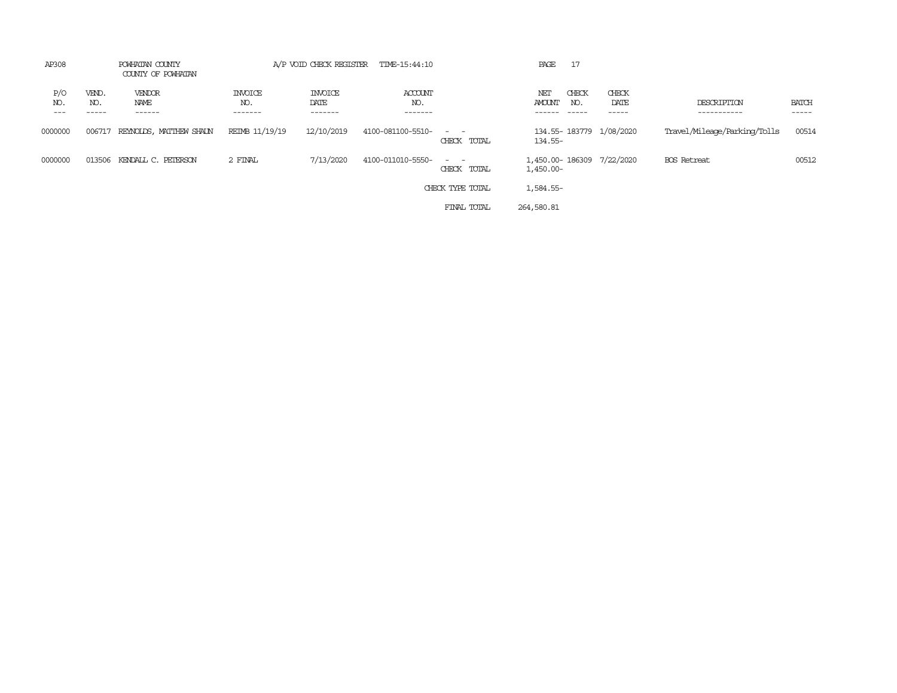| AP308               |                       | POWHATAN COUNTY<br>COUNTY OF POWHATAN |                                  |                                   | A/P VOID CHECK REGISTER TIME-15:44:10 |                              | PAGE<br>17                                                    |                        |                              |                             |
|---------------------|-----------------------|---------------------------------------|----------------------------------|-----------------------------------|---------------------------------------|------------------------------|---------------------------------------------------------------|------------------------|------------------------------|-----------------------------|
| P/O<br>NO.<br>$---$ | VEND.<br>NO.<br>----- | VENDOR<br>NAME<br>------              | <b>INVOICE</b><br>NO.<br>------- | <b>INVOICE</b><br>DATE<br>------- | ACCOUNT<br>NO.<br>-------             |                              | CHECK<br>NET<br><b>AMOUNT</b><br>NO.<br>$- - - - -$<br>------ | CHECK<br>DATE<br>----- | DESCRIPTION<br>-----------   | <b>BATCH</b><br>$- - - - -$ |
| 0000000             | 006717                | REYNOLDS, MATTHEW SHALN               | REIMB 11/19/19                   | 12/10/2019                        | 4100-081100-5510-                     | $ -$<br>CHECK TOTAL          | 134.55-183779 1/08/2020<br>134.55-                            |                        | Travel/Mileage/Parking/Tolls | 00514                       |
| 0000000             | 013506                | KENDALL C. PETERSON                   | 2 FINAL                          | 7/13/2020                         | 4100-011010-5550-                     | $\sim$ $\sim$<br>CHECK TOTAL | 1,450.00-186309 7/22/2020<br>1,450.00-                        |                        | <b>BOS</b> Retreat           | 00512                       |
|                     |                       |                                       |                                  |                                   |                                       | CHECK TYPE TOTAL             | 1,584.55-                                                     |                        |                              |                             |
|                     |                       |                                       |                                  |                                   |                                       | FINAL TOTAL                  | 264,580.81                                                    |                        |                              |                             |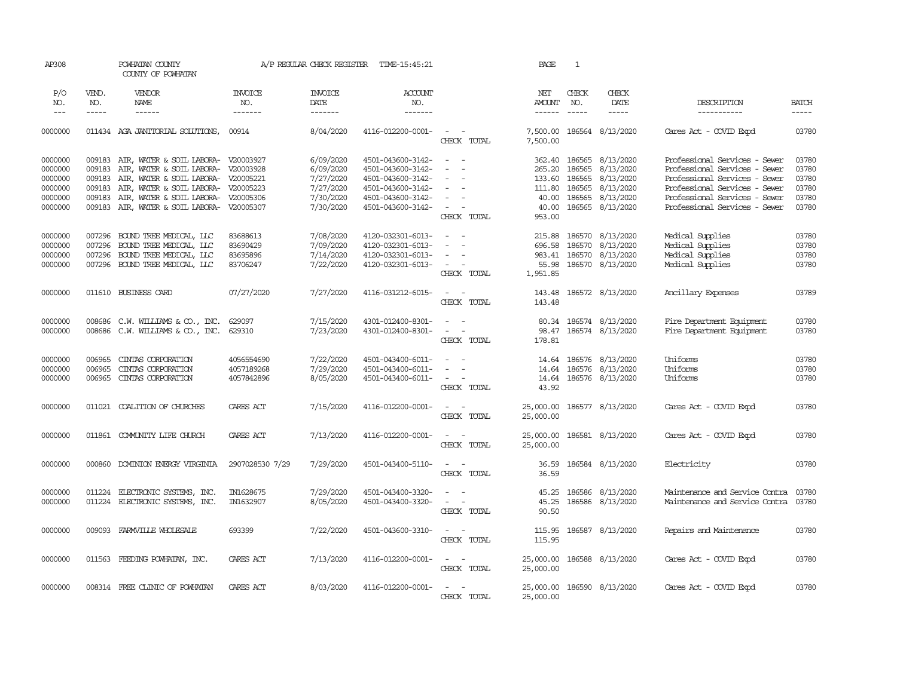| AP308                                    |                             | POWHATAN COUNTY<br>COUNTY OF POWHATAN                                                                                         |                                              | A/P REGULAR CHECK REGISTER                       | TIME-15:45:21                                                                    |                                                                                                                                                 | PAGE                                  | $\mathbf{1}$            |                                                                              |                                                                              |                                  |
|------------------------------------------|-----------------------------|-------------------------------------------------------------------------------------------------------------------------------|----------------------------------------------|--------------------------------------------------|----------------------------------------------------------------------------------|-------------------------------------------------------------------------------------------------------------------------------------------------|---------------------------------------|-------------------------|------------------------------------------------------------------------------|------------------------------------------------------------------------------|----------------------------------|
| P/O<br>NO.<br>$---$                      | VEND.<br>NO.<br>$- - - - -$ | VENDOR<br>NAME<br>$- - - - - -$                                                                                               | <b>INVOICE</b><br>NO.<br>-------             | <b>INVOICE</b><br>DATE<br>-------                | <b>ACCOUNT</b><br>NO.<br>--------                                                |                                                                                                                                                 | NET<br>AMOUNT<br>$- - - - - -$        | CHECK<br>NO.<br>------  | CHECK<br>DATE<br>$- - - - -$                                                 | DESCRIPTION<br>-----------                                                   | <b>BATCH</b><br>$- - - - -$      |
| 0000000                                  |                             | 011434 AGA JANITORIAL SOLUTIONS,                                                                                              | 00914                                        | 8/04/2020                                        | 4116-012200-0001-                                                                | $\overline{\phantom{a}}$<br>$\sim$<br>CHECK TOTAL                                                                                               | 7,500.00                              |                         | 7,500.00 186564 8/13/2020                                                    | Cares Act - COVID Expd                                                       | 03780                            |
| 0000000<br>0000000                       | 009183<br>009183            | AIR, WATER & SOIL LABORA- V20003927<br>AIR, WATER & SOIL LABORA- V20003928                                                    |                                              | 6/09/2020<br>6/09/2020                           | 4501-043600-3142-<br>4501-043600-3142-                                           | $\omega_{\rm{max}}$ and $\omega_{\rm{max}}$                                                                                                     | 265.20                                | 362.40 186565<br>186565 | 8/13/2020<br>8/13/2020                                                       | Professional Services - Sewer<br>Professional Services - Sewer               | 03780<br>03780                   |
| 0000000<br>0000000                       | 009183<br>009183            | AIR, WATER & SOIL LABORA- V20005221<br>AIR, WATER & SOIL LABORA- V20005223                                                    |                                              | 7/27/2020<br>7/27/2020                           | 4501-043600-3142-<br>4501-043600-3142-                                           | $\sim$                                                                                                                                          | 133.60<br>111.80                      | 186565<br>186565        | 8/13/2020<br>8/13/2020                                                       | Professional Services - Sewer<br>Professional Services - Sewer               | 03780<br>03780<br>03780          |
| 0000000<br>0000000                       | 009183                      | AIR, WATER & SOIL LABORA- V20005306<br>009183 AIR, WATER & SOIL LABORA- V20005307                                             |                                              | 7/30/2020<br>7/30/2020                           | 4501-043600-3142-<br>4501-043600-3142-                                           | CHECK TOTAL                                                                                                                                     | 40.00<br>40.00<br>953.00              | 186565                  | 8/13/2020<br>186565 8/13/2020                                                | Professional Services - Sewer<br>Professional Services - Sewer               | 03780                            |
| 0000000<br>0000000<br>0000000<br>0000000 | 007296                      | 007296 BOUND TREE MEDICAL, LLC<br>BOUND TREE MEDICAL, LLC<br>007296 BOUND TREE MEDICAL, LLC<br>007296 BOUND TREE MEDICAL, LLC | 83688613<br>83690429<br>83695896<br>83706247 | 7/08/2020<br>7/09/2020<br>7/14/2020<br>7/22/2020 | 4120-032301-6013-<br>4120-032301-6013-<br>4120-032301-6013-<br>4120-032301-6013- | $\sim$<br>$\sim$<br>$\frac{1}{2} \left( \frac{1}{2} \right) \left( \frac{1}{2} \right) = \frac{1}{2} \left( \frac{1}{2} \right)$<br>CHECK TOTAL | 215.88<br>983.41<br>55.98<br>1,951.85 | 186570                  | 8/13/2020<br>696.58 186570 8/13/2020<br>186570 8/13/2020<br>186570 8/13/2020 | Medical Supplies<br>Medical Supplies<br>Medical Supplies<br>Medical Supplies | 03780<br>03780<br>03780<br>03780 |
| 0000000                                  |                             | 011610 BUSINESS CARD                                                                                                          | 07/27/2020                                   | 7/27/2020                                        | 4116-031212-6015-                                                                | $\sim$ $\sim$<br>CHECK TOTAL                                                                                                                    | 143.48                                |                         | 143.48 186572 8/13/2020                                                      | Ancillary Expenses                                                           | 03789                            |
| 0000000<br>0000000                       |                             | 008686 C.W. WILLIAMS & CO., INC.<br>008686 C.W. WILLIAMS & CO., INC.                                                          | 629097<br>629310                             | 7/15/2020<br>7/23/2020                           | 4301-012400-8301-<br>4301-012400-8301-                                           | $\sim$<br>$\omega_{\rm{max}}$ and $\omega_{\rm{max}}$<br>CHECK TOTAL                                                                            | 178.81                                |                         | 80.34 186574 8/13/2020<br>98.47 186574 8/13/2020                             | Fire Department Equipment<br>Fire Department Equipment                       | 03780<br>03780                   |
| 0000000<br>0000000<br>0000000            | 006965<br>006965<br>006965  | CINTAS CORPORATION<br>CINIAS CORPORATION<br>CINIAS CORPORATION                                                                | 4056554690<br>4057189268<br>4057842896       | 7/22/2020<br>7/29/2020<br>8/05/2020              | 4501-043400-6011-<br>4501-043400-6011-<br>4501-043400-6011-                      | $\sim$<br>$\overline{\phantom{a}}$<br>$\overline{\phantom{a}}$<br>$\sim$ 100 $\mu$<br>CHECK TOTAL                                               | 43.92                                 |                         | 14.64 186576 8/13/2020<br>14.64 186576 8/13/2020<br>14.64 186576 8/13/2020   | Uniforms<br>Uniforms<br>Uniforms                                             | 03780<br>03780<br>03780          |
| 0000000                                  |                             | 011021 COALITION OF CHURCHES                                                                                                  | CARES ACT                                    | 7/15/2020                                        | 4116-012200-0001-                                                                | $\overline{\phantom{a}}$<br>CHECK TOTAL                                                                                                         | 25,000.00                             |                         | 25,000.00 186577 8/13/2020                                                   | Cares Act - COVID Expd                                                       | 03780                            |
| 0000000                                  |                             | 011861 COMUNITY LIFE CHURCH                                                                                                   | CARES ACT                                    | 7/13/2020                                        | 4116-012200-0001-                                                                | $\overline{\phantom{a}}$<br>$\sim$<br>CHECK TOTAL                                                                                               | 25,000.00<br>25,000.00                |                         | 186581 8/13/2020                                                             | Cares Act - COVID Expd                                                       | 03780                            |
| 0000000                                  |                             | 000860 DOMINION ENERGY VIRGINIA                                                                                               | 2907028530 7/29                              | 7/29/2020                                        | 4501-043400-5110-                                                                | $\frac{1}{2} \left( \frac{1}{2} \right) \left( \frac{1}{2} \right) = \frac{1}{2} \left( \frac{1}{2} \right)$<br>CHECK TOTAL                     | 36.59<br>36.59                        |                         | 186584 8/13/2020                                                             | Electricity                                                                  | 03780                            |
| 0000000<br>0000000                       | 011224                      | ELECTRONIC SYSTEMS, INC.<br>011224 ELECTRONIC SYSTEMS, INC.                                                                   | IN1628675<br>IN1632907                       | 7/29/2020<br>8/05/2020                           | 4501-043400-3320-<br>4501-043400-3320-                                           | $\sim$<br>$\sim$<br>$\sim$<br>CHECK TOTAL                                                                                                       | 45.25<br>45.25<br>90.50               |                         | 186586 8/13/2020<br>186586 8/13/2020                                         | Maintenance and Service Contra<br>Maintenance and Service Contra             | 03780<br>03780                   |
| 0000000                                  |                             | 009093 FARMVILLE WHOLESALE                                                                                                    | 693399                                       | 7/22/2020                                        | 4501-043600-3310-                                                                | $\sim$ $\sim$<br>CHECK TOTAL                                                                                                                    | 115.95<br>115.95                      |                         | 186587 8/13/2020                                                             | Repairs and Maintenance                                                      | 03780                            |
| 0000000                                  |                             | 011563 FEEDING POWHATAN, INC.                                                                                                 | CARES ACT                                    | 7/13/2020                                        | 4116-012200-0001-                                                                | $\sim$ $ -$<br>CHECK TOTAL                                                                                                                      | 25,000.00<br>25,000.00                |                         | 186588 8/13/2020                                                             | Cares Act - COVID Expd                                                       | 03780                            |
| 0000000                                  |                             | 008314 FREE CLINIC OF POWHATAN                                                                                                | CARES ACT                                    | 8/03/2020                                        | 4116-012200-0001-                                                                | $\frac{1}{2} \left( \frac{1}{2} \right) \left( \frac{1}{2} \right) = \frac{1}{2} \left( \frac{1}{2} \right)$<br>CHECK TOTAL                     | 25,000.00                             |                         | 25,000.00 186590 8/13/2020                                                   | Cares Act - COVID Expd                                                       | 03780                            |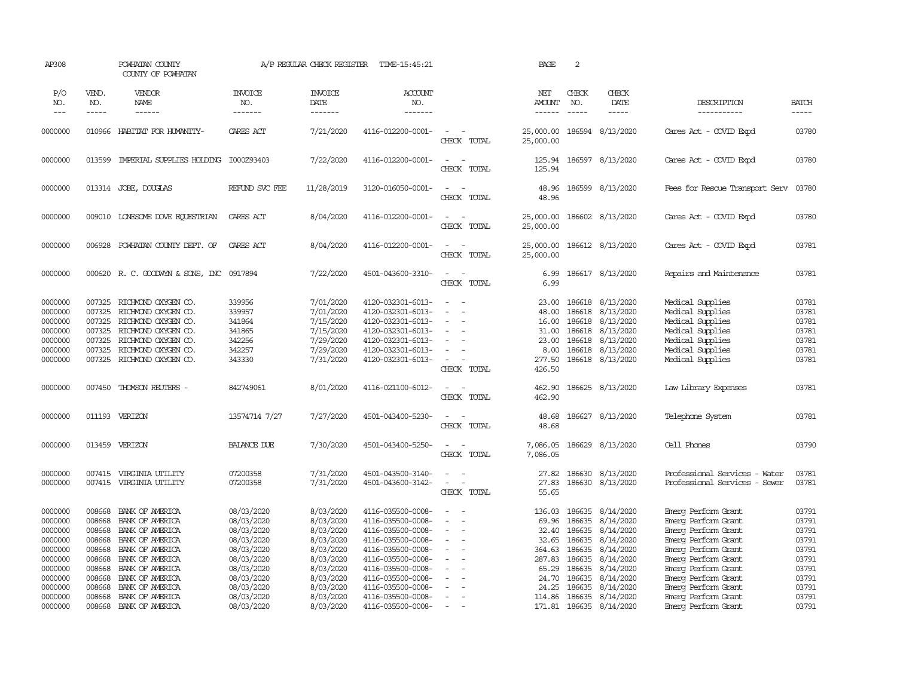| AP308                                    |                                      | POWHATAN COUNTY<br>COUNTY OF POWHATAN                                                    |                                        | A/P REGULAR CHECK REGISTER                       | TIME-15:45:21                                                                    |                                                                          | PAGE                              | 2                                    |                                                  |                                                                              |                                  |
|------------------------------------------|--------------------------------------|------------------------------------------------------------------------------------------|----------------------------------------|--------------------------------------------------|----------------------------------------------------------------------------------|--------------------------------------------------------------------------|-----------------------------------|--------------------------------------|--------------------------------------------------|------------------------------------------------------------------------------|----------------------------------|
| P/O<br>NO.<br>$---$                      | VEND.<br>NO.<br>$\cdots$             | VENDOR<br>NAME<br>------                                                                 | <b>INVOICE</b><br>NO.<br>-------       | <b>INVOICE</b><br>DATE<br>$- - - - - - -$        | <b>ACCOUNT</b><br>NO.<br>-------                                                 |                                                                          | NET<br><b>AMOUNT</b><br>-------   | CHECK<br>NO.<br>$\frac{1}{2}$        | CHECK<br>DATE<br>$- - - - -$                     | DESCRIPTION<br>-----------                                                   | <b>BATCH</b><br>-----            |
| 0000000                                  | 010966                               | HABITAT FOR HUMANITY-                                                                    | CARES ACT                              | 7/21/2020                                        | 4116-012200-0001-                                                                | $\overline{\phantom{a}}$<br>CHECK TOTAL                                  | 25,000.00<br>25,000.00            |                                      | 186594 8/13/2020                                 | Cares Act - COVID Expd                                                       | 03780                            |
| 0000000                                  | 013599                               | IMPERIAL SUPPLIES HOLDING I000Z93403                                                     |                                        | 7/22/2020                                        | 4116-012200-0001-                                                                | $\sim$<br>$\sim$<br>CHECK TOTAL                                          | 125.94                            |                                      | 125.94 186597 8/13/2020                          | Cares Act - COVID Expd                                                       | 03780                            |
| 0000000                                  |                                      | 013314 JOBE, DOUGLAS                                                                     | REFUND SVC FEE                         | 11/28/2019                                       | 3120-016050-0001-                                                                | $\overline{\phantom{a}}$<br>$\overline{\phantom{a}}$<br>CHECK TOTAL      | 48.96<br>48.96                    |                                      | 186599 8/13/2020                                 | Fees for Rescue Transport Serv                                               | 03780                            |
| 0000000                                  |                                      | 009010 LONESOME DOVE EQUESTRIAN                                                          | CARES ACT                              | 8/04/2020                                        | 4116-012200-0001-                                                                | $\sim$ $\sim$<br>CHECK TOTAL                                             | 25,000.00<br>25,000.00            |                                      | 186602 8/13/2020                                 | Cares Act - COVID Expd                                                       | 03780                            |
| 0000000                                  | 006928                               | POWHATAN COUNTY DEPT. OF                                                                 | CARES ACT                              | 8/04/2020                                        | 4116-012200-0001-                                                                | $\sim$<br>$\sim$<br>CHECK TOTAL                                          | 25,000.00<br>25,000.00            |                                      | 186612 8/13/2020                                 | Cares Act - COVID Expd                                                       | 03781                            |
| 0000000                                  |                                      | 000620 R. C. GOODWYN & SONS, INC 0917894                                                 |                                        | 7/22/2020                                        | 4501-043600-3310-                                                                | $\overline{a}$<br>$\sim$<br>CHECK TOTAL                                  | 6.99<br>6.99                      |                                      | 186617 8/13/2020                                 | Repairs and Maintenance                                                      | 03781                            |
| 0000000<br>0000000<br>0000000<br>0000000 | 007325<br>007325<br>007325<br>007325 | RICHMOND OXYGEN CO.<br>RICHMOND OXYGEN CO.<br>RICHMOND OXYGEN CO.<br>RICHMOND OXYGEN CO. | 339956<br>339957<br>341864<br>341865   | 7/01/2020<br>7/01/2020<br>7/15/2020<br>7/15/2020 | 4120-032301-6013-<br>4120-032301-6013-<br>4120-032301-6013-<br>4120-032301-6013- | $\sim$<br>$\sim$                                                         | 23.00<br>48.00<br>16.00<br>31.00  | 186618<br>186618<br>186618<br>186618 | 8/13/2020<br>8/13/2020<br>8/13/2020<br>8/13/2020 | Medical Supplies<br>Medical Supplies<br>Medical Supplies<br>Medical Supplies | 03781<br>03781<br>03781<br>03781 |
| 0000000<br>0000000<br>0000000            | 007325<br>007325<br>007325           | RICHMOND OXYGEN CO.<br>RICHMOND OXYGEN CO.<br>RICHMOND OXYGEN CO.                        | 342256<br>342257<br>343330             | 7/29/2020<br>7/29/2020<br>7/31/2020              | 4120-032301-6013-<br>4120-032301-6013-<br>4120-032301-6013-                      | $\overline{\phantom{a}}$<br>$\overline{\phantom{a}}$<br>CHECK TOTAL      | 23.00<br>8.00<br>277.50<br>426.50 | 186618<br>186618<br>186618           | 8/13/2020<br>8/13/2020<br>8/13/2020              | Medical Supplies<br>Medical Supplies<br>Medical Supplies                     | 03781<br>03781<br>03781          |
| 0000000                                  |                                      | 007450 THOMSON REUTERS -                                                                 | 842749061                              | 8/01/2020                                        | 4116-021100-6012-                                                                | $\overline{\phantom{a}}$<br>$\sim$<br>CHECK TOTAL                        | 462.90<br>462.90                  |                                      | 186625 8/13/2020                                 | Law Library Expenses                                                         | 03781                            |
| 0000000                                  |                                      | 011193 VERIZON                                                                           | 13574714 7/27                          | 7/27/2020                                        | 4501-043400-5230-                                                                | $\sim$<br>$\overline{\phantom{a}}$<br>CHECK TOTAL                        | 48.68<br>48.68                    |                                      | 186627 8/13/2020                                 | Telephone System                                                             | 03781                            |
| 0000000                                  |                                      | 013459 VERIZON                                                                           | <b>BALANCE DUE</b>                     | 7/30/2020                                        | 4501-043400-5250-                                                                | $\overline{\phantom{a}}$<br>$\sim$<br>CHECK TOTAL                        | 7,086.05<br>7,086.05              |                                      | 186629 8/13/2020                                 | Cell Phones                                                                  | 03790                            |
| 0000000<br>0000000                       | 007415                               | VIRGINIA UTILITY<br>007415 VIRGINIA UTILITY                                              | 07200358<br>07200358                   | 7/31/2020<br>7/31/2020                           | 4501-043500-3140-<br>4501-043600-3142-                                           | $\omega_{\rm{max}}$ and $\omega_{\rm{max}}$<br>CHECK TOTAL               | 27.82<br>27.83<br>55.65           | 186630                               | 8/13/2020<br>186630 8/13/2020                    | Professional Services - Water<br>Professional Services - Sewer               | 03781<br>03781                   |
| 0000000<br>0000000                       | 008668<br>008668                     | BANK OF AMERICA<br>BANK OF AMERICA                                                       | 08/03/2020<br>08/03/2020               | 8/03/2020<br>8/03/2020                           | 4116-035500-0008-<br>4116-035500-0008-                                           | $\overline{\phantom{a}}$<br>$\sim$<br>$\overline{\phantom{a}}$<br>$\sim$ | 136.03<br>69.96                   | 186635                               | 186635 8/14/2020<br>8/14/2020                    | Emerg Perform Grant<br>Emerg Perform Grant                                   | 03791<br>03791                   |
| 0000000<br>0000000<br>0000000            | 008668<br>008668<br>008668           | BANK OF AMERICA<br>BANK OF AMERICA<br>BANK OF AMERICA                                    | 08/03/2020<br>08/03/2020<br>08/03/2020 | 8/03/2020<br>8/03/2020<br>8/03/2020              | 4116-035500-0008-<br>4116-035500-0008-<br>4116-035500-0008-                      | $\equiv$<br>$\equiv$<br>$\equiv$<br>÷,                                   | 32.40<br>32.65<br>364.63          | 186635<br>186635<br>186635           | 8/14/2020<br>8/14/2020<br>8/14/2020              | Emerg Perform Grant<br>Emerg Perform Grant<br>Emerg Perform Grant            | 03791<br>03791<br>03791          |
| 0000000<br>0000000<br>0000000            | 008668<br>008668<br>008668           | BANK OF AMERICA<br>BANK OF AMERICA<br>BANK OF AMERICA                                    | 08/03/2020<br>08/03/2020<br>08/03/2020 | 8/03/2020<br>8/03/2020<br>8/03/2020              | 4116-035500-0008-<br>4116-035500-0008-<br>4116-035500-0008-                      | $\equiv$                                                                 | 287.83<br>65.29<br>24.70          | 186635<br>186635<br>186635           | 8/14/2020<br>8/14/2020<br>8/14/2020              | Emerg Perform Grant<br>Emerg Perform Grant<br>Emerg Perform Grant            | 03791<br>03791<br>03791          |
| 0000000<br>0000000                       | 008668<br>008668                     | BANK OF AMERICA<br>BANK OF AMERICA                                                       | 08/03/2020<br>08/03/2020               | 8/03/2020<br>8/03/2020                           | 4116-035500-0008-<br>4116-035500-0008-                                           | $\sim$<br>$\sim$                                                         | 24.25<br>114.86                   | 186635<br>186635                     | 8/14/2020<br>8/14/2020                           | Emerg Perform Grant<br>Emerg Perform Grant                                   | 03791<br>03791                   |
| 0000000                                  | 008668                               | BANK OF AMERICA                                                                          | 08/03/2020                             | 8/03/2020                                        | 4116-035500-0008-                                                                |                                                                          |                                   |                                      | 171.81 186635 8/14/2020                          | Emerg Perform Grant                                                          | 03791                            |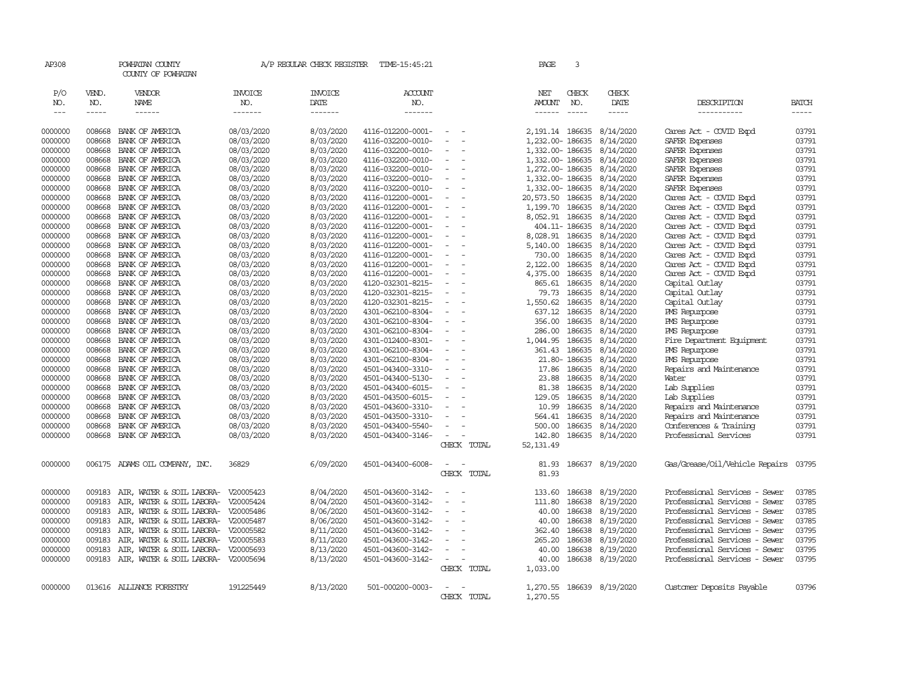| AP308              |                  | POWHATAN COUNTY<br>COUNTY OF POWHATAN |                          | A/P REGULAR CHECK REGISTER | TIME-15:45:21                          |                          |             | PAGE              | 3                |                           |                                  |                |
|--------------------|------------------|---------------------------------------|--------------------------|----------------------------|----------------------------------------|--------------------------|-------------|-------------------|------------------|---------------------------|----------------------------------|----------------|
| P/O<br>NO.         | VEND.<br>NO.     | <b>VENDOR</b><br>NAME                 | <b>INVOICE</b><br>NO.    | <b>INVOICE</b><br>DATE     | ACCOUNT<br>NO.                         |                          |             | NET<br>AMOUNT     | CHECK<br>NO.     | CHECK<br>DATE             | DESCRIPTION                      | <b>BATCH</b>   |
| $---$              | $- - - - -$      | $- - - - - -$                         | -------                  | -------                    | -------                                |                          |             | ------            | $\frac{1}{2}$    | -----                     | -----------                      | $- - - - -$    |
| 0000000            | 008668           | BANK OF AMERICA                       | 08/03/2020               | 8/03/2020                  | 4116-012200-0001-                      |                          |             | 2, 191.14 186635  |                  | 8/14/2020                 | Cares Act - COVID Expd           | 03791          |
| 0000000            | 008668           | BANK OF AMERICA                       | 08/03/2020               | 8/03/2020                  | 4116-032200-0010-                      |                          |             | 1,232.00-186635   |                  | 8/14/2020                 | SAFER Expenses                   | 03791          |
| 0000000            | 008668           | BANK OF AMERICA                       | 08/03/2020               | 8/03/2020                  | 4116-032200-0010-                      |                          |             | 1,332.00-186635   |                  | 8/14/2020                 | SAFER Expenses                   | 03791          |
| 0000000            | 008668           | BANK OF AMERICA                       | 08/03/2020               | 8/03/2020                  | 4116-032200-0010-                      |                          |             | 1,332.00-186635   |                  | 8/14/2020                 | SAFER Expenses                   | 03791          |
| 0000000            | 008668           | BANK OF AMERICA                       | 08/03/2020               | 8/03/2020                  | 4116-032200-0010-                      |                          |             | 1,272.00- 186635  |                  | 8/14/2020                 | SAFER Expenses                   | 03791          |
| 0000000            | 008668           | BANK OF AMERICA                       | 08/03/2020               | 8/03/2020                  | 4116-032200-0010-                      |                          |             | 1,332.00-186635   |                  | 8/14/2020                 | SAFER Expenses                   | 03791          |
| 0000000            | 008668           | BANK OF AMERICA                       | 08/03/2020               | 8/03/2020                  | 4116-032200-0010-                      |                          |             | 1,332.00-186635   |                  | 8/14/2020                 | SAFER Expenses                   | 03791          |
| 0000000            | 008668           | BANK OF AMERICA                       | 08/03/2020               | 8/03/2020                  | 4116-012200-0001-                      | $\sim$                   |             | 20,573.50 186635  |                  | 8/14/2020                 | Cares Act - COVID Expd           | 03791          |
| 0000000            | 008668           | BANK OF AMERICA                       | 08/03/2020               | 8/03/2020                  | 4116-012200-0001-                      |                          |             | 1,199.70          | 186635           | 8/14/2020                 | Cares Act - COVID Expd           | 03791          |
| 0000000            | 008668           | BANK OF AMERICA                       | 08/03/2020               | 8/03/2020                  | 4116-012200-0001-                      |                          |             | 8,052.91 186635   |                  | 8/14/2020                 | Cares Act - COVID Expd           | 03791          |
| 0000000            | 008668           | BANK OF AMERICA                       | 08/03/2020               | 8/03/2020                  | 4116-012200-0001-                      |                          |             |                   | 404.11- 186635   | 8/14/2020                 | Cares Act - COVID Expd           | 03791          |
| 0000000            | 008668           | BANK OF AMERICA                       | 08/03/2020               | 8/03/2020                  | 4116-012200-0001-                      |                          |             | 8,028.91 186635   |                  | 8/14/2020                 | Cares Act - COVID Expd           | 03791          |
| 0000000            | 008668           | BANK OF AMERICA                       | 08/03/2020               | 8/03/2020                  | 4116-012200-0001-                      |                          |             | 5,140.00          | 186635           | 8/14/2020                 | Cares Act - COVID Expd           | 03791          |
| 0000000            | 008668           | BANK OF AMERICA                       | 08/03/2020               | 8/03/2020                  | 4116-012200-0001-                      |                          |             | 730.00            | 186635           | 8/14/2020                 | Cares Act - COVID Expd           | 03791          |
| 0000000            | 008668           | BANK OF AMERICA                       | 08/03/2020               | 8/03/2020                  | 4116-012200-0001-                      | $\overline{\phantom{a}}$ |             | 2,122.00          | 186635           | 8/14/2020                 | Cares Act - COVID Expd           | 03791          |
| 0000000            | 008668           | BANK OF AMERICA                       | 08/03/2020               | 8/03/2020                  | 4116-012200-0001-                      |                          |             | 4,375.00          | 186635           | 8/14/2020                 | Cares Act - COVID Expd           | 03791          |
| 0000000            | 008668           | BANK OF AMERICA                       | 08/03/2020               | 8/03/2020<br>8/03/2020     | 4120-032301-8215-                      |                          |             | 865.61            | 186635<br>186635 | 8/14/2020                 | Capital Outlay                   | 03791<br>03791 |
| 0000000            | 008668<br>008668 | BANK OF AMERICA                       | 08/03/2020<br>08/03/2020 |                            | 4120-032301-8215-                      |                          |             | 79.73<br>1,550.62 | 186635           | 8/14/2020<br>8/14/2020    | Capital Outlay<br>Capital Outlay | 03791          |
| 0000000<br>0000000 | 008668           | BANK OF AMERICA<br>BANK OF AMERICA    | 08/03/2020               | 8/03/2020<br>8/03/2020     | 4120-032301-8215-<br>4301-062100-8304- |                          |             | 637.12            | 186635           | 8/14/2020                 | <b>PMS</b> Repurpose             | 03791          |
| 0000000            | 008668           | BANK OF AMERICA                       | 08/03/2020               | 8/03/2020                  | 4301-062100-8304-                      |                          |             | 356.00            | 186635           | 8/14/2020                 | PMS Repurpose                    | 03791          |
| 0000000            | 008668           | BANK OF AMERICA                       | 08/03/2020               | 8/03/2020                  | 4301-062100-8304-                      | $\overline{\phantom{a}}$ |             | 286.00            | 186635           | 8/14/2020                 | PMS Repurpose                    | 03791          |
| 0000000            | 008668           | BANK OF AMERICA                       | 08/03/2020               | 8/03/2020                  | 4301-012400-8301-                      |                          |             | 1,044.95          | 186635           | 8/14/2020                 | Fire Department Equipment        | 03791          |
| 0000000            | 008668           | BANK OF AMERICA                       | 08/03/2020               | 8/03/2020                  | 4301-062100-8304-                      |                          |             | 361.43            | 186635           | 8/14/2020                 | PMS Repurpose                    | 03791          |
| 0000000            | 008668           | BANK OF AMERICA                       | 08/03/2020               | 8/03/2020                  | 4301-062100-8304-                      |                          |             |                   | 21.80-186635     | 8/14/2020                 | PMS Repurpose                    | 03791          |
| 0000000            | 008668           | BANK OF AMERICA                       | 08/03/2020               | 8/03/2020                  | 4501-043400-3310-                      | $\sim$                   |             |                   | 17.86 186635     | 8/14/2020                 | Repairs and Maintenance          | 03791          |
| 0000000            | 008668           | BANK OF AMERICA                       | 08/03/2020               | 8/03/2020                  | 4501-043400-5130-                      |                          |             | 23.88             | 186635           | 8/14/2020                 | Water                            | 03791          |
| 0000000            | 008668           | BANK OF AMERICA                       | 08/03/2020               | 8/03/2020                  | 4501-043400-6015-                      |                          |             | 81.38             | 186635           | 8/14/2020                 | Lab Supplies                     | 03791          |
| 0000000            | 008668           | BANK OF AMERICA                       | 08/03/2020               | 8/03/2020                  | 4501-043500-6015-                      | $\sim$                   |             | 129.05            | 186635           | 8/14/2020                 | Lab Supplies                     | 03791          |
| 0000000            | 008668           | BANK OF AMERICA                       | 08/03/2020               | 8/03/2020                  | 4501-043600-3310-                      |                          |             | 10.99             | 186635           | 8/14/2020                 | Repairs and Maintenance          | 03791          |
| 0000000            | 008668           | BANK OF AMERICA                       | 08/03/2020               | 8/03/2020                  | 4501-043500-3310-                      |                          |             | 564.41            | 186635           | 8/14/2020                 | Repairs and Maintenance          | 03791          |
| 0000000            | 008668           | BANK OF AMERICA                       | 08/03/2020               | 8/03/2020                  | 4501-043400-5540-                      |                          |             | 500.00            | 186635           | 8/14/2020                 | Conferences & Training           | 03791          |
| 0000000            | 008668           | BANK OF AMERICA                       | 08/03/2020               | 8/03/2020                  | 4501-043400-3146-                      | $\equiv$                 |             | 142.80            |                  | 186635 8/14/2020          | Professional Services            | 03791          |
|                    |                  |                                       |                          |                            |                                        |                          | CHECK TOTAL | 52, 131.49        |                  |                           |                                  |                |
| 0000000            |                  | 006175 ADAMS OIL COMPANY, INC.        | 36829                    | 6/09/2020                  | 4501-043400-6008-                      | $\sim$                   |             | 81.93             |                  | 186637 8/19/2020          | Gas/Grease/Oil/Vehicle Repairs   | 03795          |
|                    |                  |                                       |                          |                            |                                        |                          | CHECK TOTAL | 81.93             |                  |                           |                                  |                |
|                    |                  |                                       |                          |                            |                                        |                          |             |                   |                  |                           |                                  |                |
| 0000000            | 009183           | AIR, WATER & SOIL LABORA- V20005423   |                          | 8/04/2020                  | 4501-043600-3142-                      |                          |             | 133.60            | 186638           | 8/19/2020                 | Professional Services - Sewer    | 03785          |
| 0000000            | 009183           | AIR, WATER & SOIL LABORA- V20005424   |                          | 8/04/2020                  | 4501-043600-3142-                      | $\sim$                   |             | 111.80            | 186638           | 8/19/2020                 | Professional Services - Sewer    | 03785          |
| 0000000            | 009183           | AIR, WATER & SOIL LABORA-             | V20005486                | 8/06/2020                  | 4501-043600-3142-                      |                          |             | 40.00             | 186638           | 8/19/2020                 | Professional Services - Sewer    | 03785          |
| 0000000            | 009183           | AIR, WATER & SOIL LABORA- V20005487   |                          | 8/06/2020                  | 4501-043600-3142-                      |                          |             | 40.00             | 186638           | 8/19/2020                 | Professional Services - Sewer    | 03785          |
| 0000000            | 009183           | AIR, WATER & SOIL LABORA- V20005582   |                          | 8/11/2020                  | 4501-043600-3142-                      |                          |             | 362.40            | 186638           | 8/19/2020                 | Professional Services - Sewer    | 03795          |
| 0000000            | 009183           | AIR, WATER & SOIL LABORA- V20005583   |                          | 8/11/2020                  | 4501-043600-3142-                      |                          |             | 265.20            | 186638           | 8/19/2020                 | Professional Services - Sewer    | 03795          |
| 0000000            | 009183           | AIR, WATER & SOIL LABORA- V20005693   |                          | 8/13/2020                  | 4501-043600-3142-                      |                          |             | 40.00             | 186638           | 8/19/2020                 | Professional Services - Sewer    | 03795          |
| 0000000            | 009183           | AIR, WATER & SOIL LABORA- V20005694   |                          | 8/13/2020                  | 4501-043600-3142-                      |                          | CHECK TOTAL | 40.00<br>1,033.00 |                  | 186638 8/19/2020          | Professional Services - Sewer    | 03795          |
|                    |                  |                                       |                          |                            |                                        |                          |             |                   |                  |                           |                                  |                |
| 0000000            |                  | 013616 ALLIANCE FORESTRY              | 191225449                | 8/13/2020                  | 501-000200-0003-                       |                          |             |                   |                  | 1,270.55 186639 8/19/2020 | Customer Deposits Payable        | 03796          |
|                    |                  |                                       |                          |                            |                                        |                          | CHECK TOTAL | 1,270.55          |                  |                           |                                  |                |
|                    |                  |                                       |                          |                            |                                        |                          |             |                   |                  |                           |                                  |                |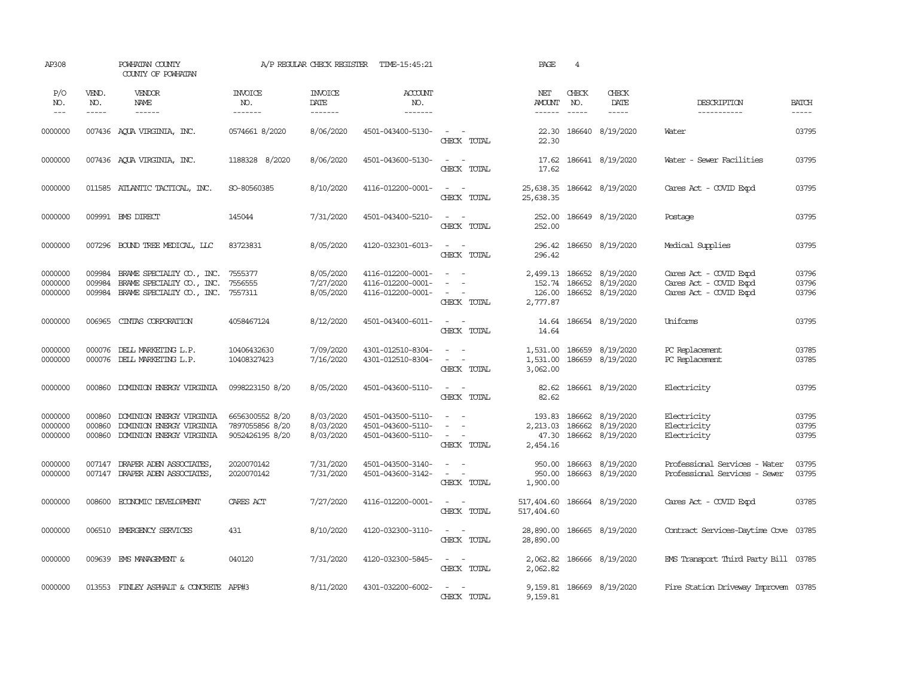| AP308                         |                               | POWHATAN COUNTY<br>COUNTY OF POWHATAN                                                                 |                                                       | A/P REGULAR CHECK REGISTER          | TIME-15:45:21                                               |                                                                                                                                                                                                                               | PAGE                                    | $\overline{4}$ |                                                            |                                                                            |                         |
|-------------------------------|-------------------------------|-------------------------------------------------------------------------------------------------------|-------------------------------------------------------|-------------------------------------|-------------------------------------------------------------|-------------------------------------------------------------------------------------------------------------------------------------------------------------------------------------------------------------------------------|-----------------------------------------|----------------|------------------------------------------------------------|----------------------------------------------------------------------------|-------------------------|
| P/O<br>NO.<br>$---$           | VEND.<br>NO.<br>$\frac{1}{2}$ | VENDOR<br>NAME                                                                                        | <b>INVOICE</b><br>NO.<br>-------                      | <b>INVOICE</b><br>DATE<br>-------   | <b>ACCOUNT</b><br>NO.<br>$- - - - - - -$                    |                                                                                                                                                                                                                               | NET<br><b>AMOUNT</b><br>$- - - - - -$   | CHECK<br>NO.   | CHECK<br>DATE<br>$- - - - -$                               | DESCRIPTION<br>-----------                                                 | <b>BATCH</b><br>-----   |
| 0000000                       |                               | 007436 AQUA VIRGINIA, INC.                                                                            | 0574661 8/2020                                        | 8/06/2020                           | 4501-043400-5130-                                           | $\sim$<br>$\sim$ $-$<br>CHECK TOTAL                                                                                                                                                                                           | 22.30<br>22.30                          |                | 186640 8/19/2020                                           | Water                                                                      | 03795                   |
| 0000000                       |                               | 007436 AQUA VIRGINIA, INC.                                                                            | 1188328 8/2020                                        | 8/06/2020                           | 4501-043600-5130-                                           | $\sim$ $ -$<br>CHECK TOTAL                                                                                                                                                                                                    | 17.62<br>17.62                          |                | 186641 8/19/2020                                           | Water - Sewer Facilities                                                   | 03795                   |
| 0000000                       |                               | 011585 ATLANTIC TACTICAL, INC.                                                                        | SO-80560385                                           | 8/10/2020                           | 4116-012200-0001-                                           | $\sim$ $  -$<br>CHECK TOTAL                                                                                                                                                                                                   | 25,638.35<br>25,638.35                  |                | 186642 8/19/2020                                           | Cares Act - COVID Expd                                                     | 03795                   |
| 0000000                       |                               | 009991 BMS DIRECT                                                                                     | 145044                                                | 7/31/2020                           | 4501-043400-5210-                                           | $\sim$ $ \sim$<br>CHECK TOTAL                                                                                                                                                                                                 | 252.00<br>252.00                        |                | 186649 8/19/2020                                           | Postage                                                                    | 03795                   |
| 0000000                       |                               | 007296 BOUND TREE MEDICAL, LLC                                                                        | 83723831                                              | 8/05/2020                           | 4120-032301-6013-                                           | $\sim$ $ \sim$<br>CHECK TOTAL                                                                                                                                                                                                 | 296.42                                  |                | 296.42 186650 8/19/2020                                    | Medical Supplies                                                           | 03795                   |
| 0000000<br>0000000<br>0000000 | 009984<br>009984<br>009984    | BRAME SPECIALITY CO., INC. 7555377<br>BRAME SPECIALITY CO., INC.<br>BRAME SPECIALIY CO., INC. 7557311 | 7556555                                               | 8/05/2020<br>7/27/2020<br>8/05/2020 | 4116-012200-0001-<br>4116-012200-0001-<br>4116-012200-0001- | $\omega_{\rm{max}}$ and $\omega_{\rm{max}}$<br>$\overline{\phantom{a}}$<br>$\sim$<br>$\frac{1}{2} \left( \frac{1}{2} \right) \left( \frac{1}{2} \right) \left( \frac{1}{2} \right) \left( \frac{1}{2} \right)$<br>CHECK TOTAL | 152.74<br>126.00<br>2,777.87            | 186652         | 2,499.13 186652 8/19/2020<br>8/19/2020<br>186652 8/19/2020 | Cares Act - COVID Expd<br>Cares Act - COVID Expd<br>Cares Act - COVID Expd | 03796<br>03796<br>03796 |
| 0000000                       | 006965                        | CINIAS CORPORATION                                                                                    | 4058467124                                            | 8/12/2020                           | 4501-043400-6011-                                           | $\sim$ $ \sim$<br>CHECK TOTAL                                                                                                                                                                                                 | 14.64                                   |                | 14.64 186654 8/19/2020                                     | Uniforms                                                                   | 03795                   |
| 0000000<br>0000000            |                               | 000076 DELL MARKETING L.P.<br>000076 DELL MARKETING L.P.                                              | 10406432630<br>10408327423                            | 7/09/2020<br>7/16/2020              | 4301-012510-8304-<br>4301-012510-8304-                      | $\sim$ $ \sim$<br>$\sim$ $ \sim$<br>CHECK TOTAL                                                                                                                                                                               | 1,531.00<br>1,531.00<br>3,062.00        |                | 186659 8/19/2020<br>186659 8/19/2020                       | PC Replacement<br>PC Replacement                                           | 03785<br>03785          |
| 0000000                       | 000860                        | DOMINION ENERGY VIRGINIA                                                                              | 0998223150 8/20                                       | 8/05/2020                           | 4501-043600-5110-                                           | $\sim$ $ \sim$ $-$<br>CHECK TOTAL                                                                                                                                                                                             | 82.62<br>82.62                          |                | 186661 8/19/2020                                           | Electricity                                                                | 03795                   |
| 0000000<br>0000000<br>0000000 | 000860<br>000860<br>000860    | DOMINION ENERGY VIRGINIA<br>DOMINION ENERGY VIRGINIA<br>DOMINION ENERGY VIRGINIA                      | 6656300552 8/20<br>7897055856 8/20<br>9052426195 8/20 | 8/03/2020<br>8/03/2020<br>8/03/2020 | 4501-043500-5110-<br>4501-043600-5110-<br>4501-043600-5110- | $\sim$<br>$\sim$<br>$\sim$<br>$\sim$<br>$\sim$<br>$\sim$ $-$<br>CHECK TOTAL                                                                                                                                                   | 193.83<br>2,213.03<br>47.30<br>2,454.16 | 186662         | 186662 8/19/2020<br>8/19/2020<br>186662 8/19/2020          | Electricity<br>Electricity<br>Electricity                                  | 03795<br>03795<br>03795 |
| 0000000<br>0000000            |                               | 007147 DRAPER ADEN ASSOCIATES<br>007147 DRAPER ADEN ASSOCIATES,                                       | 2020070142<br>2020070142                              | 7/31/2020<br>7/31/2020              | 4501-043500-3140-<br>4501-043600-3142-                      | $\sim$ $ -$<br>$\sim$ $ -$<br>CHECK TOTAL                                                                                                                                                                                     | 950.00<br>1,900.00                      |                | 950.00 186663 8/19/2020<br>186663 8/19/2020                | Professional Services - Water<br>Professional Services - Sewer             | 03795<br>03795          |
| 0000000                       | 008600                        | ECONOMIC DEVELOPMENT                                                                                  | CARES ACT                                             | 7/27/2020                           | 4116-012200-0001-                                           | $\sim$ $ -$<br>CHECK TOTAL                                                                                                                                                                                                    | 517,404.60<br>517,404.60                |                | 186664 8/19/2020                                           | Cares Act - COVID Expd                                                     | 03785                   |
| 0000000                       |                               | 006510 EMERGENCY SERVICES                                                                             | 431                                                   | 8/10/2020                           | 4120-032300-3110-                                           | $\sim$ $ -$<br>CHECK TOTAL                                                                                                                                                                                                    | 28,890.00<br>28,890.00                  |                | 186665 8/19/2020                                           | Contract Services-Daytime Cove 03785                                       |                         |
| 0000000                       | 009639                        | EMS MANAGEMENT &                                                                                      | 040120                                                | 7/31/2020                           | 4120-032300-5845-                                           | $\sim$ $ -$<br>CHECK TOTAL                                                                                                                                                                                                    | 2,062.82<br>2,062.82                    |                | 186666 8/19/2020                                           | EMS Transport Third Party Bill 03785                                       |                         |
| 0000000                       |                               | 013553 FINLEY ASPHALT & CONCRETE APP#3                                                                |                                                       | 8/11/2020                           | 4301-032200-6002-                                           | $\sim$ $ -$<br>CHECK TOTAL                                                                                                                                                                                                    | 9,159.81                                |                | 9,159.81 186669 8/19/2020                                  | Fire Station Driveway Improvem 03785                                       |                         |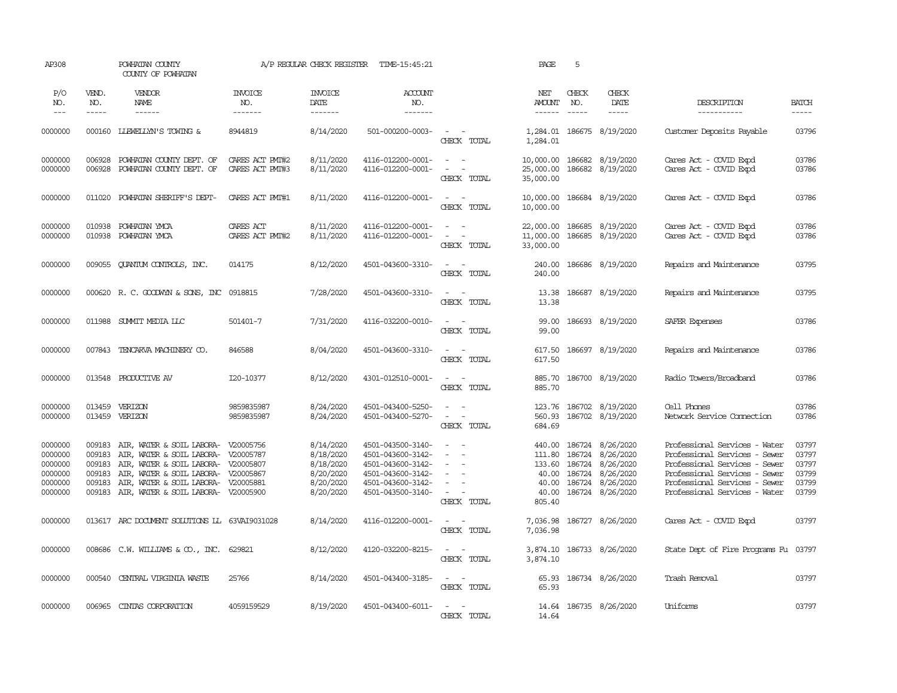| AP308                                                          |                                                          | POWHATAN COUNTY<br>COUNTY OF POWHATAN                                                                                                                                                                                                  |                                    | A/P REGULAR CHECK REGISTER                                                 | TIME-15:45:21                                                                                                              |                                                                                             | PAGE                                | 5                                                                                                                                                                                                                                                                                                                                                                                                            |                                                                                                                                                 |                                                                                                                                                                                                    |                                                    |
|----------------------------------------------------------------|----------------------------------------------------------|----------------------------------------------------------------------------------------------------------------------------------------------------------------------------------------------------------------------------------------|------------------------------------|----------------------------------------------------------------------------|----------------------------------------------------------------------------------------------------------------------------|---------------------------------------------------------------------------------------------|-------------------------------------|--------------------------------------------------------------------------------------------------------------------------------------------------------------------------------------------------------------------------------------------------------------------------------------------------------------------------------------------------------------------------------------------------------------|-------------------------------------------------------------------------------------------------------------------------------------------------|----------------------------------------------------------------------------------------------------------------------------------------------------------------------------------------------------|----------------------------------------------------|
| P/O<br>NO.<br>$\qquad \qquad - -$                              | VEND.<br>NO.<br>$- - - - -$                              | VENDOR<br>NAME                                                                                                                                                                                                                         | <b>INVOICE</b><br>NO.<br>-------   | <b>INVOICE</b><br>DATE<br>-------                                          | <b>ACCOUNT</b><br>NO.<br>-------                                                                                           |                                                                                             | NET<br>AMOUNT                       | CHECK<br>NO.<br>$\frac{1}{2} \frac{1}{2} \frac{1}{2} \frac{1}{2} \frac{1}{2} \frac{1}{2} \frac{1}{2} \frac{1}{2} \frac{1}{2} \frac{1}{2} \frac{1}{2} \frac{1}{2} \frac{1}{2} \frac{1}{2} \frac{1}{2} \frac{1}{2} \frac{1}{2} \frac{1}{2} \frac{1}{2} \frac{1}{2} \frac{1}{2} \frac{1}{2} \frac{1}{2} \frac{1}{2} \frac{1}{2} \frac{1}{2} \frac{1}{2} \frac{1}{2} \frac{1}{2} \frac{1}{2} \frac{1}{2} \frac{$ | CHECK<br>DATE<br>-----                                                                                                                          | DESCRIPTION<br>-----------                                                                                                                                                                         | <b>BATCH</b><br>$- - - - -$                        |
| 0000000                                                        | 000160                                                   | <b>LIEWELLYN'S TOWING &amp;</b>                                                                                                                                                                                                        | 8944819                            | 8/14/2020                                                                  | 501-000200-0003-                                                                                                           | $\sim$ $ \sim$<br>CHECK TOTAL                                                               | 1,284.01                            |                                                                                                                                                                                                                                                                                                                                                                                                              | 1,284.01 186675 8/19/2020                                                                                                                       | Customer Deposits Payable                                                                                                                                                                          | 03796                                              |
| 0000000<br>0000000                                             | 006928<br>006928                                         | POWHATAN COUNTY DEPT. OF<br>POWHATAN COUNTY DEPT. OF                                                                                                                                                                                   | CARES ACT PMT#2<br>CARES ACT PMI#3 | 8/11/2020<br>8/11/2020                                                     | 4116-012200-0001-<br>4116-012200-0001-                                                                                     | $\sim$ $ \sim$<br>$\sim$<br>$\sim$<br>CHECK TOTAL                                           | 25,000.00<br>35,000.00              |                                                                                                                                                                                                                                                                                                                                                                                                              | 10,000.00 186682 8/19/2020<br>186682 8/19/2020                                                                                                  | Cares Act - COVID Expd<br>Cares Act - COVID Expd                                                                                                                                                   | 03786<br>03786                                     |
| 0000000                                                        | 011020                                                   | POWHATAN SHERIFF'S DEPT-                                                                                                                                                                                                               | CARES ACT PMT#1                    | 8/11/2020                                                                  | 4116-012200-0001-                                                                                                          | $\sim$<br>$\sim$<br>CHECK TOTAL                                                             | 10,000.00                           |                                                                                                                                                                                                                                                                                                                                                                                                              | 10,000.00 186684 8/19/2020                                                                                                                      | Cares Act - COVID Expd                                                                                                                                                                             | 03786                                              |
| 0000000<br>0000000                                             | 010938<br>010938                                         | POWHATAN YMCA<br>POWHATAN YMCA                                                                                                                                                                                                         | CARES ACT<br>CARES ACT PMT#2       | 8/11/2020<br>8/11/2020                                                     | 4116-012200-0001-<br>4116-012200-0001-                                                                                     | $\sim$<br>$\sim$ $ -$<br>CHECK TOTAL                                                        | 22,000.00<br>11,000.00<br>33,000.00 |                                                                                                                                                                                                                                                                                                                                                                                                              | 186685 8/19/2020<br>186685 8/19/2020                                                                                                            | Cares Act - COVID Expd<br>Cares Act - COVID Expd                                                                                                                                                   | 03786<br>03786                                     |
| 0000000                                                        | 009055                                                   | QUANTUM CONTROLS, INC.                                                                                                                                                                                                                 | 014175                             | 8/12/2020                                                                  | 4501-043600-3310-                                                                                                          | $\sim$ $ \sim$<br>CHECK TOTAL                                                               | 240.00<br>240.00                    |                                                                                                                                                                                                                                                                                                                                                                                                              | 186686 8/19/2020                                                                                                                                | Repairs and Maintenance                                                                                                                                                                            | 03795                                              |
| 0000000                                                        |                                                          | 000620 R.C. GOODWYN & SONS, INC 0918815                                                                                                                                                                                                |                                    | 7/28/2020                                                                  | 4501-043600-3310-                                                                                                          | $\sim$ $\sim$<br>CHECK TOTAL                                                                | 13.38<br>13.38                      |                                                                                                                                                                                                                                                                                                                                                                                                              | 186687 8/19/2020                                                                                                                                | Repairs and Maintenance                                                                                                                                                                            | 03795                                              |
| 0000000                                                        | 011988                                                   | SUMIT MEDIA LLC                                                                                                                                                                                                                        | 501401-7                           | 7/31/2020                                                                  | 4116-032200-0010-                                                                                                          | $\sim$<br>$\sim$<br>CHECK TOTAL                                                             | 99.00<br>99.00                      |                                                                                                                                                                                                                                                                                                                                                                                                              | 186693 8/19/2020                                                                                                                                | SAFER Expenses                                                                                                                                                                                     | 03786                                              |
| 0000000                                                        | 007843                                                   | TENCARVA MACHINERY CO.                                                                                                                                                                                                                 | 846588                             | 8/04/2020                                                                  | 4501-043600-3310-                                                                                                          | $\sim$ $ -$<br>CHECK TOTAL                                                                  | 617.50<br>617.50                    |                                                                                                                                                                                                                                                                                                                                                                                                              | 186697 8/19/2020                                                                                                                                | Repairs and Maintenance                                                                                                                                                                            | 03786                                              |
| 0000000                                                        |                                                          | 013548 PRODUCTIVE AV                                                                                                                                                                                                                   | I20-10377                          | 8/12/2020                                                                  | 4301-012510-0001-                                                                                                          | $\sim$ $  -$<br>CHECK TOTAL                                                                 | 885.70<br>885.70                    |                                                                                                                                                                                                                                                                                                                                                                                                              | 186700 8/19/2020                                                                                                                                | Radio Towers/Broadband                                                                                                                                                                             | 03786                                              |
| 0000000<br>0000000                                             | 013459<br>013459                                         | VERIZON<br>VERIZON                                                                                                                                                                                                                     | 9859835987<br>9859835987           | 8/24/2020<br>8/24/2020                                                     | 4501-043400-5250-<br>4501-043400-5270-                                                                                     | $\sim$<br>$\sim$<br>$\sim$ $ -$<br>CHECK TOTAL                                              | 123.76<br>560.93<br>684.69          |                                                                                                                                                                                                                                                                                                                                                                                                              | 186702 8/19/2020<br>186702 8/19/2020                                                                                                            | Cell Phones<br>Network Service Connection                                                                                                                                                          | 03786<br>03786                                     |
| 0000000<br>0000000<br>0000000<br>0000000<br>0000000<br>0000000 | 009183<br>009183<br>009183<br>009183<br>009183<br>009183 | AIR, WATER & SOIL LABORA- V20005756<br>AIR, WATER & SOIL LABORA- V20005787<br>AIR, WATER & SOIL LABORA- V20005807<br>AIR, WATER & SOIL LABORA- V20005867<br>AIR, WATER & SOIL LABORA- V20005881<br>AIR, WATER & SOIL LABORA- V20005900 |                                    | 8/14/2020<br>8/18/2020<br>8/18/2020<br>8/20/2020<br>8/20/2020<br>8/20/2020 | 4501-043500-3140-<br>4501-043600-3142-<br>4501-043600-3142-<br>4501-043600-3142-<br>4501-043600-3142-<br>4501-043500-3140- | $\sim$ $ \sim$<br>$\sim$<br>$\sim$<br>$\sim$<br>$\equiv$<br>$\sim$<br>$\sim$<br>CHECK TOTAL | 40.00<br>40.00<br>805.40            |                                                                                                                                                                                                                                                                                                                                                                                                              | 440.00 186724 8/26/2020<br>111.80 186724 8/26/2020<br>133.60 186724 8/26/2020<br>40.00 186724 8/26/2020<br>186724 8/26/2020<br>186724 8/26/2020 | Professional Services - Water<br>Professional Services - Sewer<br>Professional Services - Sewer<br>Professional Services - Sewer<br>Professional Services - Sewer<br>Professional Services - Water | 03797<br>03797<br>03797<br>03799<br>03799<br>03799 |
| 0000000                                                        |                                                          | 013617 ARC DOCUMENT SOLUTIONS LL 63VAI9031028                                                                                                                                                                                          |                                    | 8/14/2020                                                                  | 4116-012200-0001-                                                                                                          | $\overline{\phantom{a}}$<br>$\sim$<br>CHECK TOTAL                                           | 7,036.98<br>7,036.98                |                                                                                                                                                                                                                                                                                                                                                                                                              | 186727 8/26/2020                                                                                                                                | Cares Act - COVID Expd                                                                                                                                                                             | 03797                                              |
| 0000000                                                        |                                                          | 008686 C.W. WILLIAMS & CO., INC. 629821                                                                                                                                                                                                |                                    | 8/12/2020                                                                  | 4120-032200-8215-                                                                                                          | $\sim$<br>$\sim$<br>CHECK TOTAL                                                             | 3,874.10                            |                                                                                                                                                                                                                                                                                                                                                                                                              | 3,874.10 186733 8/26/2020                                                                                                                       | State Dept of Fire Programs Fu                                                                                                                                                                     | 03797                                              |
| 0000000                                                        | 000540                                                   | CENTRAL VIRGINIA WASTE                                                                                                                                                                                                                 | 25766                              | 8/14/2020                                                                  | 4501-043400-3185-                                                                                                          | $\sim$ $-$<br>CHECK TOTAL                                                                   | 65.93<br>65.93                      |                                                                                                                                                                                                                                                                                                                                                                                                              | 186734 8/26/2020                                                                                                                                | Trash Removal                                                                                                                                                                                      | 03797                                              |
| 0000000                                                        | 006965                                                   | CINIAS CORPORATION                                                                                                                                                                                                                     | 4059159529                         | 8/19/2020                                                                  | 4501-043400-6011-                                                                                                          | $\overline{\phantom{a}}$<br>$\sim$<br>CHECK TOTAL                                           | 14.64<br>14.64                      |                                                                                                                                                                                                                                                                                                                                                                                                              | 186735 8/26/2020                                                                                                                                | Uniforms                                                                                                                                                                                           | 03797                                              |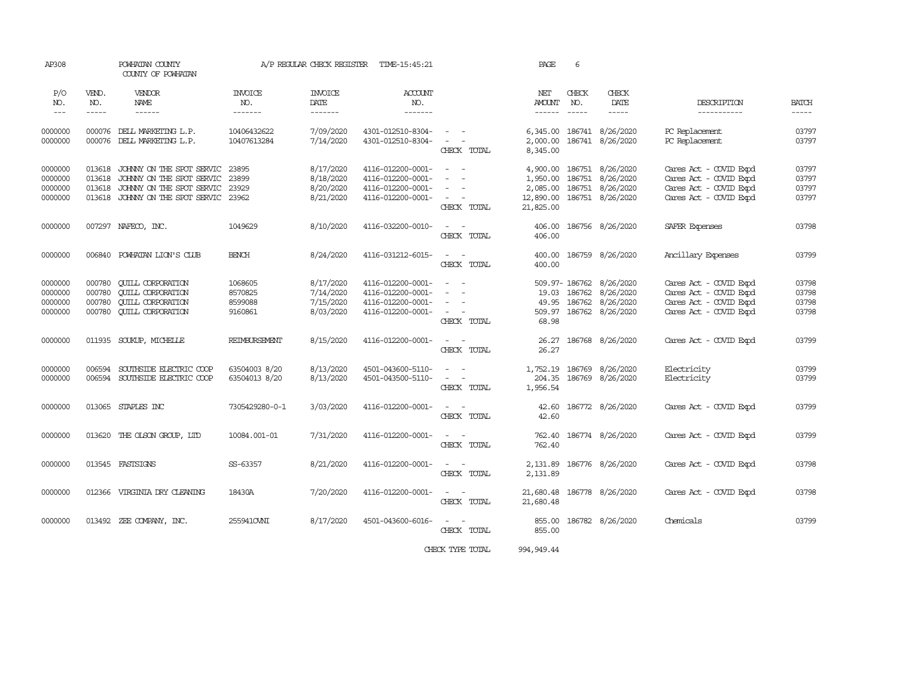| AP308         |             | POWHATAN COUNTY<br>COUNTY OF POWHATAN |                | A/P REGULAR CHECK REGISTER | TIME-15:45:21     |                                                                                                                                                                                                                                                  | PAGE          | 6     |                            |                        |       |
|---------------|-------------|---------------------------------------|----------------|----------------------------|-------------------|--------------------------------------------------------------------------------------------------------------------------------------------------------------------------------------------------------------------------------------------------|---------------|-------|----------------------------|------------------------|-------|
| P/O           | VEND.       | VENDOR                                | <b>INVOICE</b> | <b>INVOICE</b>             | ACCOUNT           |                                                                                                                                                                                                                                                  | NET           | CHECK | CHECK                      |                        |       |
| NO.           | NO.         | NAME                                  | NO.            | DATE                       | NO.               |                                                                                                                                                                                                                                                  | AMOUNT        | NO.   | DATE                       | DESCRIPTION            | BATCH |
| $\frac{1}{2}$ | $- - - - -$ | ------                                | -------        | -------                    | -------           |                                                                                                                                                                                                                                                  | $- - - - - -$ |       | $\qquad \qquad - - - -$    | -----------            | ----- |
| 0000000       | 000076      | DELL MARKETING L.P.                   | 10406432622    | 7/09/2020                  | 4301-012510-8304- | $\frac{1}{2} \left( \frac{1}{2} \right) \left( \frac{1}{2} \right) = \frac{1}{2} \left( \frac{1}{2} \right)$                                                                                                                                     | 6,345.00      |       | 186741 8/26/2020           | PC Replacement         | 03797 |
| 0000000       |             | 000076 DELL MARKETING L.P.            | 10407613284    | 7/14/2020                  | 4301-012510-8304- | $\omega_{\rm{max}}$ and $\omega_{\rm{max}}$                                                                                                                                                                                                      |               |       | 2,000.00 186741 8/26/2020  | PC Replacement         | 03797 |
|               |             |                                       |                |                            |                   | CHECK TOTAL                                                                                                                                                                                                                                      | 8,345.00      |       |                            |                        |       |
| 0000000       | 013618      | JOHNNY ON THE SPOT SERVIC             | 23895          | 8/17/2020                  | 4116-012200-0001- | $\omega_{\rm{max}}$ and $\omega_{\rm{max}}$                                                                                                                                                                                                      | 4,900.00      |       | 186751 8/26/2020           | Cares Act - COVID Expd | 03797 |
| 0000000       | 013618      | JOHNNY ON THE SPOT SERVIC             | 23899          | 8/18/2020                  | 4116-012200-0001- | $\sim$                                                                                                                                                                                                                                           | 1,950.00      |       | 186751 8/26/2020           | Cares Act - COVID Expd | 03797 |
| 0000000       | 013618      | JOHNNY ON THE SPOT SERVIC             | 23929          | 8/20/2020                  | 4116-012200-0001- | $\frac{1}{2} \left( \frac{1}{2} \right) \left( \frac{1}{2} \right) = \frac{1}{2} \left( \frac{1}{2} \right)$                                                                                                                                     | 2,085.00      |       | 186751 8/26/2020           | Cares Act - COVID Expd | 03797 |
| 0000000       | 013618      | JOHNNY ON THE SPOT SERVIC 23962       |                | 8/21/2020                  | 4116-012200-0001- | $\sim$ $ -$                                                                                                                                                                                                                                      | 12,890.00     |       | 186751 8/26/2020           | Cares Act - COVID Expd | 03797 |
|               |             |                                       |                |                            |                   | CHECK TOTAL                                                                                                                                                                                                                                      | 21,825.00     |       |                            |                        |       |
| 0000000       |             | 007297 NAFECO, INC.                   | 1049629        | 8/10/2020                  | 4116-032200-0010- | <b><i><u>Part Contract Contract Contract Contract Contract Contract Contract Contract Contract Contract Contract Contract Contract Contract Contract Contract Contract Contract Contract Contract Contract Contract Contract Contrac</u></i></b> |               |       | 406.00 186756 8/26/2020    | SAFER Expenses         | 03798 |
|               |             |                                       |                |                            |                   | CHECK TOTAL                                                                                                                                                                                                                                      | 406.00        |       |                            |                        |       |
| 0000000       |             | 006840 POWHATAN LION'S CLUB           | <b>BENCH</b>   | 8/24/2020                  | 4116-031212-6015- | $\sim$ 100 $\sim$                                                                                                                                                                                                                                |               |       | 400.00 186759 8/26/2020    | Ancillary Expenses     | 03799 |
|               |             |                                       |                |                            |                   | CHECK TOTAL                                                                                                                                                                                                                                      | 400.00        |       |                            |                        |       |
| 0000000       | 000780      | <b>CUILL CORPORATION</b>              | 1068605        | 8/17/2020                  | 4116-012200-0001- | $\frac{1}{2} \left( \frac{1}{2} \right) \left( \frac{1}{2} \right) = \frac{1}{2} \left( \frac{1}{2} \right)$                                                                                                                                     |               |       | 509.97-186762 8/26/2020    | Cares Act - COVID Expd | 03798 |
| 0000000       | 000780      | <b>CUILL CORPORATION</b>              | 8570825        | 7/14/2020                  | 4116-012200-0001- | $\sim$                                                                                                                                                                                                                                           |               |       | 19.03 186762 8/26/2020     | Cares Act - COVID Expd | 03798 |
| 0000000       | 000780      | <b>CUILL CORPORATION</b>              | 8599088        | 7/15/2020                  | 4116-012200-0001- | $\overline{\phantom{a}}$                                                                                                                                                                                                                         | 49.95         |       | 186762 8/26/2020           | Cares Act - COVID Expd | 03798 |
| 0000000       | 000780      | <b>CUILL CORPORATION</b>              | 9160861        | 8/03/2020                  | 4116-012200-0001- | $\sim$ $ -$                                                                                                                                                                                                                                      |               |       | 509.97 186762 8/26/2020    | Cares Act - COVID Expd | 03798 |
|               |             |                                       |                |                            |                   | CHECK TOTAL                                                                                                                                                                                                                                      | 68.98         |       |                            |                        |       |
| 0000000       |             | 011935 SOUKUP, MICHELLE               | REIMBURSEMENT  | 8/15/2020                  | 4116-012200-0001- | $\sim$ $ -$                                                                                                                                                                                                                                      | 26.27         |       | 186768 8/26/2020           | Cares Act - COVID Expd | 03799 |
|               |             |                                       |                |                            |                   | CHECK TOTAL                                                                                                                                                                                                                                      | 26.27         |       |                            |                        |       |
| 0000000       | 006594      | SOUTHSIDE ELECTRIC COOP               | 63504003 8/20  | 8/13/2020                  | 4501-043600-5110- | $\omega_{\rm{max}}$ and $\omega_{\rm{max}}$                                                                                                                                                                                                      | 1,752.19      |       | 186769 8/26/2020           | Electricity            | 03799 |
| 0000000       |             | 006594 SOUTHSIDE ELECTRIC COOP        | 63504013 8/20  | 8/13/2020                  | 4501-043500-5110- | $\sim$ $ -$                                                                                                                                                                                                                                      |               |       | 204.35 186769 8/26/2020    | Electricity            | 03799 |
|               |             |                                       |                |                            |                   | CHECK TOTAL                                                                                                                                                                                                                                      | 1,956.54      |       |                            |                        |       |
|               |             |                                       |                |                            |                   |                                                                                                                                                                                                                                                  |               |       |                            |                        |       |
| 0000000       |             | 013065 STAPLES INC                    | 7305429280-0-1 | 3/03/2020                  | 4116-012200-0001- | $\sim$ $ -$                                                                                                                                                                                                                                      | 42.60         |       | 186772 8/26/2020           | Cares Act - COVID Expd | 03799 |
|               |             |                                       |                |                            |                   | CHECK TOTAL                                                                                                                                                                                                                                      | 42.60         |       |                            |                        |       |
| 0000000       |             | 013620 THE OLSON GROUP, LID           | 10084.001-01   | 7/31/2020                  | 4116-012200-0001- | $\sim$ $ -$                                                                                                                                                                                                                                      | 762.40        |       | 186774 8/26/2020           | Cares Act - COVID Expd | 03799 |
|               |             |                                       |                |                            |                   | CHECK TOTAL                                                                                                                                                                                                                                      | 762.40        |       |                            |                        |       |
| 0000000       |             | 013545 FASTSIGNS                      | SS-63357       | 8/21/2020                  | 4116-012200-0001- | $\sim$ $  -$                                                                                                                                                                                                                                     |               |       | 2,131.89 186776 8/26/2020  | Cares Act - COVID Expd | 03798 |
|               |             |                                       |                |                            |                   | CHECK TOTAL                                                                                                                                                                                                                                      | 2,131.89      |       |                            |                        |       |
| 0000000       |             | 012366 VIRGINIA DRY CLEANING          | 18430A         | 7/20/2020                  | 4116-012200-0001- | $\sim$ $ \sim$                                                                                                                                                                                                                                   |               |       | 21,680.48 186778 8/26/2020 | Cares Act - COVID Expd | 03798 |
|               |             |                                       |                |                            |                   | CHECK TOTAL                                                                                                                                                                                                                                      | 21,680.48     |       |                            |                        |       |
| 0000000       |             | 013492 ZEE COMPANY, INC.              | 2559410WII     | 8/17/2020                  | 4501-043600-6016- | $\sim$ $ -$                                                                                                                                                                                                                                      |               |       | 855.00 186782 8/26/2020    | Chemicals              | 03799 |
|               |             |                                       |                |                            |                   | CHECK TOTAL                                                                                                                                                                                                                                      | 855.00        |       |                            |                        |       |
|               |             |                                       |                |                            |                   | CHECK TYPE TOTAL                                                                                                                                                                                                                                 | 994, 949.44   |       |                            |                        |       |